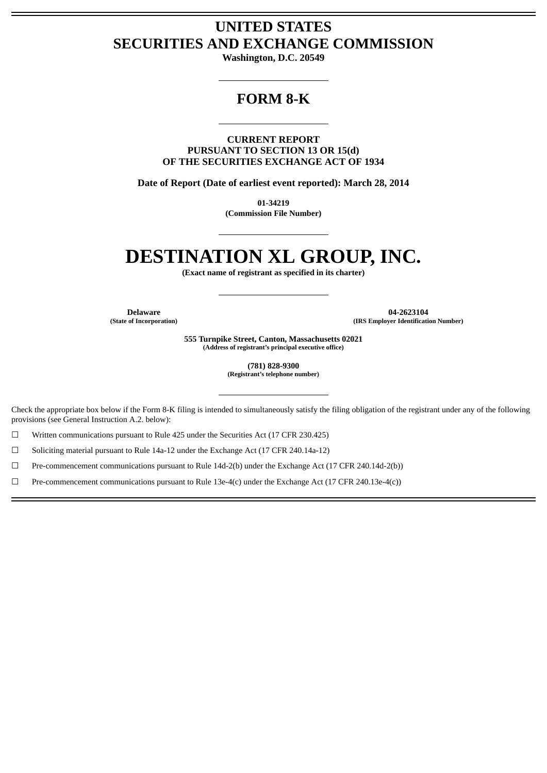# **UNITED STATES SECURITIES AND EXCHANGE COMMISSION**

**Washington, D.C. 20549**

# **FORM 8-K**

**CURRENT REPORT PURSUANT TO SECTION 13 OR 15(d) OF THE SECURITIES EXCHANGE ACT OF 1934**

**Date of Report (Date of earliest event reported): March 28, 2014**

**01-34219 (Commission File Number)**

# **DESTINATION XL GROUP, INC.**

**(Exact name of registrant as specified in its charter)**

**Delaware 04-2623104 (State of Incorporation) (IRS Employer Identification Number)**

> **555 Turnpike Street, Canton, Massachusetts 02021 (Address of registrant's principal executive office)**

> > **(781) 828-9300 (Registrant's telephone number)**

Check the appropriate box below if the Form 8-K filing is intended to simultaneously satisfy the filing obligation of the registrant under any of the following provisions (see General Instruction A.2. below):

☐ Written communications pursuant to Rule 425 under the Securities Act (17 CFR 230.425)

☐ Soliciting material pursuant to Rule 14a-12 under the Exchange Act (17 CFR 240.14a-12)

☐ Pre-commencement communications pursuant to Rule 14d-2(b) under the Exchange Act (17 CFR 240.14d-2(b))

 $□$  Pre-commencement communications pursuant to Rule 13e-4(c) under the Exchange Act (17 CFR 240.13e-4(c))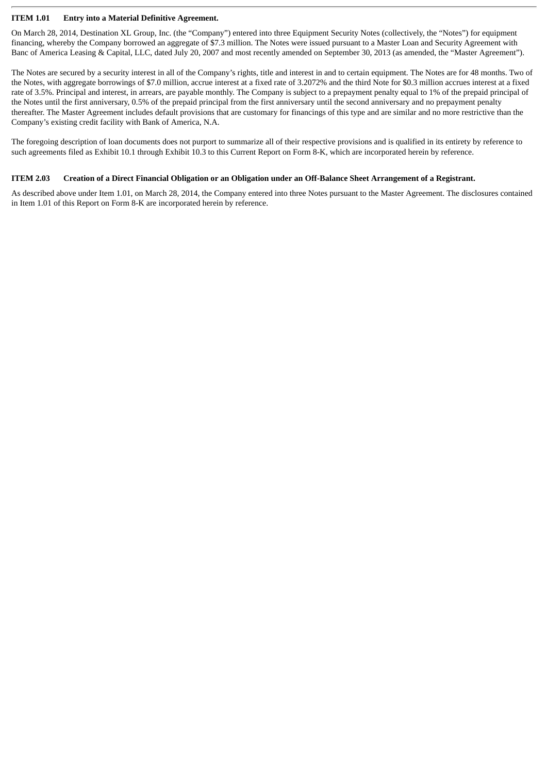### **ITEM 1.01 Entry into a Material Definitive Agreement.**

On March 28, 2014, Destination XL Group, Inc. (the "Company") entered into three Equipment Security Notes (collectively, the "Notes") for equipment financing, whereby the Company borrowed an aggregate of \$7.3 million. The Notes were issued pursuant to a Master Loan and Security Agreement with Banc of America Leasing & Capital, LLC, dated July 20, 2007 and most recently amended on September 30, 2013 (as amended, the "Master Agreement").

The Notes are secured by a security interest in all of the Company's rights, title and interest in and to certain equipment. The Notes are for 48 months. Two of the Notes, with aggregate borrowings of \$7.0 million, accrue interest at a fixed rate of 3.2072% and the third Note for \$0.3 million accrues interest at a fixed rate of 3.5%. Principal and interest, in arrears, are payable monthly. The Company is subject to a prepayment penalty equal to 1% of the prepaid principal of the Notes until the first anniversary, 0.5% of the prepaid principal from the first anniversary until the second anniversary and no prepayment penalty thereafter. The Master Agreement includes default provisions that are customary for financings of this type and are similar and no more restrictive than the Company's existing credit facility with Bank of America, N.A.

The foregoing description of loan documents does not purport to summarize all of their respective provisions and is qualified in its entirety by reference to such agreements filed as Exhibit 10.1 through Exhibit 10.3 to this Current Report on Form 8-K, which are incorporated herein by reference.

### ITEM 2.03 Creation of a Direct Financial Obligation or an Obligation under an Off-Balance Sheet Arrangement of a Registrant.

As described above under Item 1.01, on March 28, 2014, the Company entered into three Notes pursuant to the Master Agreement. The disclosures contained in Item 1.01 of this Report on Form 8-K are incorporated herein by reference.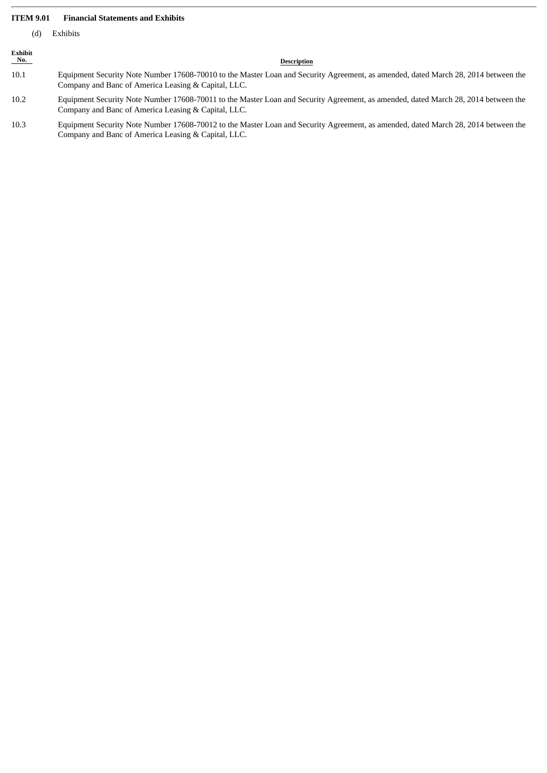### **ITEM 9.01 Financial Statements and Exhibits**

| Exhibits |
|----------|
|          |

| ٠<br>۰,<br>w |  |
|--------------|--|

# Exhibit<br>No.

#### **Description**

- 10.1 Equipment Security Note Number 17608-70010 to the Master Loan and Security Agreement, as amended, dated March 28, 2014 between the Company and Banc of America Leasing & Capital, LLC.
- 10.2 Equipment Security Note Number 17608-70011 to the Master Loan and Security Agreement, as amended, dated March 28, 2014 between the Company and Banc of America Leasing & Capital, LLC.
- 10.3 Equipment Security Note Number 17608-70012 to the Master Loan and Security Agreement, as amended, dated March 28, 2014 between the Company and Banc of America Leasing & Capital, LLC.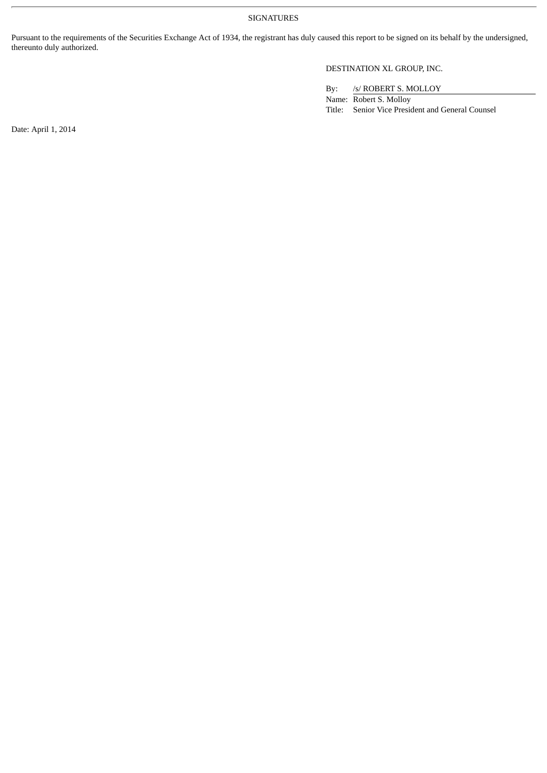SIGNATURES

Pursuant to the requirements of the Securities Exchange Act of 1934, the registrant has duly caused this report to be signed on its behalf by the undersigned, thereunto duly authorized.

### DESTINATION XL GROUP, INC.

By: /s/ ROBERT S. MOLLOY

Name: Robert S. Molloy Title: Senior Vice President and General Counsel

Date: April 1, 2014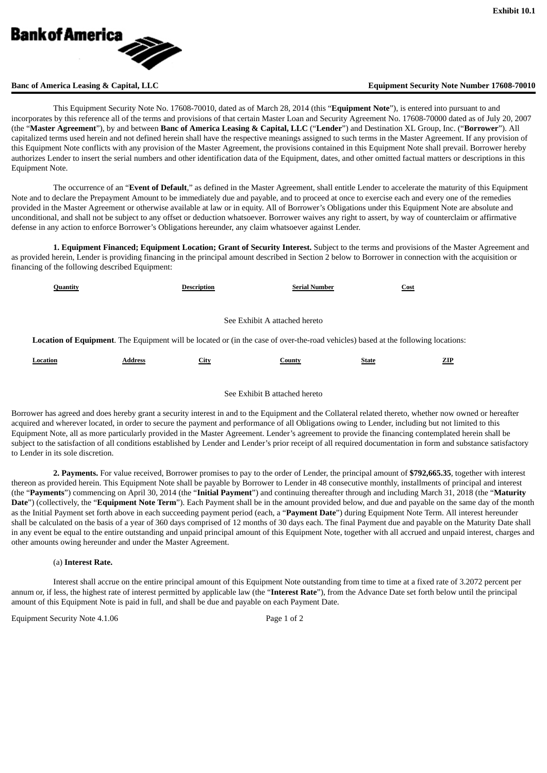

### **Banc of America Leasing & Capital, LLC Equipment Security Note Number 17608-70010**

This Equipment Security Note No. 17608-70010, dated as of March 28, 2014 (this "**Equipment Note**"), is entered into pursuant to and incorporates by this reference all of the terms and provisions of that certain Master Loan and Security Agreement No. 17608-70000 dated as of July 20, 2007 (the "**Master Agreement**"), by and between **Banc of America Leasing & Capital, LLC** ("**Lender**") and Destination XL Group, Inc. ("**Borrower**"). All capitalized terms used herein and not defined herein shall have the respective meanings assigned to such terms in the Master Agreement. If any provision of this Equipment Note conflicts with any provision of the Master Agreement, the provisions contained in this Equipment Note shall prevail. Borrower hereby authorizes Lender to insert the serial numbers and other identification data of the Equipment, dates, and other omitted factual matters or descriptions in this Equipment Note.

The occurrence of an "**Event of Default**," as defined in the Master Agreement, shall entitle Lender to accelerate the maturity of this Equipment Note and to declare the Prepayment Amount to be immediately due and payable, and to proceed at once to exercise each and every one of the remedies provided in the Master Agreement or otherwise available at law or in equity. All of Borrower's Obligations under this Equipment Note are absolute and unconditional, and shall not be subject to any offset or deduction whatsoever. Borrower waives any right to assert, by way of counterclaim or affirmative defense in any action to enforce Borrower's Obligations hereunder, any claim whatsoever against Lender.

**1. Equipment Financed; Equipment Location; Grant of Security Interest.** Subject to the terms and provisions of the Master Agreement and as provided herein, Lender is providing financing in the principal amount described in Section 2 below to Borrower in connection with the acquisition or financing of the following described Equipment:

| Quantity                                                                                                                                 |                | <b>Description</b> | <b>Serial Number</b> | Cost         |     |  |  |
|------------------------------------------------------------------------------------------------------------------------------------------|----------------|--------------------|----------------------|--------------|-----|--|--|
|                                                                                                                                          |                |                    |                      |              |     |  |  |
| See Exhibit A attached hereto                                                                                                            |                |                    |                      |              |     |  |  |
| <b>Location of Equipment.</b> The Equipment will be located or (in the case of over-the-road vehicles) based at the following locations: |                |                    |                      |              |     |  |  |
| Location                                                                                                                                 | <b>Address</b> | <b>City</b>        | County               | <b>State</b> | ZIP |  |  |

#### See Exhibit B attached hereto

Borrower has agreed and does hereby grant a security interest in and to the Equipment and the Collateral related thereto, whether now owned or hereafter acquired and wherever located, in order to secure the payment and performance of all Obligations owing to Lender, including but not limited to this Equipment Note, all as more particularly provided in the Master Agreement. Lender's agreement to provide the financing contemplated herein shall be subject to the satisfaction of all conditions established by Lender and Lender's prior receipt of all required documentation in form and substance satisfactory to Lender in its sole discretion.

**2. Payments.** For value received, Borrower promises to pay to the order of Lender, the principal amount of **\$792,665.35**, together with interest thereon as provided herein. This Equipment Note shall be payable by Borrower to Lender in 48 consecutive monthly, installments of principal and interest (the "**Payments**") commencing on April 30, 2014 (the "**Initial Payment**") and continuing thereafter through and including March 31, 2018 (the "**Maturity Date**") (collectively, the "**Equipment Note Term**"). Each Payment shall be in the amount provided below, and due and payable on the same day of the month as the Initial Payment set forth above in each succeeding payment period (each, a "**Payment Date**") during Equipment Note Term. All interest hereunder shall be calculated on the basis of a year of 360 days comprised of 12 months of 30 days each. The final Payment due and payable on the Maturity Date shall in any event be equal to the entire outstanding and unpaid principal amount of this Equipment Note, together with all accrued and unpaid interest, charges and other amounts owing hereunder and under the Master Agreement.

#### (a) **Interest Rate.**

Interest shall accrue on the entire principal amount of this Equipment Note outstanding from time to time at a fixed rate of 3.2072 percent per annum or, if less, the highest rate of interest permitted by applicable law (the "**Interest Rate**"), from the Advance Date set forth below until the principal amount of this Equipment Note is paid in full, and shall be due and payable on each Payment Date.

Equipment Security Note 4.1.06 Page 1 of 2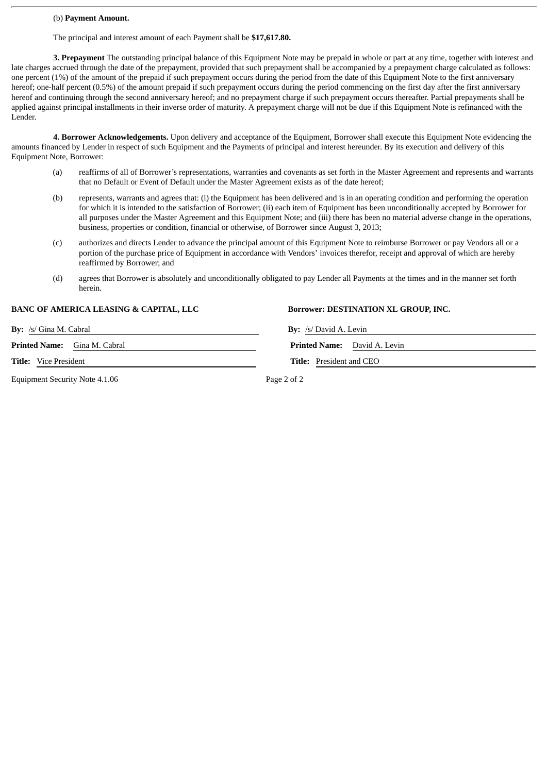#### (b) **Payment Amount.**

The principal and interest amount of each Payment shall be **\$17,617.80.**

**3. Prepayment** The outstanding principal balance of this Equipment Note may be prepaid in whole or part at any time, together with interest and late charges accrued through the date of the prepayment, provided that such prepayment shall be accompanied by a prepayment charge calculated as follows: one percent (1%) of the amount of the prepaid if such prepayment occurs during the period from the date of this Equipment Note to the first anniversary hereof; one-half percent (0.5%) of the amount prepaid if such prepayment occurs during the period commencing on the first day after the first anniversary hereof and continuing through the second anniversary hereof; and no prepayment charge if such prepayment occurs thereafter. Partial prepayments shall be applied against principal installments in their inverse order of maturity. A prepayment charge will not be due if this Equipment Note is refinanced with the Lender.

**4. Borrower Acknowledgements.** Upon delivery and acceptance of the Equipment, Borrower shall execute this Equipment Note evidencing the amounts financed by Lender in respect of such Equipment and the Payments of principal and interest hereunder. By its execution and delivery of this Equipment Note, Borrower:

- (a) reaffirms of all of Borrower's representations, warranties and covenants as set forth in the Master Agreement and represents and warrants that no Default or Event of Default under the Master Agreement exists as of the date hereof;
- (b) represents, warrants and agrees that: (i) the Equipment has been delivered and is in an operating condition and performing the operation for which it is intended to the satisfaction of Borrower; (ii) each item of Equipment has been unconditionally accepted by Borrower for all purposes under the Master Agreement and this Equipment Note; and (iii) there has been no material adverse change in the operations, business, properties or condition, financial or otherwise, of Borrower since August 3, 2013;
- (c) authorizes and directs Lender to advance the principal amount of this Equipment Note to reimburse Borrower or pay Vendors all or a portion of the purchase price of Equipment in accordance with Vendors' invoices therefor, receipt and approval of which are hereby reaffirmed by Borrower; and
- (d) agrees that Borrower is absolutely and unconditionally obligated to pay Lender all Payments at the times and in the manner set forth herein.

#### **BANC OF AMERICA LEASING & CAPITAL, LLC Borrower: DESTINATION XL GROUP, INC.**

**By:** /s/ Gina M. Cabral **By:** /s/ David A. Levin

**Printed Name:** Gina M. Cabral

**Title:** Vice President **Title:** President and CEO

Equipment Security Note 4.1.06 Page 2 of 2

|                            | <b>Printed Name:</b> David A. Levin |
|----------------------------|-------------------------------------|
| $Tith$ Prosident and $CFO$ |                                     |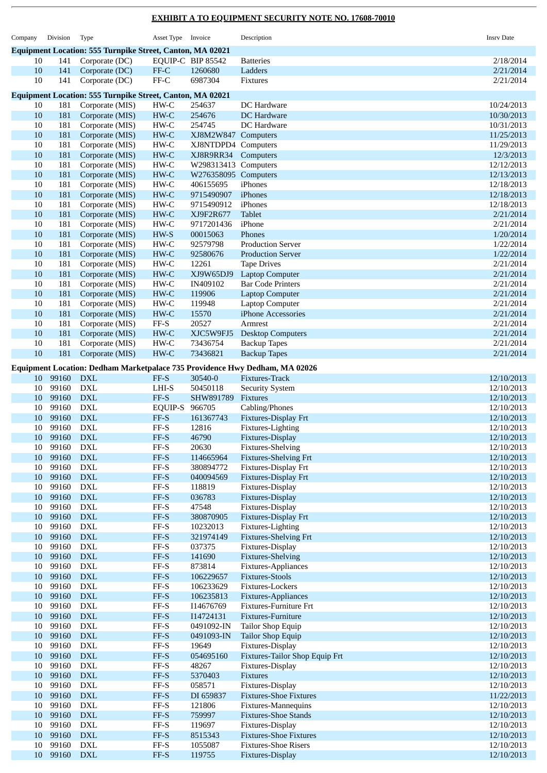| Company  | Division       | Type                                                             | Asset Type Invoice                                           |                                   | Description                                                                 | <b>Insrv Date</b>        |
|----------|----------------|------------------------------------------------------------------|--------------------------------------------------------------|-----------------------------------|-----------------------------------------------------------------------------|--------------------------|
|          |                | <b>Equipment Location: 555 Turnpike Street, Canton, MA 02021</b> |                                                              |                                   |                                                                             |                          |
| 10       | 141            | Corporate (DC)                                                   |                                                              | EQUIP-C BIP 85542                 | <b>Batteries</b>                                                            | 2/18/2014                |
| 10       | 141            | Corporate (DC)                                                   | FF-C                                                         | 1260680                           | Ladders                                                                     | 2/21/2014                |
| 10       | 141            | Corporate (DC)                                                   | $\ensuremath{\mathsf{FF}\text{-}\mathsf{C}}$                 | 6987304                           | Fixtures                                                                    | 2/21/2014                |
|          |                | Equipment Location: 555 Turnpike Street, Canton, MA 02021        |                                                              |                                   |                                                                             |                          |
| 10       | 181            | Corporate (MIS)                                                  | $HW-C$                                                       | 254637                            | DC Hardware                                                                 | 10/24/2013               |
| 10       | 181            | Corporate (MIS)                                                  | HW-C                                                         | 254676                            | DC Hardware                                                                 | 10/30/2013               |
| 10       | 181            | Corporate (MIS)                                                  | HW-C                                                         | 254745                            | DC Hardware                                                                 | 10/31/2013               |
| 10       | 181            | Corporate (MIS)                                                  | HW-C                                                         | XJ8M2W847 Computers               |                                                                             | 11/25/2013               |
| 10       | 181            | Corporate (MIS)                                                  | $HW-C$                                                       | XJ8NTDPD4 Computers               |                                                                             | 11/29/2013               |
| 10<br>10 | 181<br>181     | Corporate (MIS)<br>Corporate (MIS)                               | $HW-C$<br>$HW-C$                                             | XJ8R9RR34<br>W298313413 Computers | Computers                                                                   | 12/3/2013<br>12/12/2013  |
| $10\,$   | 181            | Corporate (MIS)                                                  | $HW-C$                                                       | W276358095 Computers              |                                                                             | 12/13/2013               |
| 10       | 181            | Corporate (MIS)                                                  | $HW-C$                                                       | 406155695                         | iPhones                                                                     | 12/18/2013               |
| $10\,$   | 181            | Corporate (MIS)                                                  | $HW-C$                                                       | 9715490907                        | iPhones                                                                     | 12/18/2013               |
| 10       | 181            | Corporate (MIS)                                                  | $HW-C$                                                       | 9715490912                        | iPhones                                                                     | 12/18/2013               |
| 10       | 181            | Corporate (MIS)                                                  | HW-C                                                         | XJ9F2R677                         | <b>Tablet</b>                                                               | 2/21/2014                |
| 10       | 181            | Corporate (MIS)                                                  | HW-C                                                         | 9717201436                        | iPhone                                                                      | 2/21/2014                |
| 10       | 181            | Corporate (MIS)                                                  | HW-S                                                         | 00015063                          | Phones                                                                      | 1/20/2014                |
| $10\,$   | 181            | Corporate (MIS)                                                  | $HW-C$                                                       | 92579798                          | <b>Production Server</b>                                                    | 1/22/2014                |
| 10       | 181            | Corporate (MIS)                                                  | $HW-C$                                                       | 92580676                          | <b>Production Server</b>                                                    | 1/22/2014                |
| 10       | 181            | Corporate (MIS)                                                  | $HW-C$                                                       | 12261                             | <b>Tape Drives</b>                                                          | 2/21/2014                |
| $10\,$   | 181            | Corporate (MIS)                                                  | $HW-C$                                                       | XJ9W65DJ9                         | <b>Laptop Computer</b>                                                      | 2/21/2014                |
| 10       | 181            | Corporate (MIS)                                                  | $HW-C$                                                       | IN409102                          | <b>Bar Code Printers</b>                                                    | 2/21/2014                |
| $10\,$   | 181            | Corporate (MIS)                                                  | $HW-C$                                                       | 119906                            | <b>Laptop Computer</b>                                                      | 2/21/2014                |
| 10       | 181            | Corporate (MIS)                                                  | $HW-C$                                                       | 119948                            | <b>Laptop Computer</b>                                                      | 2/21/2014                |
| 10       | 181            | Corporate (MIS)                                                  | HW-C                                                         | 15570                             | iPhone Accessories                                                          | 2/21/2014                |
| 10       | 181            | Corporate (MIS)                                                  | FF-S                                                         | 20527                             | Armrest                                                                     | 2/21/2014                |
| 10       | 181            | Corporate (MIS)                                                  | HW-C                                                         | XJC5W9FJ5                         | <b>Desktop Computers</b>                                                    | 2/21/2014                |
| $10\,$   | 181            | Corporate (MIS)                                                  | $HW-C$                                                       | 73436754                          | <b>Backup Tapes</b>                                                         | 2/21/2014                |
| 10       | 181            | Corporate (MIS)                                                  | $HW-C$                                                       | 73436821                          | <b>Backup Tapes</b>                                                         | 2/21/2014                |
|          |                |                                                                  |                                                              |                                   | Equipment Location: Dedham Marketpalace 735 Providence Hwy Dedham, MA 02026 |                          |
| 10       | 99160          | <b>DXL</b>                                                       | FF-S                                                         | 30540-0                           | Fixtures-Track                                                              | 12/10/2013               |
| 10       | 99160          | <b>DXL</b>                                                       | LHI-S                                                        | 50450118                          | <b>Security System</b>                                                      | 12/10/2013               |
| 10       | 99160          | $\mathbf{DXL}$                                                   | FF-S                                                         | SHW891789                         | Fixtures                                                                    | 12/10/2013               |
| 10       | 99160          | <b>DXL</b>                                                       | EQUIP-S                                                      | 966705                            | Cabling/Phones                                                              | 12/10/2013               |
| 10       | 99160          | <b>DXL</b>                                                       | FF-S<br>$\rm FF\text{-}S$                                    | 161367743<br>12816                | Fixtures-Display Frt                                                        | 12/10/2013               |
| 10<br>10 | 99160<br>99160 | <b>DXL</b><br><b>DXL</b>                                         | $FF-S$                                                       | 46790                             | Fixtures-Lighting<br>Fixtures-Display                                       | 12/10/2013               |
|          | 10 99160       | DXL                                                              | FF-S                                                         | 20630                             | Fixtures-Shelving                                                           | 12/10/2013<br>12/10/2013 |
| 10       | 99160          | <b>DXL</b>                                                       | $\ensuremath{\mathsf{FF-S}}$                                 | 114665964                         | <b>Fixtures-Shelving Frt</b>                                                | 12/10/2013               |
| 10       | 99160          | <b>DXL</b>                                                       | $FF-S$                                                       | 380894772                         | Fixtures-Display Frt                                                        | 12/10/2013               |
| 10       | 99160          | $\mathbf{DXL}$                                                   | $FF-S$                                                       | 040094569                         | Fixtures-Display Frt                                                        | 12/10/2013               |
| 10       | 99160          | <b>DXL</b>                                                       | $\ensuremath{\mathsf{FF-S}}$                                 | 118819                            | Fixtures-Display                                                            | 12/10/2013               |
| 10       | 99160          | <b>DXL</b>                                                       | $FF-S$                                                       | 036783                            | Fixtures-Display                                                            | 12/10/2013               |
| 10       | 99160          | <b>DXL</b>                                                       | $\ensuremath{\mathsf{FF-S}}$                                 | 47548                             | Fixtures-Display                                                            | 12/10/2013               |
| 10       | 99160          | $\mathbf{DXL}$                                                   | $\ensuremath{\mathsf{FF-S}}$                                 | 380870905                         | Fixtures-Display Frt                                                        | 12/10/2013               |
| 10       | 99160          | <b>DXL</b>                                                       | $\ensuremath{\mathsf{FF-S}}$                                 | 10232013                          | Fixtures-Lighting                                                           | 12/10/2013               |
| 10       | 99160          | ${\rm DXL}$                                                      | $FF-S$                                                       | 321974149                         | <b>Fixtures-Shelving Frt</b>                                                | 12/10/2013               |
| 10       | 99160          | $\mathop{\rm DXL}\nolimits$                                      | $\ensuremath{\mathsf{FF-S}}$                                 | 037375                            | Fixtures-Display                                                            | 12/10/2013               |
| 10       | 99160          | <b>DXL</b>                                                       | FF-S                                                         | 141690                            | <b>Fixtures-Shelving</b>                                                    | 12/10/2013               |
| 10       | 99160          | <b>DXL</b>                                                       | $\ensuremath{\mathsf{FF-S}}$                                 | 873814                            | Fixtures-Appliances                                                         | 12/10/2013               |
| 10       | 99160          | <b>DXL</b>                                                       | $\ensuremath{\mathsf{FF-S}}$                                 | 106229657                         | <b>Fixtures-Stools</b>                                                      | 12/10/2013               |
| 10       | 99160          | <b>DXL</b>                                                       | $\ensuremath{\mathsf{FF-S}}$                                 | 106233629                         | Fixtures-Lockers                                                            | 12/10/2013               |
| 10       | 99160          | <b>DXL</b>                                                       | $FF-S$                                                       | 106235813                         | Fixtures-Appliances                                                         | 12/10/2013               |
| 10       | 99160          | <b>DXL</b>                                                       | $\ensuremath{\mathsf{FF-S}}$                                 | I14676769                         | Fixtures-Furniture Frt                                                      | 12/10/2013               |
| 10       | 99160          | <b>DXL</b>                                                       | $\ensuremath{\mathsf{FF-S}}$                                 | I14724131                         | Fixtures-Furniture                                                          | 12/10/2013               |
| 10<br>10 | 99160<br>99160 | $\mathop{\rm DXL}\nolimits$<br>${\rm DXL}$                       | $\ensuremath{\mathsf{FF-S}}$<br>$\ensuremath{\mathsf{FF-S}}$ | 0491092-IN                        | Tailor Shop Equip                                                           | 12/10/2013               |
| 10       | 99160          | $\mathop{\rm DXL}\nolimits$                                      | $\ensuremath{\mathsf{FF-S}}$                                 | 0491093-IN<br>19649               | <b>Tailor Shop Equip</b><br>Fixtures-Display                                | 12/10/2013<br>12/10/2013 |
| 10       | 99160          | <b>DXL</b>                                                       | $\ensuremath{\mathsf{FF-S}}$                                 | 054695160                         | Fixtures-Tailor Shop Equip Frt                                              | 12/10/2013               |
| 10       | 99160          | $\mathbf{DXL}$                                                   | $\ensuremath{\mathsf{FF-S}}$                                 | 48267                             | Fixtures-Display                                                            | 12/10/2013               |
| 10       | 99160          | <b>DXL</b>                                                       | $\ensuremath{\mathsf{FF-S}}$                                 | 5370403                           | Fixtures                                                                    | 12/10/2013               |
| 10       | 99160          | $\mathop{\rm DXL}\nolimits$                                      | FF-S                                                         | 058571                            | Fixtures-Display                                                            | 12/10/2013               |
| 10       | 99160          | <b>DXL</b>                                                       | $\ensuremath{\mathsf{FF-S}}$                                 | DI 659837                         | <b>Fixtures-Shoe Fixtures</b>                                               | 11/22/2013               |
| 10       | 99160          | <b>DXL</b>                                                       | $\ensuremath{\mathsf{FF-S}}$                                 | 121806                            | Fixtures-Mannequins                                                         | 12/10/2013               |
| 10       | 99160          | $\mathbf{DXL}$                                                   | $FF-S$                                                       | 759997                            | <b>Fixtures-Shoe Stands</b>                                                 | 12/10/2013               |
| 10       | 99160          | <b>DXL</b>                                                       | $\ensuremath{\mathsf{FF-S}}$                                 | 119697                            | Fixtures-Display                                                            | 12/10/2013               |
| 10       | 99160          | ${\rm DXL}$                                                      | $\ensuremath{\mathsf{FF-S}}$                                 | 8515343                           | <b>Fixtures-Shoe Fixtures</b>                                               | 12/10/2013               |
| 10       | 99160          | $\mathop{\rm DXL}\nolimits$                                      | $\ensuremath{\mathsf{FF-S}}$                                 | 1055087                           | <b>Fixtures-Shoe Risers</b>                                                 | 12/10/2013               |
| 10       | 99160          | <b>DXL</b>                                                       | $\ensuremath{\mathsf{FF-S}}$                                 | 119755                            | Fixtures-Display                                                            | 12/10/2013               |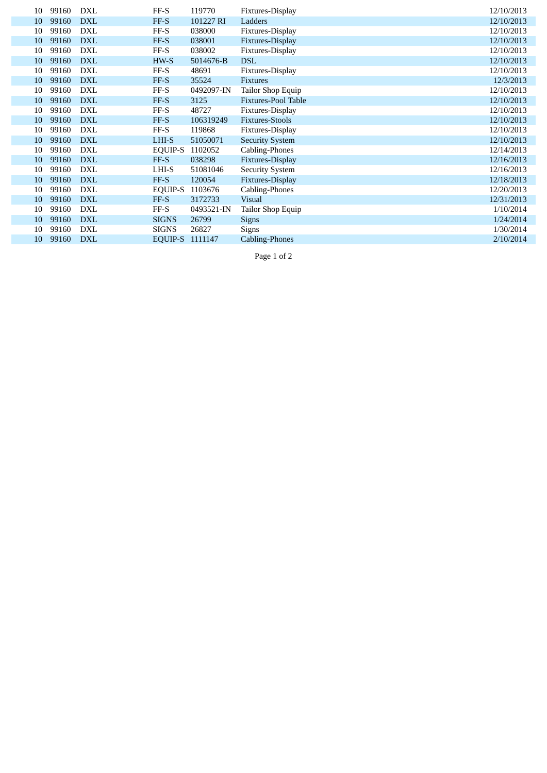| 10 | 99160 | DXL        | FF-S            | 119770     | Fixtures-Display           | 12/10/2013 |
|----|-------|------------|-----------------|------------|----------------------------|------------|
| 10 | 99160 | <b>DXL</b> | FF-S            | 101227 RI  | Ladders                    | 12/10/2013 |
| 10 | 99160 | <b>DXL</b> | FF-S            | 038000     | Fixtures-Display           | 12/10/2013 |
| 10 | 99160 | <b>DXL</b> | FF-S            | 038001     | Fixtures-Display           | 12/10/2013 |
| 10 | 99160 | <b>DXL</b> | FF-S            | 038002     | Fixtures-Display           | 12/10/2013 |
| 10 | 99160 | <b>DXL</b> | HW-S            | 5014676-B  | <b>DSL</b>                 | 12/10/2013 |
| 10 | 99160 | <b>DXL</b> | FF-S            | 48691      | Fixtures-Display           | 12/10/2013 |
| 10 | 99160 | <b>DXL</b> | FF-S            | 35524      | <b>Fixtures</b>            | 12/3/2013  |
| 10 | 99160 | <b>DXL</b> | FF-S            | 0492097-IN | Tailor Shop Equip          | 12/10/2013 |
| 10 | 99160 | <b>DXL</b> | FF-S            | 3125       | <b>Fixtures-Pool Table</b> | 12/10/2013 |
| 10 | 99160 | <b>DXL</b> | FF-S            | 48727      | Fixtures-Display           | 12/10/2013 |
| 10 | 99160 | <b>DXL</b> | FF-S            | 106319249  | Fixtures-Stools            | 12/10/2013 |
| 10 | 99160 | <b>DXL</b> | FF-S            | 119868     | Fixtures-Display           | 12/10/2013 |
| 10 | 99160 | <b>DXL</b> | LHI-S           | 51050071   | <b>Security System</b>     | 12/10/2013 |
| 10 | 99160 | <b>DXL</b> | EQUIP-S         | 1102052    | Cabling-Phones             | 12/14/2013 |
| 10 | 99160 | <b>DXL</b> | FF-S            | 038298     | Fixtures-Display           | 12/16/2013 |
| 10 | 99160 | DXL        | LHI-S           | 51081046   | <b>Security System</b>     | 12/16/2013 |
| 10 | 99160 | <b>DXL</b> | FF-S            | 120054     | Fixtures-Display           | 12/18/2013 |
| 10 | 99160 | DXL        | EQUIP-S         | 1103676    | Cabling-Phones             | 12/20/2013 |
| 10 | 99160 | <b>DXL</b> | FF-S            | 3172733    | <b>Visual</b>              | 12/31/2013 |
| 10 | 99160 | <b>DXL</b> | FF-S            | 0493521-IN | Tailor Shop Equip          | 1/10/2014  |
| 10 | 99160 | <b>DXL</b> | <b>SIGNS</b>    | 26799      | <b>Signs</b>               | 1/24/2014  |
| 10 | 99160 | <b>DXL</b> | <b>SIGNS</b>    | 26827      | Signs                      | 1/30/2014  |
| 10 | 99160 | <b>DXL</b> | EQUIP-S 1111147 |            | Cabling-Phones             | 2/10/2014  |

Page 1 of 2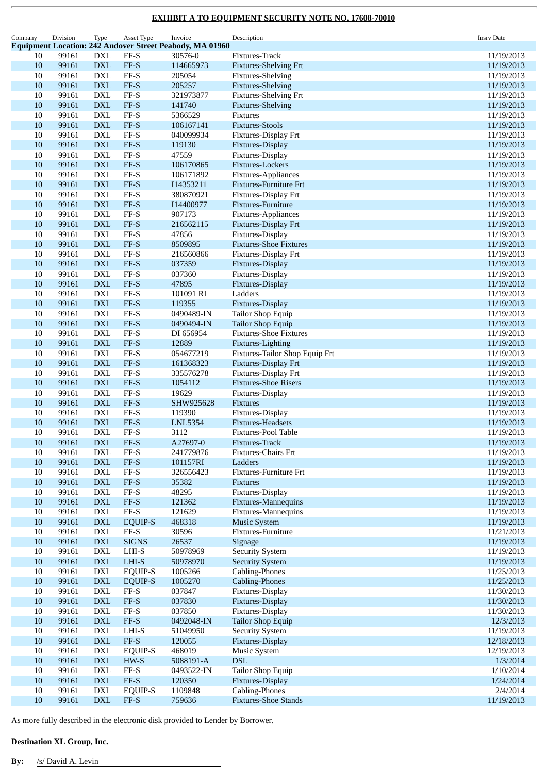| Company  | Division       | Type                         | Asset Type                   | Invoice                                                         | Description                                     | <b>Insrv Date</b>        |
|----------|----------------|------------------------------|------------------------------|-----------------------------------------------------------------|-------------------------------------------------|--------------------------|
|          |                |                              |                              | <b>Equipment Location: 242 Andover Street Peabody, MA 01960</b> |                                                 |                          |
| 10       | 99161          | <b>DXL</b>                   | $FF-S$                       | 30576-0                                                         | Fixtures-Track                                  | 11/19/2013               |
| 10       | 99161          | <b>DXL</b>                   | $FF-S$                       | 114665973                                                       | <b>Fixtures-Shelving Frt</b>                    | 11/19/2013               |
| 10<br>10 | 99161<br>99161 | <b>DXL</b><br><b>DXL</b>     | FF-S<br>FF-S                 | 205054<br>205257                                                | Fixtures-Shelving<br>Fixtures-Shelving          | 11/19/2013<br>11/19/2013 |
| 10       | 99161          | <b>DXL</b>                   | $FF-S$                       | 321973877                                                       | <b>Fixtures-Shelving Frt</b>                    | 11/19/2013               |
| 10       | 99161          | <b>DXL</b>                   | FF-S                         | 141740                                                          | Fixtures-Shelving                               | 11/19/2013               |
| 10       | 99161          | <b>DXL</b>                   | $FF-S$                       | 5366529                                                         | Fixtures                                        | 11/19/2013               |
| 10       | 99161          | <b>DXL</b>                   | FF-S                         | 106167141                                                       | <b>Fixtures-Stools</b>                          | 11/19/2013               |
| 10       | 99161          | <b>DXL</b>                   | FF-S                         | 040099934                                                       | Fixtures-Display Frt                            | 11/19/2013               |
| 10       | 99161          | <b>DXL</b>                   | $FF-S$                       | 119130                                                          | Fixtures-Display                                | 11/19/2013               |
| 10       | 99161          | <b>DXL</b>                   | $FF-S$                       | 47559                                                           | Fixtures-Display                                | 11/19/2013               |
| 10       | 99161          | <b>DXL</b>                   | $FF-S$                       | 106170865                                                       | Fixtures-Lockers                                | 11/19/2013               |
| 10       | 99161          | <b>DXL</b>                   | $FF-S$                       | 106171892                                                       | Fixtures-Appliances                             | 11/19/2013               |
| $10\,$   | 99161          | <b>DXL</b>                   | FF-S                         | I14353211                                                       | <b>Fixtures-Furniture Frt</b>                   | 11/19/2013               |
| 10       | 99161          | <b>DXL</b>                   | FF-S                         | 380870921                                                       | Fixtures-Display Frt                            | 11/19/2013               |
| 10       | 99161          | <b>DXL</b>                   | FF-S                         | I14400977                                                       | Fixtures-Furniture                              | 11/19/2013               |
| 10       | 99161          | <b>DXL</b>                   | $FF-S$                       | 907173                                                          | Fixtures-Appliances                             | 11/19/2013               |
| 10<br>10 | 99161<br>99161 | <b>DXL</b><br>$\mathbf{DXL}$ | $FF-S$<br>FF-S               | 216562115<br>47856                                              | Fixtures-Display Frt<br>Fixtures-Display        | 11/19/2013<br>11/19/2013 |
| 10       | 99161          | <b>DXL</b>                   | FF-S                         | 8509895                                                         | <b>Fixtures-Shoe Fixtures</b>                   | 11/19/2013               |
| 10       | 99161          | <b>DXL</b>                   | $FF-S$                       | 216560866                                                       | Fixtures-Display Frt                            | 11/19/2013               |
| 10       | 99161          | <b>DXL</b>                   | $FF-S$                       | 037359                                                          | Fixtures-Display                                | 11/19/2013               |
| 10       | 99161          | <b>DXL</b>                   | $FF-S$                       | 037360                                                          | Fixtures-Display                                | 11/19/2013               |
| $10\,$   | 99161          | <b>DXL</b>                   | $FF-S$                       | 47895                                                           | Fixtures-Display                                | 11/19/2013               |
| 10       | 99161          | <b>DXL</b>                   | FF-S                         | 101091 RI                                                       | Ladders                                         | 11/19/2013               |
| 10       | 99161          | <b>DXL</b>                   | $FF-S$                       | 119355                                                          | Fixtures-Display                                | 11/19/2013               |
| 10       | 99161          | <b>DXL</b>                   | $FF-S$                       | 0490489-IN                                                      | Tailor Shop Equip                               | 11/19/2013               |
| 10       | 99161          | <b>DXL</b>                   | FF-S                         | 0490494-IN                                                      | <b>Tailor Shop Equip</b>                        | 11/19/2013               |
| 10       | 99161          | <b>DXL</b>                   | $FF-S$                       | DI 656954                                                       | <b>Fixtures-Shoe Fixtures</b>                   | 11/19/2013               |
| 10       | 99161          | <b>DXL</b>                   | FF-S                         | 12889                                                           | Fixtures-Lighting                               | 11/19/2013               |
| 10       | 99161          | <b>DXL</b>                   | FF-S                         | 054677219                                                       | Fixtures-Tailor Shop Equip Frt                  | 11/19/2013               |
| 10       | 99161          | <b>DXL</b>                   | $FF-S$                       | 161368323                                                       | Fixtures-Display Frt                            | 11/19/2013               |
| 10       | 99161          | <b>DXL</b>                   | $FF-S$                       | 335576278                                                       | Fixtures-Display Frt                            | 11/19/2013               |
| 10<br>10 | 99161<br>99161 | <b>DXL</b><br><b>DXL</b>     | $FF-S$<br>$FF-S$             | 1054112<br>19629                                                | <b>Fixtures-Shoe Risers</b><br>Fixtures-Display | 11/19/2013<br>11/19/2013 |
| 10       | 99161          | <b>DXL</b>                   | FF-S                         | SHW925628                                                       | Fixtures                                        | 11/19/2013               |
| 10       | 99161          | <b>DXL</b>                   | $FF-S$                       | 119390                                                          | Fixtures-Display                                | 11/19/2013               |
| 10       | 99161          | <b>DXL</b>                   | $FF-S$                       | <b>LNL5354</b>                                                  | <b>Fixtures-Headsets</b>                        | 11/19/2013               |
| 10       | 99161          | <b>DXL</b>                   | $FF-S$                       | 3112                                                            | Fixtures-Pool Table                             | 11/19/2013               |
| 10       | 99161          | <b>DXL</b>                   | FF-S                         | A27697-0                                                        | Fixtures-Track                                  | 11/19/2013               |
| 10       | 99161          | <b>DXL</b>                   | $FF-S$                       | 241779876                                                       | Fixtures-Chairs Frt                             | 11/19/2013               |
| 10       | 99161          | <b>DXL</b>                   | $FF-S$                       | 101157RI                                                        | Ladders                                         | 11/19/2013               |
| 10       | 99161          | <b>DXL</b>                   | $\ensuremath{\mathsf{FF-S}}$ | 326556423                                                       | Fixtures-Furniture Frt                          | 11/19/2013               |
| $10\,$   | 99161          | <b>DXL</b>                   | $FF-S$                       | 35382                                                           | <b>Fixtures</b>                                 | 11/19/2013               |
| 10       | 99161          | <b>DXL</b>                   | $FF-S$                       | 48295                                                           | Fixtures-Display                                | 11/19/2013               |
| 10       | 99161          | <b>DXL</b>                   | $FF-S$                       | 121362                                                          | Fixtures-Mannequins                             | 11/19/2013               |
| 10       | 99161          | <b>DXL</b>                   | $\ensuremath{\mathsf{FF-S}}$ | 121629                                                          | Fixtures-Mannequins                             | 11/19/2013               |
| 10       | 99161          | <b>DXL</b>                   | <b>EQUIP-S</b>               | 468318                                                          | <b>Music System</b>                             | 11/19/2013               |
| 10       | 99161          | DXL                          | FF-S                         | 30596                                                           | Fixtures-Furniture                              | 11/21/2013               |
| 10<br>10 | 99161<br>99161 | <b>DXL</b><br><b>DXL</b>     | <b>SIGNS</b><br>LHI-S        | 26537<br>50978969                                               | Signage<br><b>Security System</b>               | 11/19/2013<br>11/19/2013 |
| 10       | 99161          | <b>DXL</b>                   | $LHI-S$                      | 50978970                                                        | <b>Security System</b>                          | 11/19/2013               |
| 10       | 99161          | <b>DXL</b>                   | <b>EQUIP-S</b>               | 1005266                                                         | Cabling-Phones                                  | 11/25/2013               |
| $10\,$   | 99161          | <b>DXL</b>                   | <b>EQUIP-S</b>               | 1005270                                                         | Cabling-Phones                                  | 11/25/2013               |
| 10       | 99161          | $\mathop{\rm DXL}\nolimits$  | $\ensuremath{\mathsf{FF-S}}$ | 037847                                                          | Fixtures-Display                                | 11/30/2013               |
| 10       | 99161          | <b>DXL</b>                   | $FF-S$                       | 037830                                                          | Fixtures-Display                                | 11/30/2013               |
| 10       | 99161          | <b>DXL</b>                   | $\ensuremath{\mathsf{FF-S}}$ | 037850                                                          | Fixtures-Display                                | 11/30/2013               |
| 10       | 99161          | <b>DXL</b>                   | $\ensuremath{\mathsf{FF-S}}$ | 0492048-IN                                                      | <b>Tailor Shop Equip</b>                        | 12/3/2013                |
| 10       | 99161          | DXL                          | $LHI-S$                      | 51049950                                                        | <b>Security System</b>                          | 11/19/2013               |
| 10       | 99161          | <b>DXL</b>                   | $FF-S$                       | 120055                                                          | Fixtures-Display                                | 12/18/2013               |
| 10       | 99161          | <b>DXL</b>                   | <b>EQUIP-S</b>               | 468019                                                          | Music System                                    | 12/19/2013               |
| 10       | 99161          | <b>DXL</b>                   | HW-S                         | 5088191-A                                                       | <b>DSL</b>                                      | 1/3/2014                 |
| 10       | 99161          | <b>DXL</b>                   | $FF-S$                       | 0493522-IN                                                      | Tailor Shop Equip                               | 1/10/2014                |
| $10\,$   | 99161          | <b>DXL</b>                   | $FF-S$                       | 120350                                                          | Fixtures-Display                                | 1/24/2014                |
| 10       | 99161          | <b>DXL</b>                   | <b>EQUIP-S</b>               | 1109848                                                         | Cabling-Phones                                  | 2/4/2014                 |
| $10\,$   | 99161          | <b>DXL</b>                   | $FF-S$                       | 759636                                                          | <b>Fixtures-Shoe Stands</b>                     | 11/19/2013               |

As more fully described in the electronic disk provided to Lender by Borrower.

### **Destination XL Group, Inc.**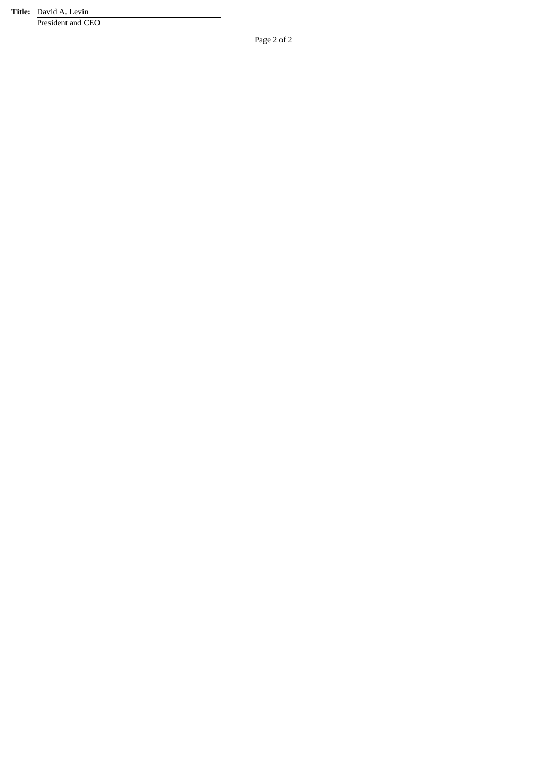**Title:** David A. Levin President and CEO

Page 2 of 2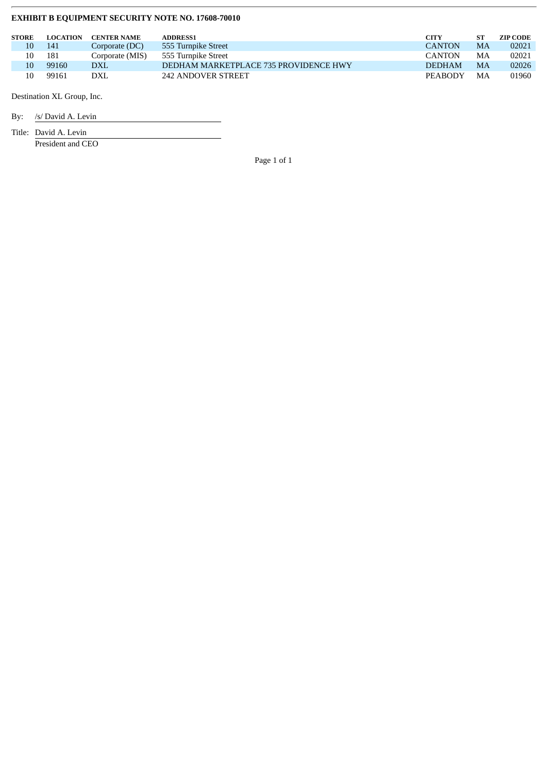| <b>STORE</b> | <b>LOCATION</b> | <b>CENTER NAME</b> | <b>ADDRESS1</b>                       | CITY           | SТ | <b>ZIP CODE</b> |
|--------------|-----------------|--------------------|---------------------------------------|----------------|----|-----------------|
|              | 141             | Corporate (DC)     | 555 Turnpike Street                   | <b>CANTON</b>  | MA | 02021           |
|              | 181             | Corporate (MIS)    | 555 Turnpike Street                   | <b>CANTON</b>  | MA | 02021           |
|              | 99160           | <b>DXL</b>         | DEDHAM MARKETPLACE 735 PROVIDENCE HWY | <b>DEDHAM</b>  | MA | 02026           |
|              | 99161           | DXL                | 242 ANDOVER STREET                    | <b>PEARODY</b> | MA | 01960           |

Destination XL Group, Inc.

By: /s/ David A. Levin

Title: David A. Levin

President and CEO

Page 1 of 1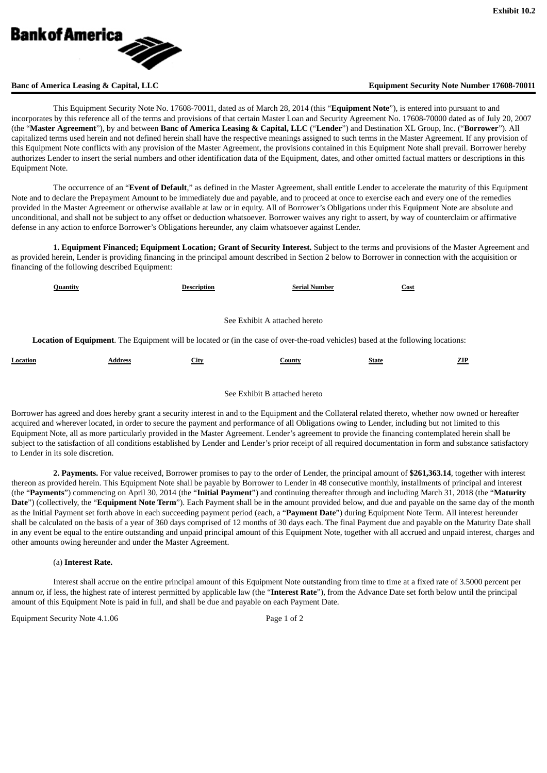

### **Banc of America Leasing & Capital, LLC Equipment Security Note Number 17608-70011**

This Equipment Security Note No. 17608-70011, dated as of March 28, 2014 (this "**Equipment Note**"), is entered into pursuant to and incorporates by this reference all of the terms and provisions of that certain Master Loan and Security Agreement No. 17608-70000 dated as of July 20, 2007 (the "**Master Agreement**"), by and between **Banc of America Leasing & Capital, LLC** ("**Lender**") and Destination XL Group, Inc. ("**Borrower**"). All capitalized terms used herein and not defined herein shall have the respective meanings assigned to such terms in the Master Agreement. If any provision of this Equipment Note conflicts with any provision of the Master Agreement, the provisions contained in this Equipment Note shall prevail. Borrower hereby authorizes Lender to insert the serial numbers and other identification data of the Equipment, dates, and other omitted factual matters or descriptions in this Equipment Note.

The occurrence of an "**Event of Default**," as defined in the Master Agreement, shall entitle Lender to accelerate the maturity of this Equipment Note and to declare the Prepayment Amount to be immediately due and payable, and to proceed at once to exercise each and every one of the remedies provided in the Master Agreement or otherwise available at law or in equity. All of Borrower's Obligations under this Equipment Note are absolute and unconditional, and shall not be subject to any offset or deduction whatsoever. Borrower waives any right to assert, by way of counterclaim or affirmative defense in any action to enforce Borrower's Obligations hereunder, any claim whatsoever against Lender.

**1. Equipment Financed; Equipment Location; Grant of Security Interest.** Subject to the terms and provisions of the Master Agreement and as provided herein, Lender is providing financing in the principal amount described in Section 2 below to Borrower in connection with the acquisition or financing of the following described Equipment:

| Quantity                                                                                                                          |                               | <b>Description</b> | <b>Serial Number</b> | Cost         |     |  |  |
|-----------------------------------------------------------------------------------------------------------------------------------|-------------------------------|--------------------|----------------------|--------------|-----|--|--|
|                                                                                                                                   |                               |                    |                      |              |     |  |  |
|                                                                                                                                   | See Exhibit A attached hereto |                    |                      |              |     |  |  |
| Location of Equipment. The Equipment will be located or (in the case of over-the-road vehicles) based at the following locations: |                               |                    |                      |              |     |  |  |
| Location                                                                                                                          | Address                       | <b>City</b>        | County               | <b>State</b> | ZIP |  |  |

#### See Exhibit B attached hereto

Borrower has agreed and does hereby grant a security interest in and to the Equipment and the Collateral related thereto, whether now owned or hereafter acquired and wherever located, in order to secure the payment and performance of all Obligations owing to Lender, including but not limited to this Equipment Note, all as more particularly provided in the Master Agreement. Lender's agreement to provide the financing contemplated herein shall be subject to the satisfaction of all conditions established by Lender and Lender's prior receipt of all required documentation in form and substance satisfactory to Lender in its sole discretion.

**2. Payments.** For value received, Borrower promises to pay to the order of Lender, the principal amount of **\$261,363.14**, together with interest thereon as provided herein. This Equipment Note shall be payable by Borrower to Lender in 48 consecutive monthly, installments of principal and interest (the "**Payments**") commencing on April 30, 2014 (the "**Initial Payment**") and continuing thereafter through and including March 31, 2018 (the "**Maturity Date**") (collectively, the "**Equipment Note Term**"). Each Payment shall be in the amount provided below, and due and payable on the same day of the month as the Initial Payment set forth above in each succeeding payment period (each, a "**Payment Date**") during Equipment Note Term. All interest hereunder shall be calculated on the basis of a year of 360 days comprised of 12 months of 30 days each. The final Payment due and payable on the Maturity Date shall in any event be equal to the entire outstanding and unpaid principal amount of this Equipment Note, together with all accrued and unpaid interest, charges and other amounts owing hereunder and under the Master Agreement.

#### (a) **Interest Rate.**

Interest shall accrue on the entire principal amount of this Equipment Note outstanding from time to time at a fixed rate of 3.5000 percent per annum or, if less, the highest rate of interest permitted by applicable law (the "**Interest Rate**"), from the Advance Date set forth below until the principal amount of this Equipment Note is paid in full, and shall be due and payable on each Payment Date.

Equipment Security Note 4.1.06 Page 1 of 2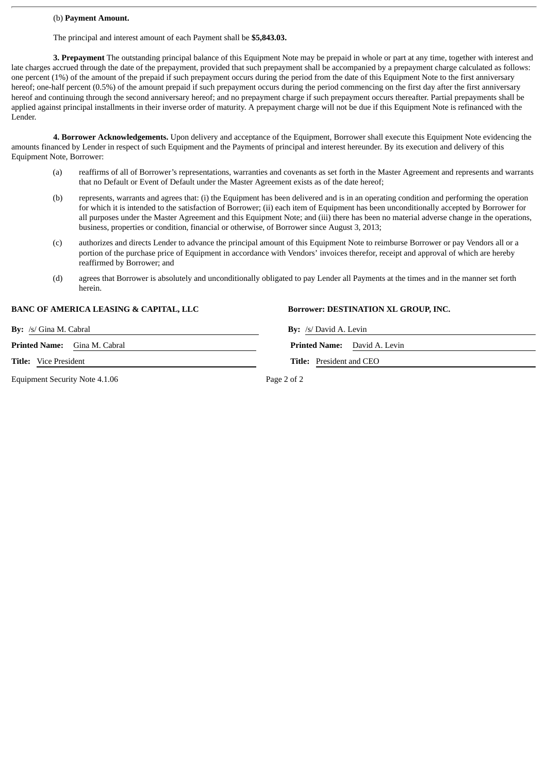#### (b) **Payment Amount.**

The principal and interest amount of each Payment shall be **\$5,843.03.**

**3. Prepayment** The outstanding principal balance of this Equipment Note may be prepaid in whole or part at any time, together with interest and late charges accrued through the date of the prepayment, provided that such prepayment shall be accompanied by a prepayment charge calculated as follows: one percent (1%) of the amount of the prepaid if such prepayment occurs during the period from the date of this Equipment Note to the first anniversary hereof; one-half percent (0.5%) of the amount prepaid if such prepayment occurs during the period commencing on the first day after the first anniversary hereof and continuing through the second anniversary hereof; and no prepayment charge if such prepayment occurs thereafter. Partial prepayments shall be applied against principal installments in their inverse order of maturity. A prepayment charge will not be due if this Equipment Note is refinanced with the Lender.

**4. Borrower Acknowledgements.** Upon delivery and acceptance of the Equipment, Borrower shall execute this Equipment Note evidencing the amounts financed by Lender in respect of such Equipment and the Payments of principal and interest hereunder. By its execution and delivery of this Equipment Note, Borrower:

- (a) reaffirms of all of Borrower's representations, warranties and covenants as set forth in the Master Agreement and represents and warrants that no Default or Event of Default under the Master Agreement exists as of the date hereof;
- (b) represents, warrants and agrees that: (i) the Equipment has been delivered and is in an operating condition and performing the operation for which it is intended to the satisfaction of Borrower; (ii) each item of Equipment has been unconditionally accepted by Borrower for all purposes under the Master Agreement and this Equipment Note; and (iii) there has been no material adverse change in the operations, business, properties or condition, financial or otherwise, of Borrower since August 3, 2013;
- (c) authorizes and directs Lender to advance the principal amount of this Equipment Note to reimburse Borrower or pay Vendors all or a portion of the purchase price of Equipment in accordance with Vendors' invoices therefor, receipt and approval of which are hereby reaffirmed by Borrower; and
- (d) agrees that Borrower is absolutely and unconditionally obligated to pay Lender all Payments at the times and in the manner set forth herein.

#### **BANC OF AMERICA LEASING & CAPITAL, LLC Borrower: DESTINATION XL GROUP, INC.**

**By:** /s/ Gina M. Cabral **By:** /s/ David A. Levin

**Printed Name:** Gina M. Cabral

**Title:** Vice President **Title:** President and CEO

Equipment Security Note 4.1.06 Page 2 of 2

|                            | <b>Printed Name:</b> David A. Levin |
|----------------------------|-------------------------------------|
| $Tith$ Prosident and $CFO$ |                                     |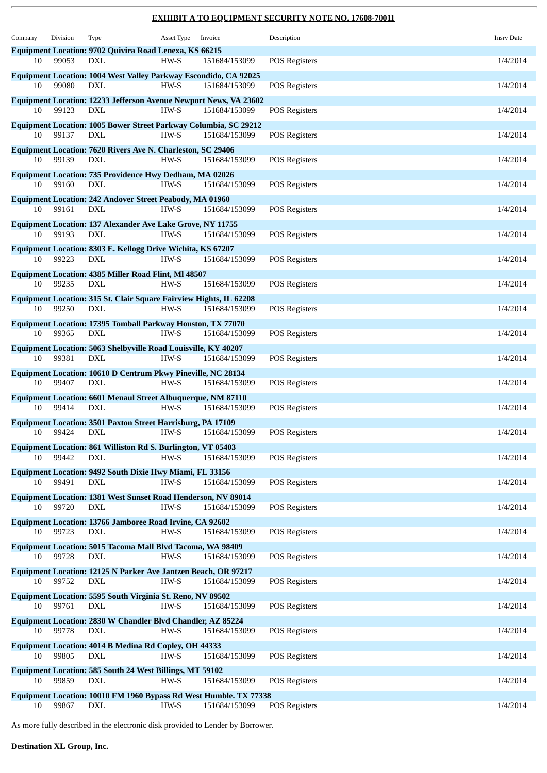| Company | Division | Type                                                                                    | Asset Type | Invoice       | Description          | <b>Insrv Date</b> |
|---------|----------|-----------------------------------------------------------------------------------------|------------|---------------|----------------------|-------------------|
|         |          | Equipment Location: 9702 Quivira Road Lenexa, KS 66215                                  |            |               |                      |                   |
| 10      | 99053    | DXL                                                                                     | HW-S       | 151684/153099 | <b>POS Registers</b> | 1/4/2014          |
| 10      | 99080    | Equipment Location: 1004 West Valley Parkway Escondido, CA 92025<br>DXL                 | HW-S       | 151684/153099 | <b>POS Registers</b> | 1/4/2014          |
| 10      | 99123    | <b>Equipment Location: 12233 Jefferson Avenue Newport News, VA 23602</b><br><b>DXL</b>  | HW-S       | 151684/153099 | <b>POS Registers</b> | 1/4/2014          |
| 10      | 99137    | Equipment Location: 1005 Bower Street Parkway Columbia, SC 29212<br>DXL                 | HW-S       | 151684/153099 | <b>POS Registers</b> | 1/4/2014          |
|         |          | Equipment Location: 7620 Rivers Ave N. Charleston, SC 29406                             |            |               |                      |                   |
| 10      | 99139    | <b>DXL</b>                                                                              | HW-S       | 151684/153099 | <b>POS Registers</b> | 1/4/2014          |
| 10      | 99160    | <b>Equipment Location: 735 Providence Hwy Dedham, MA 02026</b><br><b>DXL</b>            | HW-S       | 151684/153099 | <b>POS Registers</b> | 1/4/2014          |
| 10      | 99161    | <b>Equipment Location: 242 Andover Street Peabody, MA 01960</b><br><b>DXL</b>           | HW-S       | 151684/153099 | <b>POS Registers</b> | 1/4/2014          |
|         |          | <b>Equipment Location: 137 Alexander Ave Lake Grove, NY 11755</b>                       |            |               |                      |                   |
| 10      | 99193    | DXL                                                                                     | HW-S       | 151684/153099 | <b>POS Registers</b> | 1/4/2014          |
| 10      | 99223    | Equipment Location: 8303 E. Kellogg Drive Wichita, KS 67207<br>DXL                      | HW-S       | 151684/153099 | <b>POS Registers</b> | 1/4/2014          |
|         |          | <b>Equipment Location: 4385 Miller Road Flint, MI 48507</b>                             |            |               |                      |                   |
| 10      | 99235    | DXL                                                                                     | HW-S       | 151684/153099 | <b>POS Registers</b> | 1/4/2014          |
| 10      | 99250    | <b>Equipment Location: 315 St. Clair Square Fairview Hights, IL 62208</b><br><b>DXL</b> | HW-S       | 151684/153099 | <b>POS Registers</b> | 1/4/2014          |
|         |          | Equipment Location: 17395 Tomball Parkway Houston, TX 77070                             |            |               |                      |                   |
| 10      | 99365    | <b>DXL</b>                                                                              | HW-S       | 151684/153099 | <b>POS Registers</b> | 1/4/2014          |
| 10      | 99381    | Equipment Location: 5063 Shelbyville Road Louisville, KY 40207<br><b>DXL</b>            | HW-S       | 151684/153099 | <b>POS Registers</b> | 1/4/2014          |
|         |          |                                                                                         |            |               |                      |                   |
| 10      | 99407    | Equipment Location: 10610 D Centrum Pkwy Pineville, NC 28134<br>DXL                     | HW-S       | 151684/153099 | <b>POS Registers</b> | 1/4/2014          |
| 10      | 99414    | <b>Equipment Location: 6601 Menaul Street Albuquerque, NM 87110</b><br><b>DXL</b>       | HW-S       | 151684/153099 | <b>POS Registers</b> | 1/4/2014          |
|         |          | <b>Equipment Location: 3501 Paxton Street Harrisburg, PA 17109</b>                      |            |               |                      |                   |
| 10      | 99424    | DXL                                                                                     | HW-S       | 151684/153099 | <b>POS Registers</b> | 1/4/2014          |
|         |          | Equipment Location: 861 Williston Rd S. Burlington, VT 05403                            |            |               |                      |                   |
| 10      | 99442    | <b>DXL</b>                                                                              | HW-S       | 151684/153099 | <b>POS Registers</b> | 1/4/2014          |
|         |          | Equipment Location: 9492 South Dixie Hwy Miami, FL 33156                                |            |               |                      |                   |
| 10      | 99491    | DXL                                                                                     | HW-S       | 151684/153099 | <b>POS Registers</b> | 1/4/2014          |
| 10      | 99720    | <b>Equipment Location: 1381 West Sunset Road Henderson, NV 89014</b><br>DXL             | HW-S       | 151684/153099 | <b>POS Registers</b> | 1/4/2014          |
|         |          | Equipment Location: 13766 Jamboree Road Irvine, CA 92602                                |            |               |                      |                   |
| 10      | 99723    | DXL                                                                                     | HW-S       | 151684/153099 | <b>POS Registers</b> | 1/4/2014          |
|         |          | Equipment Location: 5015 Tacoma Mall Blvd Tacoma, WA 98409                              |            |               |                      |                   |
| 10      | 99728    | <b>DXL</b>                                                                              | HW-S       | 151684/153099 | <b>POS Registers</b> | 1/4/2014          |
|         |          | Equipment Location: 12125 N Parker Ave Jantzen Beach, OR 97217                          |            |               |                      |                   |
| 10      | 99752    | DXL                                                                                     | HW-S       | 151684/153099 | <b>POS Registers</b> | 1/4/2014          |
|         |          | Equipment Location: 5595 South Virginia St. Reno, NV 89502                              |            |               |                      |                   |
| 10      | 99761    | DXL                                                                                     | HW-S       | 151684/153099 | <b>POS Registers</b> | 1/4/2014          |
| 10      | 99778    | Equipment Location: 2830 W Chandler Blvd Chandler, AZ 85224<br>DXL                      | HW-S       | 151684/153099 | <b>POS Registers</b> | 1/4/2014          |
|         |          | Equipment Location: 4014 B Medina Rd Copley, OH 44333                                   |            |               |                      |                   |
| 10      | 99805    | DXL                                                                                     | HW-S       | 151684/153099 | <b>POS Registers</b> | 1/4/2014          |
|         |          | Equipment Location: 585 South 24 West Billings, MT 59102                                |            |               |                      |                   |
| 10      | 99859    | DXL                                                                                     | HW-S       | 151684/153099 | <b>POS Registers</b> | 1/4/2014          |
|         |          | Equipment Location: 10010 FM 1960 Bypass Rd West Humble. TX 77338                       |            |               |                      |                   |
| 10      | 99867    | DXL                                                                                     | HW-S       | 151684/153099 | <b>POS Registers</b> | 1/4/2014          |

As more fully described in the electronic disk provided to Lender by Borrower.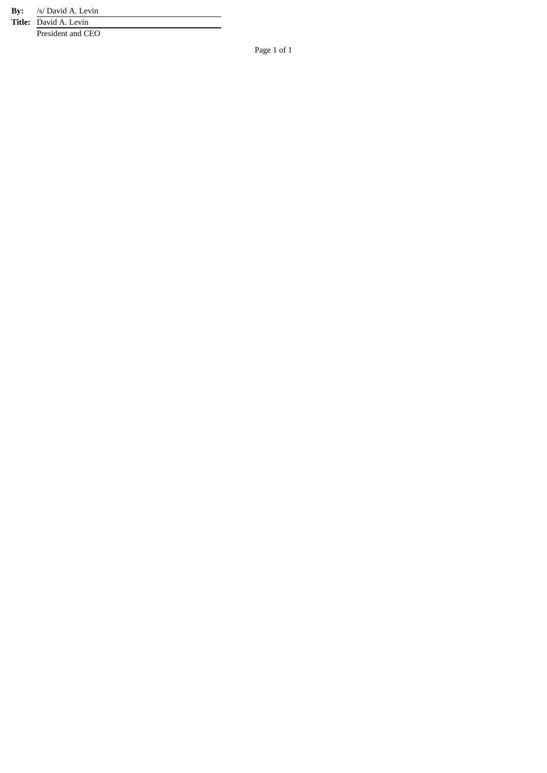**B y :** /s/ David A. Levin

**Title:** David A. Levin President and CEO

Page 1 of 1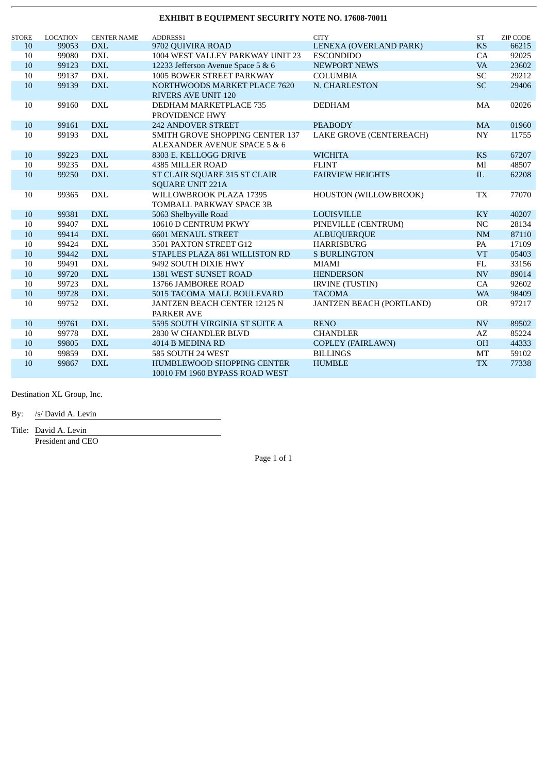| <b>STORE</b> | <b>LOCATION</b> | <b>CENTER NAME</b> | ADDRESS1                               | <b>CITY</b>                     | <b>ST</b>                | <b>ZIP CODE</b> |
|--------------|-----------------|--------------------|----------------------------------------|---------------------------------|--------------------------|-----------------|
| 10           | 99053           | <b>DXL</b>         | 9702 QUIVIRA ROAD                      | LENEXA (OVERLAND PARK)          | <b>KS</b>                | 66215           |
| 10           | 99080           | <b>DXL</b>         | 1004 WEST VALLEY PARKWAY UNIT 23       | <b>ESCONDIDO</b>                | CA                       | 92025           |
| 10           | 99123           | <b>DXL</b>         | 12233 Jefferson Avenue Space 5 & 6     | <b>NEWPORT NEWS</b>             | <b>VA</b>                | 23602           |
| 10           | 99137           | <b>DXL</b>         | 1005 BOWER STREET PARKWAY              | <b>COLUMBIA</b>                 | SC                       | 29212           |
| 10           | 99139           | <b>DXL</b>         | NORTHWOODS MARKET PLACE 7620           | N. CHARLESTON                   | <b>SC</b>                | 29406           |
|              |                 |                    | <b>RIVERS AVE UNIT 120</b>             |                                 |                          |                 |
| 10           | 99160           | <b>DXL</b>         | <b>DEDHAM MARKETPLACE 735</b>          | <b>DEDHAM</b>                   | MA                       | 02026           |
|              |                 |                    | PROVIDENCE HWY                         |                                 |                          |                 |
| 10           | 99161           | <b>DXL</b>         | <b>242 ANDOVER STREET</b>              | <b>PEABODY</b>                  | <b>MA</b>                | 01960           |
| 10           | 99193           | <b>DXL</b>         | <b>SMITH GROVE SHOPPING CENTER 137</b> | LAKE GROVE (CENTEREACH)         | ${\rm NY}$               | 11755           |
|              |                 |                    | ALEXANDER AVENUE SPACE 5 & 6           |                                 |                          |                 |
| 10           | 99223           | <b>DXL</b>         | 8303 E. KELLOGG DRIVE                  | <b>WICHITA</b>                  | <b>KS</b>                | 67207           |
| 10           | 99235           | <b>DXL</b>         | 4385 MILLER ROAD                       | <b>FLINT</b>                    | Ml                       | 48507           |
| $10\,$       | 99250           | <b>DXL</b>         | ST CLAIR SQUARE 315 ST CLAIR           | <b>FAIRVIEW HEIGHTS</b>         | $\rm IL$                 | 62208           |
|              |                 |                    | <b>SQUARE UNIT 221A</b>                |                                 |                          |                 |
| 10           | 99365           | <b>DXL</b>         | WILLOWBROOK PLAZA 17395                | HOUSTON (WILLOWBROOK)           | TX                       | 77070           |
|              |                 |                    | TOMBALL PARKWAY SPACE 3B               |                                 |                          |                 |
| 10           | 99381           | <b>DXL</b>         | 5063 Shelbyville Road                  | <b>LOUISVILLE</b>               | <b>KY</b>                | 40207           |
| 10           | 99407           | <b>DXL</b>         | 10610 D CENTRUM PKWY                   | PINEVILLE (CENTRUM)             | NC                       | 28134           |
| 10           | 99414           | <b>DXL</b>         | <b>6601 MENAUL STREET</b>              | <b>ALBUQUERQUE</b>              | NM                       | 87110           |
| 10           | 99424           | <b>DXL</b>         | 3501 PAXTON STREET G12                 | <b>HARRISBURG</b>               | PA                       | 17109           |
| 10           | 99442           | <b>DXL</b>         | STAPLES PLAZA 861 WILLISTON RD         | <b>S BURLINGTON</b>             | <b>VT</b>                | 05403           |
| $10\,$       | 99491           | <b>DXL</b>         | 9492 SOUTH DIXIE HWY                   | <b>MIAMI</b>                    | FL                       | 33156           |
| 10           | 99720           | <b>DXL</b>         | 1381 WEST SUNSET ROAD                  | <b>HENDERSON</b>                | <b>NV</b>                | 89014           |
| 10           | 99723           | $\mathbf{DXL}$     | 13766 JAMBOREE ROAD                    | <b>IRVINE (TUSTIN)</b>          | CA                       | 92602           |
| 10           | 99728           | <b>DXL</b>         | 5015 TACOMA MALL BOULEVARD             | <b>TACOMA</b>                   | <b>WA</b>                | 98409           |
| 10           | 99752           | <b>DXL</b>         | JANTZEN BEACH CENTER 12125 N           | <b>JANTZEN BEACH (PORTLAND)</b> | <b>OR</b>                | 97217           |
|              |                 |                    | <b>PARKER AVE</b>                      |                                 |                          |                 |
| 10           | 99761           | <b>DXL</b>         | 5595 SOUTH VIRGINIA ST SUITE A         | <b>RENO</b>                     | $\ensuremath{\text{NV}}$ | 89502           |
| 10           | 99778           | <b>DXL</b>         | 2830 W CHANDLER BLVD                   | <b>CHANDLER</b>                 | AZ                       | 85224           |
| 10           | 99805           | <b>DXL</b>         | 4014 B MEDINA RD                       | <b>COPLEY (FAIRLAWN)</b>        | <b>OH</b>                | 44333           |
| 10           | 99859           | <b>DXL</b>         | 585 SOUTH 24 WEST                      | <b>BILLINGS</b>                 | MT                       | 59102           |
| 10           | 99867           | <b>DXL</b>         | HUMBLEWOOD SHOPPING CENTER             | <b>HUMBLE</b>                   | <b>TX</b>                | 77338           |
|              |                 |                    | 10010 FM 1960 BYPASS ROAD WEST         |                                 |                          |                 |

Destination XL Group, Inc.

By: /s/ David A. Levin

Title: David A. Levin

President and CEO

Page 1 of 1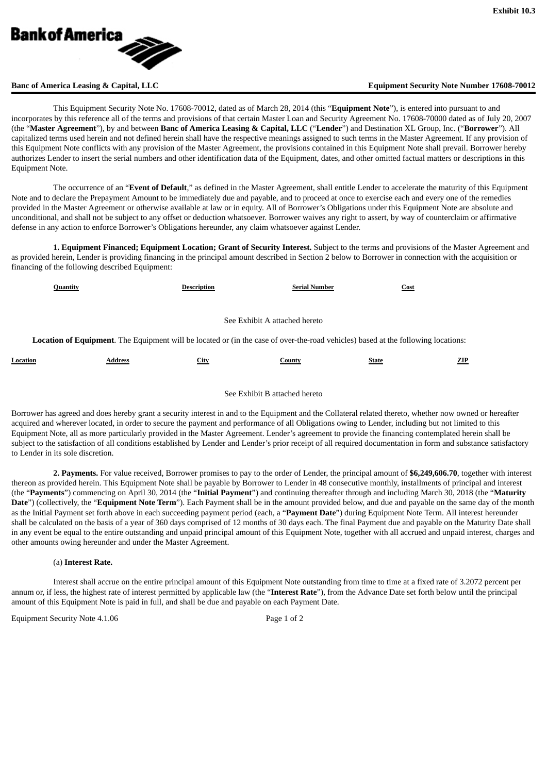

### **Banc of America Leasing & Capital, LLC Equipment Security Note Number 17608-70012**

This Equipment Security Note No. 17608-70012, dated as of March 28, 2014 (this "**Equipment Note**"), is entered into pursuant to and incorporates by this reference all of the terms and provisions of that certain Master Loan and Security Agreement No. 17608-70000 dated as of July 20, 2007 (the "**Master Agreement**"), by and between **Banc of America Leasing & Capital, LLC** ("**Lender**") and Destination XL Group, Inc. ("**Borrower**"). All capitalized terms used herein and not defined herein shall have the respective meanings assigned to such terms in the Master Agreement. If any provision of this Equipment Note conflicts with any provision of the Master Agreement, the provisions contained in this Equipment Note shall prevail. Borrower hereby authorizes Lender to insert the serial numbers and other identification data of the Equipment, dates, and other omitted factual matters or descriptions in this Equipment Note.

The occurrence of an "**Event of Default**," as defined in the Master Agreement, shall entitle Lender to accelerate the maturity of this Equipment Note and to declare the Prepayment Amount to be immediately due and payable, and to proceed at once to exercise each and every one of the remedies provided in the Master Agreement or otherwise available at law or in equity. All of Borrower's Obligations under this Equipment Note are absolute and unconditional, and shall not be subject to any offset or deduction whatsoever. Borrower waives any right to assert, by way of counterclaim or affirmative defense in any action to enforce Borrower's Obligations hereunder, any claim whatsoever against Lender.

**1. Equipment Financed; Equipment Location; Grant of Security Interest.** Subject to the terms and provisions of the Master Agreement and as provided herein, Lender is providing financing in the principal amount described in Section 2 below to Borrower in connection with the acquisition or financing of the following described Equipment:

| Quantity |                                                                                                                                          | <b>Description</b> | <b>Serial Number</b> | Cost         |     |  |  |  |
|----------|------------------------------------------------------------------------------------------------------------------------------------------|--------------------|----------------------|--------------|-----|--|--|--|
|          | See Exhibit A attached hereto                                                                                                            |                    |                      |              |     |  |  |  |
|          | <b>Location of Equipment.</b> The Equipment will be located or (in the case of over-the-road vehicles) based at the following locations: |                    |                      |              |     |  |  |  |
| Location | Address                                                                                                                                  | City               | County               | <b>State</b> | ZIP |  |  |  |

#### See Exhibit B attached hereto

Borrower has agreed and does hereby grant a security interest in and to the Equipment and the Collateral related thereto, whether now owned or hereafter acquired and wherever located, in order to secure the payment and performance of all Obligations owing to Lender, including but not limited to this Equipment Note, all as more particularly provided in the Master Agreement. Lender's agreement to provide the financing contemplated herein shall be subject to the satisfaction of all conditions established by Lender and Lender's prior receipt of all required documentation in form and substance satisfactory to Lender in its sole discretion.

**2. Payments.** For value received, Borrower promises to pay to the order of Lender, the principal amount of **\$6,249,606.70**, together with interest thereon as provided herein. This Equipment Note shall be payable by Borrower to Lender in 48 consecutive monthly, installments of principal and interest (the "**Payments**") commencing on April 30, 2014 (the "**Initial Payment**") and continuing thereafter through and including March 30, 2018 (the "**Maturity Date**") (collectively, the "**Equipment Note Term**"). Each Payment shall be in the amount provided below, and due and payable on the same day of the month as the Initial Payment set forth above in each succeeding payment period (each, a "**Payment Date**") during Equipment Note Term. All interest hereunder shall be calculated on the basis of a year of 360 days comprised of 12 months of 30 days each. The final Payment due and payable on the Maturity Date shall in any event be equal to the entire outstanding and unpaid principal amount of this Equipment Note, together with all accrued and unpaid interest, charges and other amounts owing hereunder and under the Master Agreement.

### (a) **Interest Rate.**

Interest shall accrue on the entire principal amount of this Equipment Note outstanding from time to time at a fixed rate of 3.2072 percent per annum or, if less, the highest rate of interest permitted by applicable law (the "**Interest Rate**"), from the Advance Date set forth below until the principal amount of this Equipment Note is paid in full, and shall be due and payable on each Payment Date.

Equipment Security Note 4.1.06 Page 1 of 2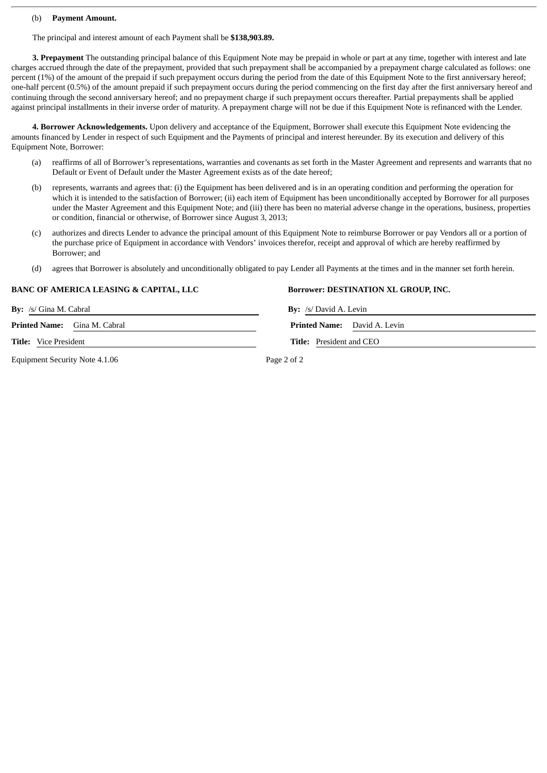#### (b) **Payment Amount.**

The principal and interest amount of each Payment shall be **\$138,903.89.**

**3. Prepayment** The outstanding principal balance of this Equipment Note may be prepaid in whole or part at any time, together with interest and late charges accrued through the date of the prepayment, provided that such prepayment shall be accompanied by a prepayment charge calculated as follows: one percent (1%) of the amount of the prepaid if such prepayment occurs during the period from the date of this Equipment Note to the first anniversary hereof; one-half percent (0.5%) of the amount prepaid if such prepayment occurs during the period commencing on the first day after the first anniversary hereof and continuing through the second anniversary hereof; and no prepayment charge if such prepayment occurs thereafter. Partial prepayments shall be applied against principal installments in their inverse order of maturity. A prepayment charge will not be due if this Equipment Note is refinanced with the Lender.

**4. Borrower Acknowledgements.** Upon delivery and acceptance of the Equipment, Borrower shall execute this Equipment Note evidencing the amounts financed by Lender in respect of such Equipment and the Payments of principal and interest hereunder. By its execution and delivery of this Equipment Note, Borrower:

- reaffirms of all of Borrower's representations, warranties and covenants as set forth in the Master Agreement and represents and warrants that no Default or Event of Default under the Master Agreement exists as of the date hereof;
- (b) represents, warrants and agrees that: (i) the Equipment has been delivered and is in an operating condition and performing the operation for which it is intended to the satisfaction of Borrower; (ii) each item of Equipment has been unconditionally accepted by Borrower for all purposes under the Master Agreement and this Equipment Note; and (iii) there has been no material adverse change in the operations, business, properties or condition, financial or otherwise, of Borrower since August 3, 2013;
- (c) authorizes and directs Lender to advance the principal amount of this Equipment Note to reimburse Borrower or pay Vendors all or a portion of the purchase price of Equipment in accordance with Vendors' invoices therefor, receipt and approval of which are hereby reaffirmed by Borrower; and
- (d) agrees that Borrower is absolutely and unconditionally obligated to pay Lender all Payments at the times and in the manner set forth herein.

### **BANC OF AMERICA LEASING & CAPITAL, LLC Borrower: DESTINATION XL GROUP, INC.**

Equipment Security Note 4.1.06 Page 2 of 2

**By:** /s/ Gina M. Cabral **By:** /s/ David A. Levin

**Printed Name:** Gina M. Cabral **Printed Name:** David A. Levin

**Title:** Vice President **Title:** President and CEO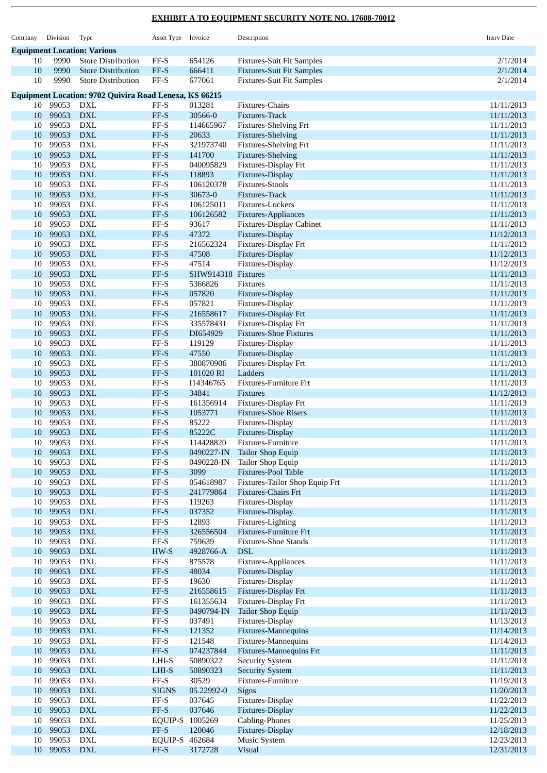| Company  | Division           | Type                                                          | Asset Type Invoice                                |                          | Description                                      | <b>Insrv Date</b>        |
|----------|--------------------|---------------------------------------------------------------|---------------------------------------------------|--------------------------|--------------------------------------------------|--------------------------|
|          |                    | <b>Equipment Location: Various</b>                            |                                                   |                          |                                                  |                          |
| 10       | 9990               | <b>Store Distribution</b>                                     | FF-S                                              | 654126                   | <b>Fixtures-Suit Fit Samples</b>                 | 2/1/2014                 |
| 10       | 9990               | <b>Store Distribution</b>                                     | $FF-S$                                            | 666411                   | <b>Fixtures-Suit Fit Samples</b>                 | 2/1/2014                 |
| 10       | 9990               | <b>Store Distribution</b>                                     | $\rm FF\text{-}S$                                 | 677061                   | <b>Fixtures-Suit Fit Samples</b>                 | 2/1/2014                 |
|          |                    | <b>Equipment Location: 9702 Quivira Road Lenexa, KS 66215</b> |                                                   |                          |                                                  |                          |
| 10       | 99053              | DXL                                                           | FF-S                                              | 013281                   | Fixtures-Chairs                                  | 11/11/2013               |
| 10       | 99053              | <b>DXL</b>                                                    | $FF-S$                                            | 30566-0                  | Fixtures-Track                                   | 11/11/2013               |
| 10       | 99053              | DXL                                                           | $\rm FF\text{-}S$                                 | 114665967                | <b>Fixtures-Shelving Frt</b>                     | 11/11/2013               |
| 10       | 99053              | $\mathbf{DXL}$                                                | FF-S                                              | 20633                    | <b>Fixtures-Shelving</b>                         | 11/11/2013               |
| 10       | 99053              | <b>DXL</b>                                                    | $\rm FF\text{-}S$                                 | 321973740                | Fixtures-Shelving Frt                            | 11/11/2013               |
| 10<br>10 | 99053<br>99053     | <b>DXL</b><br><b>DXL</b>                                      | $FF-S$<br>$\rm FF\text{-}S$                       | 141700<br>040095829      | <b>Fixtures-Shelving</b><br>Fixtures-Display Frt | 11/11/2013<br>11/11/2013 |
| 10       | 99053              | <b>DXL</b>                                                    | $FF-S$                                            | 118893                   | Fixtures-Display                                 | 11/11/2013               |
| 10       | 99053              | <b>DXL</b>                                                    | $\rm FF\text{-}S$                                 | 106120378                | <b>Fixtures-Stools</b>                           | 11/11/2013               |
| 10       | 99053              | <b>DXL</b>                                                    | FF-S                                              | 30673-0                  | Fixtures-Track                                   | 11/11/2013               |
| 10       | 99053              | <b>DXL</b>                                                    | $\rm FF\text{-}S$                                 | 106125011                | Fixtures-Lockers                                 | 11/11/2013               |
| 10       | 99053              | <b>DXL</b>                                                    | $FF-S$                                            | 106126582                | Fixtures-Appliances                              | 11/11/2013               |
| 10       | 99053              | <b>DXL</b>                                                    | $\rm FF\text{-}S$                                 | 93617                    | <b>Fixtures-Display Cabinet</b>                  | 11/11/2013               |
| 10       | 99053              | <b>DXL</b>                                                    | FF-S                                              | 47372                    | Fixtures-Display                                 | 11/12/2013               |
| 10       | 99053<br>99053     | <b>DXL</b><br><b>DXL</b>                                      | $\rm FF\text{-}S$<br>$FF-S$                       | 216562324<br>47508       | Fixtures-Display Frt                             | 11/11/2013               |
| 10<br>10 | 99053              | <b>DXL</b>                                                    | $\rm FF\text{-}S$                                 | 47514                    | Fixtures-Display<br>Fixtures-Display             | 11/12/2013<br>11/12/2013 |
| 10       | 99053              | <b>DXL</b>                                                    | $FF-S$                                            | SHW914318 Fixtures       |                                                  | 11/11/2013               |
| 10       | 99053              | <b>DXL</b>                                                    | $\rm FF\text{-}S$                                 | 5366826                  | <b>Fixtures</b>                                  | 11/11/2013               |
| 10       | 99053              | <b>DXL</b>                                                    | $FF-S$                                            | 057820                   | Fixtures-Display                                 | 11/11/2013               |
| 10       | 99053              | <b>DXL</b>                                                    | $\rm FF\text{-}S$                                 | 057821                   | Fixtures-Display                                 | 11/11/2013               |
| 10       | 99053              | <b>DXL</b>                                                    | $FF-S$                                            | 216558617                | Fixtures-Display Frt                             | 11/11/2013               |
| 10       | 99053              | <b>DXL</b>                                                    | $\rm FF\text{-}S$                                 | 335578431                | Fixtures-Display Frt                             | 11/11/2013               |
| 10       | 99053              | <b>DXL</b>                                                    | $FF-S$                                            | DI654929                 | <b>Fixtures-Shoe Fixtures</b>                    | 11/11/2013               |
| 10       | 99053              | <b>DXL</b>                                                    | $\rm FF\text{-}S$                                 | 119129                   | Fixtures-Display                                 | 11/11/2013               |
| 10<br>10 | 99053<br>99053     | <b>DXL</b><br>DXL                                             | $FF-S$<br>$\rm FF\text{-}S$                       | 47550<br>380870906       | Fixtures-Display<br>Fixtures-Display Frt         | 11/11/2013<br>11/11/2013 |
| 10       | 99053              | <b>DXL</b>                                                    | $FF-S$                                            | 101020 RI                | Ladders                                          | 11/11/2013               |
| 10       | 99053              | <b>DXL</b>                                                    | $\rm FF\text{-}S$                                 | I14346765                | Fixtures-Furniture Frt                           | 11/11/2013               |
| 10       | 99053              | <b>DXL</b>                                                    | $FF-S$                                            | 34841                    | <b>Fixtures</b>                                  | 11/12/2013               |
| 10       | 99053              | <b>DXL</b>                                                    | $\rm FF\text{-}S$                                 | 161356914                | Fixtures-Display Frt                             | 11/11/2013               |
| 10       | 99053              | <b>DXL</b>                                                    | $FF-S$                                            | 1053771                  | <b>Fixtures-Shoe Risers</b>                      | 11/11/2013               |
| 10       | 99053              | DXL                                                           | FF-S                                              | 85222                    | Fixtures-Display                                 | 11/11/2013               |
| 10       | 99053              | <b>DXL</b>                                                    | FF-S                                              | 85222C                   | Fixtures-Display                                 | 11/11/2013               |
| 10<br>10 | 99053 DXL<br>99053 |                                                               | $FF-S$                                            | 114428820                | Fixtures-Furniture<br><b>Tailor Shop Equip</b>   | 11/11/2013               |
| 10       | 99053              | <b>DXL</b><br><b>DXL</b>                                      | FF-S<br>$\rm FF\text{-}S$                         | 0490227-IN<br>0490228-IN | Tailor Shop Equip                                | 11/11/2013<br>11/11/2013 |
| 10       | 99053              | ${\rm DXL}$                                                   | $\ensuremath{\mathsf{FF-S}}$                      | 3099                     | Fixtures-Pool Table                              | 11/11/2013               |
| 10       | 99053              | ${\rm DXL}$                                                   | $\rm FF\text{-}S$                                 | 054618987                | Fixtures-Tailor Shop Equip Frt                   | 11/11/2013               |
| 10       | 99053              | $\mathbf{DXL}$                                                | $FF-S$                                            | 241779864                | Fixtures-Chairs Frt                              | 11/11/2013               |
| 10       | 99053              | <b>DXL</b>                                                    | $\rm FF\text{-}S$                                 | 119263                   | Fixtures-Display                                 | 11/11/2013               |
| 10       | 99053              | $\mathbf{DXL}$                                                | $FF-S$                                            | 037352                   | Fixtures-Display                                 | 11/11/2013               |
| 10       | 99053              | <b>DXL</b>                                                    | $\rm FF\text{-}S$                                 | 12893                    | Fixtures-Lighting                                | 11/11/2013               |
| 10       | 99053              | ${\rm DXL}$                                                   | $\ensuremath{\mathsf{FF-S}}$                      | 326556504                | <b>Fixtures-Furniture Frt</b>                    | 11/11/2013               |
| 10<br>10 | 99053<br>99053     | <b>DXL</b><br>$\mathbf{DXL}$                                  | $\rm FF\text{-}S$<br>HW-S                         | 759639<br>4928766-A      | <b>Fixtures-Shoe Stands</b><br><b>DSL</b>        | 11/11/2013<br>11/11/2013 |
| 10       | 99053              | <b>DXL</b>                                                    | FF-S                                              | 875578                   | Fixtures-Appliances                              | 11/11/2013               |
| 10       | 99053              | ${\rm DXL}$                                                   | $\ensuremath{\mathsf{FF-S}}$                      | 48034                    | Fixtures-Display                                 | 11/11/2013               |
| 10       | 99053              | <b>DXL</b>                                                    | $\rm FF\text{-}S$                                 | 19630                    | Fixtures-Display                                 | 11/11/2013               |
| 10       | 99053              | ${\rm DXL}$                                                   | FF-S                                              | 216558615                | Fixtures-Display Frt                             | 11/11/2013               |
| 10       | 99053              | <b>DXL</b>                                                    | $\rm FF\text{-}S$                                 | 161355634                | Fixtures-Display Frt                             | 11/11/2013               |
| 10       | 99053              | ${\rm DXL}$                                                   | $FF-S$                                            | 0490794-IN               | Tailor Shop Equip                                | 11/11/2013               |
| 10       | 99053              | <b>DXL</b>                                                    | $FF-S$                                            | 037491                   | Fixtures-Display                                 | 11/13/2013               |
| 10       | 99053              | ${\rm DXL}$                                                   | $\ensuremath{\mathsf{FF-S}}$                      | 121352                   | Fixtures-Mannequins                              | 11/14/2013               |
| 10<br>10 | 99053<br>99053     | <b>DXL</b><br>$\mathbf{DXL}$                                  | $\rm FF\text{-}S$<br>$\ensuremath{\mathsf{FF-S}}$ | 121548<br>074237844      | Fixtures-Mannequins<br>Fixtures-Mannequins Frt   | 11/14/2013<br>11/11/2013 |
| 10       | 99053              | <b>DXL</b>                                                    | LHI-S                                             | 50890322                 | Security System                                  | 11/11/2013               |
| 10       | 99053              | ${\rm DXL}$                                                   | LHI-S                                             | 50890323                 | <b>Security System</b>                           | 11/11/2013               |
| 10       | 99053              | ${\rm DXL}$                                                   | $\rm FF\text{-}S$                                 | 30529                    | Fixtures-Furniture                               | 11/19/2013               |
| 10       | 99053              | $\mathbf{DXL}$                                                | <b>SIGNS</b>                                      | 05.22992-0               | Signs                                            | 11/20/2013               |
| 10       | 99053              | <b>DXL</b>                                                    | $\rm FF\text{-}S$                                 | 037645                   | Fixtures-Display                                 | 11/22/2013               |
| 10       | 99053              | $\mathbf{DXL}$                                                | $FF-S$                                            | 037646                   | Fixtures-Display                                 | 11/22/2013               |
| 10       | 99053              | <b>DXL</b>                                                    | EQUIP-S 1005269                                   |                          | Cabling-Phones                                   | 11/25/2013               |
| 10<br>10 | 99053<br>99053     | $\mathbf{D}\mathbf{X}\mathbf{L}$<br><b>DXL</b>                | $FF-S$<br>EQUIP-S 462684                          | 120046                   | Fixtures-Display                                 | 12/18/2013<br>12/23/2013 |
| 10       | 99053              | <b>DXL</b>                                                    | $FF-S$                                            | 3172728                  | Music System<br><b>Visual</b>                    | 12/31/2013               |
|          |                    |                                                               |                                                   |                          |                                                  |                          |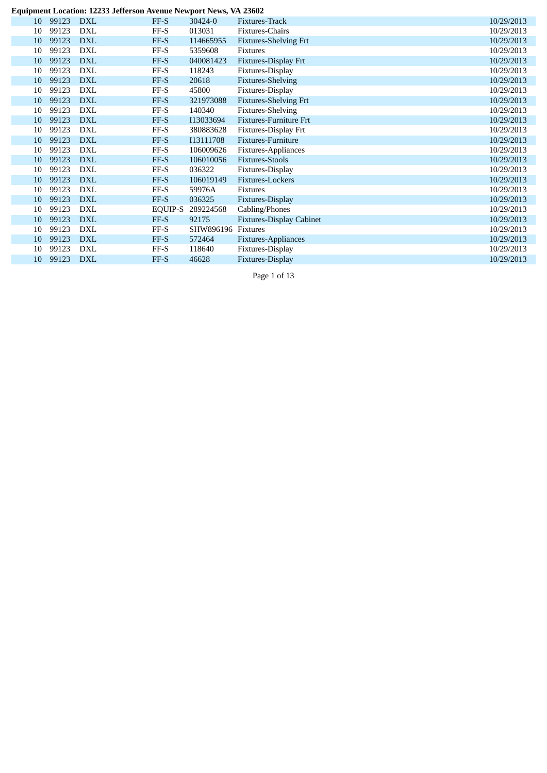#### **E q u i p m e n t L o c a t i o n : 1 2 2 3 3 J e ff e r s o n Av e n u e N e w p o r t N e w s , VA 2 3 6 0 2**

| Equipment Location: 12233 Jefferson Avenue Newport News, VA 23602 |       |            |                |           |                                 |            |  |  |  |  |  |
|-------------------------------------------------------------------|-------|------------|----------------|-----------|---------------------------------|------------|--|--|--|--|--|
| 10                                                                | 99123 | DXL        | FF-S           | 30424-0   | Fixtures-Track                  | 10/29/2013 |  |  |  |  |  |
| 10                                                                | 99123 | DXL        | FF-S           | 013031    | Fixtures-Chairs                 | 10/29/2013 |  |  |  |  |  |
| 10                                                                | 99123 | <b>DXL</b> | FF-S           | 114665955 | <b>Fixtures-Shelving Frt</b>    | 10/29/2013 |  |  |  |  |  |
| 10                                                                | 99123 | <b>DXL</b> | FF-S           | 5359608   | <b>Fixtures</b>                 | 10/29/2013 |  |  |  |  |  |
| 10                                                                | 99123 | <b>DXL</b> | FF-S           | 040081423 | Fixtures-Display Frt            | 10/29/2013 |  |  |  |  |  |
| 10                                                                | 99123 | <b>DXL</b> | FF-S           | 118243    | Fixtures-Display                | 10/29/2013 |  |  |  |  |  |
| 10                                                                | 99123 | <b>DXL</b> | FF-S           | 20618     | <b>Fixtures-Shelving</b>        | 10/29/2013 |  |  |  |  |  |
| 10                                                                | 99123 | DXL        | FF-S           | 45800     | Fixtures-Display                | 10/29/2013 |  |  |  |  |  |
| 10                                                                | 99123 | <b>DXL</b> | FF-S           | 321973088 | <b>Fixtures-Shelving Frt</b>    | 10/29/2013 |  |  |  |  |  |
| 10                                                                | 99123 | DXL        | FF-S           | 140340    | <b>Fixtures-Shelving</b>        | 10/29/2013 |  |  |  |  |  |
| 10                                                                | 99123 | <b>DXL</b> | FF-S           | I13033694 | <b>Fixtures-Furniture Frt</b>   | 10/29/2013 |  |  |  |  |  |
| 10                                                                | 99123 | DXL        | FF-S           | 380883628 | Fixtures-Display Frt            | 10/29/2013 |  |  |  |  |  |
| 10                                                                | 99123 | <b>DXL</b> | FF-S           | I13111708 | Fixtures-Furniture              | 10/29/2013 |  |  |  |  |  |
| 10                                                                | 99123 | DXL        | FF-S           | 106009626 | Fixtures-Appliances             | 10/29/2013 |  |  |  |  |  |
| 10                                                                | 99123 | <b>DXL</b> | FF-S           | 106010056 | <b>Fixtures-Stools</b>          | 10/29/2013 |  |  |  |  |  |
| 10                                                                | 99123 | DXL        | FF-S           | 036322    | Fixtures-Display                | 10/29/2013 |  |  |  |  |  |
| 10                                                                | 99123 | <b>DXL</b> | FF-S           | 106019149 | Fixtures-Lockers                | 10/29/2013 |  |  |  |  |  |
| 10                                                                | 99123 | <b>DXL</b> | FF-S           | 59976A    | <b>Fixtures</b>                 | 10/29/2013 |  |  |  |  |  |
| 10                                                                | 99123 | <b>DXL</b> | FF-S           | 036325    | Fixtures-Display                | 10/29/2013 |  |  |  |  |  |
| 10                                                                | 99123 | <b>DXL</b> | <b>EQUIP-S</b> | 289224568 | Cabling/Phones                  | 10/29/2013 |  |  |  |  |  |
| 10                                                                | 99123 | <b>DXL</b> | FF-S           | 92175     | <b>Fixtures-Display Cabinet</b> | 10/29/2013 |  |  |  |  |  |
| 10                                                                | 99123 | DXL        | FF-S           | SHW896196 | Fixtures                        | 10/29/2013 |  |  |  |  |  |
| 10                                                                | 99123 | <b>DXL</b> | FF-S           | 572464    | Fixtures-Appliances             | 10/29/2013 |  |  |  |  |  |
| 10                                                                | 99123 | DXL        | FF-S           | 118640    | Fixtures-Display                | 10/29/2013 |  |  |  |  |  |
| 10                                                                | 99123 | <b>DXL</b> | FF-S           | 46628     | Fixtures-Display                | 10/29/2013 |  |  |  |  |  |
|                                                                   |       |            |                |           |                                 |            |  |  |  |  |  |

Page 1 of 13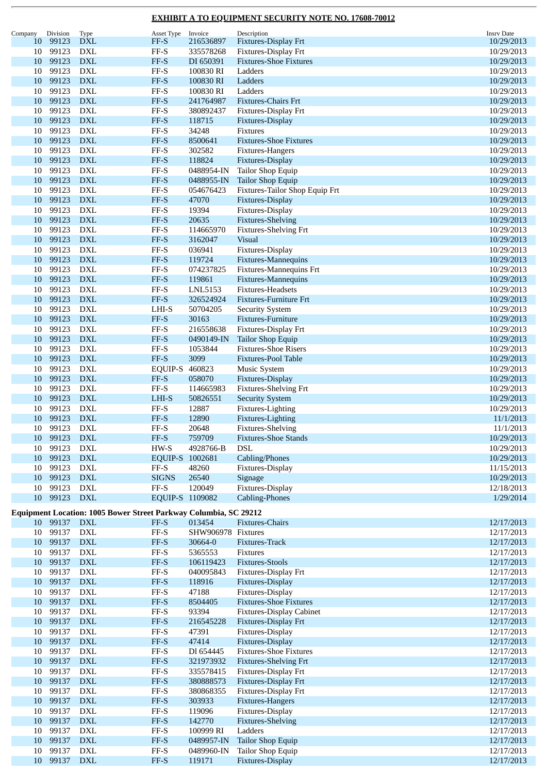| Company         | Division  | Type                                                             | Asset Type                   | Invoice            | Description                     | <b>Insrv Date</b> |
|-----------------|-----------|------------------------------------------------------------------|------------------------------|--------------------|---------------------------------|-------------------|
| 10              | 99123     | <b>DXL</b>                                                       | FF-S                         | 216536897          | Fixtures-Display Frt            | 10/29/2013        |
| 10              | 99123     | <b>DXL</b>                                                       | $FF-S$                       | 335578268          | Fixtures-Display Frt            | 10/29/2013        |
| 10              | 99123     | <b>DXL</b>                                                       | $FF-S$                       | DI 650391          | <b>Fixtures-Shoe Fixtures</b>   | 10/29/2013        |
| 10              | 99123     | <b>DXL</b>                                                       | $\ensuremath{\mathsf{FF-S}}$ | 100830 RI          | Ladders                         | 10/29/2013        |
| 10              | 99123     | <b>DXL</b>                                                       | $FF-S$                       | 100830 RI          | Ladders                         | 10/29/2013        |
| 10              | 99123     | <b>DXL</b>                                                       | $\ensuremath{\mathsf{FF-S}}$ | 100830 RI          | Ladders                         | 10/29/2013        |
| 10              | 99123     | <b>DXL</b>                                                       | $FF-S$                       | 241764987          | Fixtures-Chairs Frt             | 10/29/2013        |
| 10              | 99123     | <b>DXL</b>                                                       | $\ensuremath{\mathsf{FF-S}}$ | 380892437          | Fixtures-Display Frt            | 10/29/2013        |
| 10              | 99123     | <b>DXL</b>                                                       | $FF-S$                       |                    |                                 | 10/29/2013        |
|                 |           |                                                                  |                              | 118715             | Fixtures-Display                |                   |
| 10              | 99123     | <b>DXL</b>                                                       | $FF-S$                       | 34248              | Fixtures                        | 10/29/2013        |
| 10              | 99123     | <b>DXL</b>                                                       | $FF-S$                       | 8500641            | <b>Fixtures-Shoe Fixtures</b>   | 10/29/2013        |
| 10              | 99123     | <b>DXL</b>                                                       | FF-S                         | 302582             | Fixtures-Hangers                | 10/29/2013        |
| 10              | 99123     | <b>DXL</b>                                                       | $FF-S$                       | 118824             | Fixtures-Display                | 10/29/2013        |
| 10              | 99123     | <b>DXL</b>                                                       | $\ensuremath{\mathsf{FF-S}}$ | 0488954-IN         | Tailor Shop Equip               | 10/29/2013        |
| 10              | 99123     | <b>DXL</b>                                                       | $FF-S$                       | 0488955-IN         | <b>Tailor Shop Equip</b>        | 10/29/2013        |
| 10              | 99123     | <b>DXL</b>                                                       | $\ensuremath{\mathsf{FF-S}}$ | 054676423          | Fixtures-Tailor Shop Equip Frt  | 10/29/2013        |
| 10              | 99123     | <b>DXL</b>                                                       | FF-S                         | 47070              | Fixtures-Display                | 10/29/2013        |
| 10              | 99123     | <b>DXL</b>                                                       | FF-S                         | 19394              | Fixtures-Display                | 10/29/2013        |
| 10              | 99123     | <b>DXL</b>                                                       | $FF-S$                       | 20635              | <b>Fixtures-Shelving</b>        | 10/29/2013        |
| 10              | 99123     | <b>DXL</b>                                                       | $FF-S$                       | 114665970          | Fixtures-Shelving Frt           | 10/29/2013        |
| 10              | 99123     | <b>DXL</b>                                                       | $FF-S$                       | 3162047            | Visual                          | 10/29/2013        |
| 10              | 99123     | <b>DXL</b>                                                       | FF-S                         | 036941             | Fixtures-Display                | 10/29/2013        |
| 10              | 99123     | <b>DXL</b>                                                       | $FF-S$                       | 119724             | Fixtures-Mannequins             | 10/29/2013        |
| 10              | 99123     | <b>DXL</b>                                                       | $\ensuremath{\mathsf{FF-S}}$ | 074237825          | Fixtures-Mannequins Frt         | 10/29/2013        |
| 10              | 99123     | <b>DXL</b>                                                       | $FF-S$                       | 119861             | Fixtures-Mannequins             | 10/29/2013        |
| 10              | 99123     | <b>DXL</b>                                                       | $\ensuremath{\mathsf{FF-S}}$ | LNL5153            | <b>Fixtures-Headsets</b>        | 10/29/2013        |
|                 |           |                                                                  |                              |                    |                                 |                   |
| 10              | 99123     | <b>DXL</b>                                                       | FF-S                         | 326524924          | Fixtures-Furniture Frt          | 10/29/2013        |
| 10              | 99123     | <b>DXL</b>                                                       | LHI-S                        | 50704205           | <b>Security System</b>          | 10/29/2013        |
| 10              | 99123     | <b>DXL</b>                                                       | $FF-S$                       | 30163              | Fixtures-Furniture              | 10/29/2013        |
| 10              | 99123     | <b>DXL</b>                                                       | $\ensuremath{\mathsf{FF-S}}$ | 216558638          | Fixtures-Display Frt            | 10/29/2013        |
| 10              | 99123     | <b>DXL</b>                                                       | FF-S                         | 0490149-IN         | Tailor Shop Equip               | 10/29/2013        |
| 10              | 99123     | <b>DXL</b>                                                       | $FF-S$                       | 1053844            | <b>Fixtures-Shoe Risers</b>     | 10/29/2013        |
| 10              | 99123     | <b>DXL</b>                                                       | $FF-S$                       | 3099               | <b>Fixtures-Pool Table</b>      | 10/29/2013        |
| 10              | 99123     | <b>DXL</b>                                                       | EQUIP-S 460823               |                    | Music System                    | 10/29/2013        |
| 10              | 99123     | <b>DXL</b>                                                       | $FF-S$                       | 058070             | Fixtures-Display                | 10/29/2013        |
| 10              | 99123     | <b>DXL</b>                                                       | $\ensuremath{\mathsf{FF-S}}$ | 114665983          | Fixtures-Shelving Frt           | 10/29/2013        |
| 10              | 99123     | <b>DXL</b>                                                       | LHI-S                        | 50826551           | <b>Security System</b>          | 10/29/2013        |
| 10              | 99123     | <b>DXL</b>                                                       | FF-S                         | 12887              | Fixtures-Lighting               | 10/29/2013        |
| 10              | 99123     | <b>DXL</b>                                                       | $FF-S$                       | 12890              | Fixtures-Lighting               | 11/1/2013         |
| 10              | 99123     | <b>DXL</b>                                                       | $FF-S$                       | 20648              | Fixtures-Shelving               | 11/1/2013         |
| 10              | 99123 DXL |                                                                  | $\ensuremath{\mathsf{FF-S}}$ | 759709             | <b>Fixtures-Shoe Stands</b>     | 10/29/2013        |
| 10              | 99123     | DXL                                                              | HW-S                         | 4928766-B          | DSL                             | 10/29/2013        |
| 10              | 99123     | <b>DXL</b>                                                       | EQUIP-S 1002681              |                    | Cabling/Phones                  | 10/29/2013        |
|                 | 99123     |                                                                  |                              |                    |                                 |                   |
| 10              |           | <b>DXL</b>                                                       | FF-S                         | 48260              | Fixtures-Display                | 11/15/2013        |
|                 | 10 99123  | $\mathbf{DXL}$                                                   | <b>SIGNS</b>                 | 26540              | Signage                         | 10/29/2013        |
| 10              | 99123     | <b>DXL</b>                                                       | $FF-S$                       | 120049             | Fixtures-Display                | 12/18/2013        |
| 10              | 99123     | <b>DXL</b>                                                       | EQUIP-S 1109082              |                    | <b>Cabling-Phones</b>           | 1/29/2014         |
|                 |           | Equipment Location: 1005 Bower Street Parkway Columbia, SC 29212 |                              |                    |                                 |                   |
|                 | 10 99137  | <b>DXL</b>                                                       | FF-S                         | 013454             | Fixtures-Chairs                 | 12/17/2013        |
|                 | 10 99137  | <b>DXL</b>                                                       | $\ensuremath{\mathsf{FF-S}}$ | SHW906978 Fixtures |                                 | 12/17/2013        |
| 10              | 99137     | <b>DXL</b>                                                       | $\ensuremath{\mathsf{FF-S}}$ | 30664-0            | Fixtures-Track                  | 12/17/2013        |
| 10              | 99137     | <b>DXL</b>                                                       | $\rm FF\text{-}S$            | 5365553            |                                 |                   |
|                 |           |                                                                  |                              |                    | Fixtures                        | 12/17/2013        |
| 10              | 99137     | <b>DXL</b>                                                       | $\ensuremath{\mathsf{FF-S}}$ | 106119423          | <b>Fixtures-Stools</b>          | 12/17/2013        |
| 10              | 99137     | <b>DXL</b>                                                       | $FF-S$                       | 040095843          | Fixtures-Display Frt            | 12/17/2013        |
| 10              | 99137     | <b>DXL</b>                                                       | $\ensuremath{\mathsf{FF-S}}$ | 118916             | Fixtures-Display                | 12/17/2013        |
| 10              | 99137     | <b>DXL</b>                                                       | $FF-S$                       | 47188              | Fixtures-Display                | 12/17/2013        |
| 10 <sup>1</sup> | 99137     | ${\rm DXL}$                                                      | $FF-S$                       | 8504405            | <b>Fixtures-Shoe Fixtures</b>   | 12/17/2013        |
| 10              | 99137     | DXL                                                              | $\rm FF\text{-}S$            | 93394              | <b>Fixtures-Display Cabinet</b> | 12/17/2013        |
| 10              | 99137     | $\mathbf{DXL}$                                                   | $\ensuremath{\mathsf{FF-S}}$ | 216545228          | Fixtures-Display Frt            | 12/17/2013        |
| 10              | 99137     | <b>DXL</b>                                                       | $\ensuremath{\mathsf{FF-S}}$ | 47391              | Fixtures-Display                | 12/17/2013        |
| 10              | 99137     | <b>DXL</b>                                                       | $\ensuremath{\mathsf{FF-S}}$ | 47414              | Fixtures-Display                | 12/17/2013        |
| 10              | 99137     | <b>DXL</b>                                                       | $\rm FF\text{-}S$            | Dl 654445          | <b>Fixtures-Shoe Fixtures</b>   | 12/17/2013        |
| 10              | 99137     | <b>DXL</b>                                                       | $\ensuremath{\mathsf{FF-S}}$ | 321973932          | <b>Fixtures-Shelving Frt</b>    | 12/17/2013        |
| 10              | 99137     | <b>DXL</b>                                                       | $_{\rm FF-S}$                | 335578415          | Fixtures-Display Frt            | 12/17/2013        |
| 10              | 99137     | <b>DXL</b>                                                       | $FF-S$                       | 380888573          | Fixtures-Display Frt            | 12/17/2013        |
| 10              | 99137     | <b>DXL</b>                                                       | $_{\rm FF-S}$                | 380868355          | Fixtures-Display Frt            | 12/17/2013        |
| 10              | 99137     | ${\rm DXL}$                                                      | $FF-S$                       | 303933             | Fixtures-Hangers                | 12/17/2013        |
|                 | 99137     |                                                                  |                              |                    | Fixtures-Display                |                   |
| 10              |           | DXL                                                              | $FF-S$                       | 119096             |                                 | 12/17/2013        |
| 10              | 99137     | $\mathbf{DXL}$                                                   | $\ensuremath{\mathsf{FF-S}}$ | 142770             | <b>Fixtures-Shelving</b>        | 12/17/2013        |
| 10              | 99137     | <b>DXL</b>                                                       | $\rm FF\text{-}S$            | 100999 RI          | Ladders                         | 12/17/2013        |
| 10              | 99137     | <b>DXL</b>                                                       | $FF-S$                       | 0489957-IN         | <b>Tailor Shop Equip</b>        | 12/17/2013        |
| 10              | 99137     | <b>DXL</b>                                                       | $\rm FF\text{-}S$            | 0489960-IN         | Tailor Shop Equip               | 12/17/2013        |
| 10              | 99137     | <b>DXL</b>                                                       | $FF-S$                       | 119171             | Fixtures-Display                | 12/17/2013        |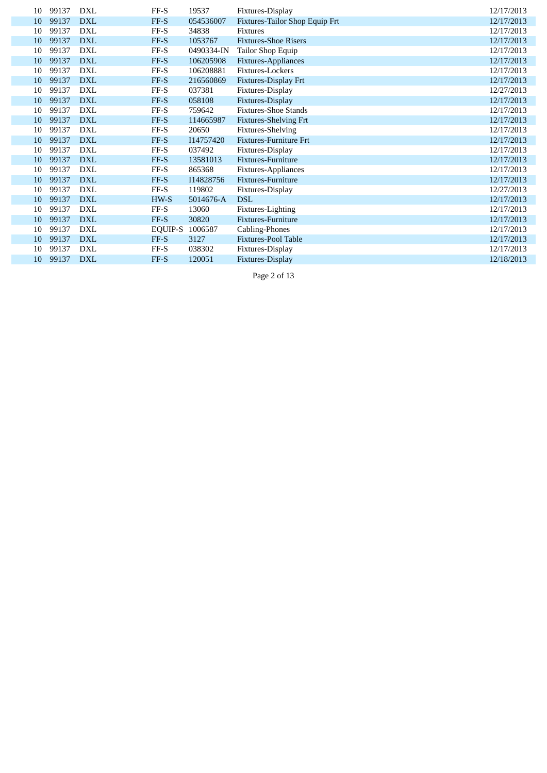| 10 | 99137 | DXL        | $FF-S$  | 19537      | Fixtures-Display               | 12/17/2013 |
|----|-------|------------|---------|------------|--------------------------------|------------|
| 10 | 99137 | <b>DXL</b> | FF-S    | 054536007  | Fixtures-Tailor Shop Equip Frt | 12/17/2013 |
| 10 | 99137 | <b>DXL</b> | FF-S    | 34838      | <b>Fixtures</b>                | 12/17/2013 |
| 10 | 99137 | <b>DXL</b> | FF-S    | 1053767    | <b>Fixtures-Shoe Risers</b>    | 12/17/2013 |
|    |       |            |         |            |                                |            |
| 10 | 99137 | <b>DXL</b> | FF-S    | 0490334-IN | Tailor Shop Equip              | 12/17/2013 |
| 10 | 99137 | <b>DXL</b> | FF-S    | 106205908  | <b>Fixtures-Appliances</b>     | 12/17/2013 |
| 10 | 99137 | <b>DXL</b> | $FF-S$  | 106208881  | Fixtures-Lockers               | 12/17/2013 |
| 10 | 99137 | <b>DXL</b> | FF-S    | 216560869  | Fixtures-Display Frt           | 12/17/2013 |
| 10 | 99137 | <b>DXL</b> | FF-S    | 037381     | Fixtures-Display               | 12/27/2013 |
| 10 | 99137 | <b>DXL</b> | FF-S    | 058108     | Fixtures-Display               | 12/17/2013 |
| 10 | 99137 | <b>DXL</b> | $FF-S$  | 759642     | <b>Fixtures-Shoe Stands</b>    | 12/17/2013 |
| 10 | 99137 | <b>DXL</b> | FF-S    | 114665987  | <b>Fixtures-Shelving Frt</b>   | 12/17/2013 |
| 10 | 99137 | DXL        | FF-S    | 20650      | Fixtures-Shelving              | 12/17/2013 |
| 10 | 99137 | <b>DXL</b> | FF-S    | I14757420  | <b>Fixtures-Furniture Frt</b>  | 12/17/2013 |
| 10 | 99137 | DXL        | FF-S    | 037492     | Fixtures-Display               | 12/17/2013 |
| 10 | 99137 | <b>DXL</b> | FF-S    | 13581013   | Fixtures-Furniture             | 12/17/2013 |
| 10 | 99137 | <b>DXL</b> | $FF-S$  | 865368     | Fixtures-Appliances            | 12/17/2013 |
| 10 | 99137 | <b>DXL</b> | FF-S    | I14828756  | Fixtures-Furniture             | 12/17/2013 |
| 10 | 99137 | <b>DXL</b> | FF-S    | 119802     | Fixtures-Display               | 12/27/2013 |
| 10 | 99137 | <b>DXL</b> | HW-S    | 5014676-A  | <b>DSL</b>                     | 12/17/2013 |
| 10 | 99137 | <b>DXL</b> | $FF-S$  | 13060      | Fixtures-Lighting              | 12/17/2013 |
| 10 | 99137 | <b>DXL</b> | FF-S    | 30820      | Fixtures-Furniture             | 12/17/2013 |
| 10 | 99137 | <b>DXL</b> | EQUIP-S | 1006587    | Cabling-Phones                 | 12/17/2013 |
| 10 | 99137 | <b>DXL</b> | FF-S    | 3127       | <b>Fixtures-Pool Table</b>     | 12/17/2013 |
| 10 | 99137 | <b>DXL</b> | FF-S    | 038302     | Fixtures-Display               | 12/17/2013 |
| 10 | 99137 | <b>DXL</b> | FF-S    | 120051     | Fixtures-Display               | 12/18/2013 |

Page 2 of 13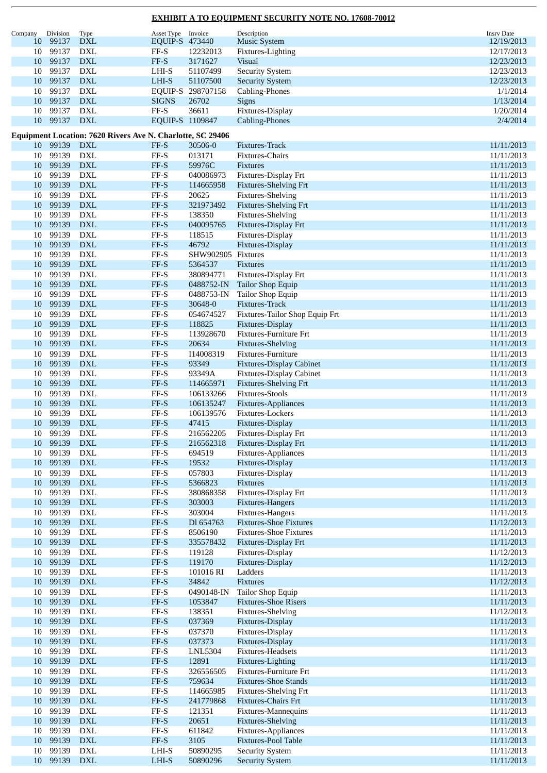| Company | Division | Type                                                       | Asset Type                   | Invoice            | Description                     | <b>Insrv Date</b> |
|---------|----------|------------------------------------------------------------|------------------------------|--------------------|---------------------------------|-------------------|
| 10      | 99137    | <b>DXL</b>                                                 | EQUIP-S 473440               |                    | <b>Music System</b>             | 12/19/2013        |
| 10      | 99137    | DXL                                                        | $FF-S$                       | 12232013           | Fixtures-Lighting               | 12/17/2013        |
| 10      | 99137    | <b>DXL</b>                                                 | $FF-S$                       | 3171627            | <b>Visual</b>                   | 12/23/2013        |
| 10      | 99137    | <b>DXL</b>                                                 | LHI-S                        | 51107499           | <b>Security System</b>          | 12/23/2013        |
| 10      | 99137    | <b>DXL</b>                                                 | LHI-S                        | 51107500           | <b>Security System</b>          | 12/23/2013        |
| 10      | 99137    | <b>DXL</b>                                                 | EQUIP-S                      | 298707158          | Cabling-Phones                  | 1/1/2014          |
| 10      | 99137    | <b>DXL</b>                                                 | <b>SIGNS</b>                 | 26702              | Signs                           | 1/13/2014         |
| 10      | 99137    | <b>DXL</b>                                                 | FF-S                         | 36611              |                                 | 1/20/2014         |
|         |          |                                                            |                              |                    | Fixtures-Display                |                   |
| 10      | 99137    | <b>DXL</b>                                                 | EQUIP-S 1109847              |                    | Cabling-Phones                  | 2/4/2014          |
|         |          | Equipment Location: 7620 Rivers Ave N. Charlotte, SC 29406 |                              |                    |                                 |                   |
| 10      | 99139    | <b>DXL</b>                                                 | FF-S                         | 30506-0            | Fixtures-Track                  | 11/11/2013        |
| 10      | 99139    | <b>DXL</b>                                                 | FF-S                         | 013171             | Fixtures-Chairs                 | 11/11/2013        |
| 10      | 99139    | <b>DXL</b>                                                 | $FF-S$                       | 59976C             | Fixtures                        | 11/11/2013        |
| 10      | 99139    | <b>DXL</b>                                                 | $FF-S$                       | 040086973          | Fixtures-Display Frt            | 11/11/2013        |
|         | 99139    | <b>DXL</b>                                                 | $FF-S$                       |                    |                                 |                   |
| 10      |          |                                                            |                              | 114665958          | <b>Fixtures-Shelving Frt</b>    | 11/11/2013        |
| 10      | 99139    | <b>DXL</b>                                                 | $\rm FF\text{-}S$            | 20625              | Fixtures-Shelving               | 11/11/2013        |
| 10      | 99139    | <b>DXL</b>                                                 | $FF-S$                       | 321973492          | <b>Fixtures-Shelving Frt</b>    | 11/11/2013        |
| 10      | 99139    | <b>DXL</b>                                                 | $FF-S$                       | 138350             | Fixtures-Shelving               | 11/11/2013        |
| 10      | 99139    | <b>DXL</b>                                                 | $FF-S$                       | 040095765          | Fixtures-Display Frt            | 11/11/2013        |
| 10      | 99139    | <b>DXL</b>                                                 | FF-S                         | 118515             | Fixtures-Display                | 11/11/2013        |
| 10      | 99139    | <b>DXL</b>                                                 | $FF-S$                       | 46792              | Fixtures-Display                | 11/11/2013        |
| 10      | 99139    | <b>DXL</b>                                                 | $FF-S$                       | SHW902905 Fixtures |                                 | 11/11/2013        |
| 10      | 99139    | <b>DXL</b>                                                 | $FF-S$                       | 5364537            | Fixtures                        | 11/11/2013        |
| 10      | 99139    | <b>DXL</b>                                                 | $FF-S$                       | 380894771          | Fixtures-Display Frt            | 11/11/2013        |
| 10      | 99139    | <b>DXL</b>                                                 | $FF-S$                       | 0488752-IN         | <b>Tailor Shop Equip</b>        | 11/11/2013        |
|         |          |                                                            |                              |                    |                                 |                   |
| 10      | 99139    | <b>DXL</b>                                                 | $FF-S$                       | 0488753-IN         | Tailor Shop Equip               | 11/11/2013        |
| 10      | 99139    | <b>DXL</b>                                                 | $FF-S$                       | 30648-0            | Fixtures-Track                  | 11/11/2013        |
| 10      | 99139    | <b>DXL</b>                                                 | $FF-S$                       | 054674527          | Fixtures-Tailor Shop Equip Frt  | 11/11/2013        |
| 10      | 99139    | <b>DXL</b>                                                 | $FF-S$                       | 118825             | Fixtures-Display                | 11/11/2013        |
| 10      | 99139    | <b>DXL</b>                                                 | $FF-S$                       | 113928670          | Fixtures-Furniture Frt          | 11/11/2013        |
| 10      | 99139    | <b>DXL</b>                                                 | FF-S                         | 20634              | <b>Fixtures-Shelving</b>        | 11/11/2013        |
| 10      | 99139    | <b>DXL</b>                                                 | $FF-S$                       | I14008319          | Fixtures-Furniture              | 11/11/2013        |
| 10      | 99139    | $\mathbf{DXL}$                                             | $FF-S$                       | 93349              | <b>Fixtures-Display Cabinet</b> | 11/11/2013        |
| 10      | 99139    | <b>DXL</b>                                                 | $FF-S$                       | 93349A             | <b>Fixtures-Display Cabinet</b> | 11/11/2013        |
| 10      | 99139    | <b>DXL</b>                                                 | $FF-S$                       | 114665971          | <b>Fixtures-Shelving Frt</b>    | 11/11/2013        |
| 10      | 99139    | <b>DXL</b>                                                 | FF-S                         | 106133266          | <b>Fixtures-Stools</b>          | 11/11/2013        |
|         | 99139    | $\mathbf{DXL}$                                             | $FF-S$                       |                    |                                 |                   |
| 10      |          |                                                            |                              | 106135247          | Fixtures-Appliances             | 11/11/2013        |
| 10      | 99139    | DXL                                                        | $FF-S$                       | 106139576          | Fixtures-Lockers                | 11/11/2013        |
| 10      | 99139    | <b>DXL</b>                                                 | $FF-S$                       | 47415              | Fixtures-Display                | 11/11/2013        |
| 10      | 99139    | <b>DXL</b>                                                 | FF-S                         | 216562205          | Fixtures-Display Frt            | 11/11/2013        |
| 10      | 99139    | DXL                                                        | FF-S                         | 216562318          | Fixtures-Display Frt            | 11/11/2013        |
| 10      | 99139    | ${\rm DXL}$                                                | $FF-S$                       | 694519             | Fixtures-Appliances             | 11/11/2013        |
| 10      | 99139    | <b>DXL</b>                                                 | $FF-S$                       | 19532              | Fixtures-Display                | 11/11/2013        |
| 10      | 99139    | <b>DXL</b>                                                 | $FF-S$                       | 057803             | Fixtures-Display                | 11/11/2013        |
| 10      | 99139    | <b>DXL</b>                                                 | $FF-S$                       | 5366823            | Fixtures                        | 11/11/2013        |
| 10      | 99139    | DXL                                                        | $\rm FF\text{-}S$            | 380868358          | Fixtures-Display Frt            | 11/11/2013        |
| 10      | 99139    | ${\rm DXL}$                                                | FF-S                         | 303003             | Fixtures-Hangers                | 11/11/2013        |
| 10      | 99139    | ${\rm DXL}$                                                | FF-S                         | 303004             | Fixtures-Hangers                | 11/11/2013        |
|         | 99139    | $\mathbf{DXL}$                                             |                              | Dl 654763          | <b>Fixtures-Shoe Fixtures</b>   |                   |
| 10      |          |                                                            | $\ensuremath{\mathsf{FF-S}}$ |                    |                                 | 11/12/2013        |
| 10      | 99139    | $\mathop{\rm DXL}\nolimits$                                | $FF-S$                       | 8506190            | <b>Fixtures-Shoe Fixtures</b>   | 11/11/2013        |
| 10      | 99139    | ${\rm DXL}$                                                | $FF-S$                       | 335578432          | Fixtures-Display Frt            | 11/11/2013        |
| 10      | 99139    | ${\rm DXL}$                                                | $FF-S$                       | 119128             | Fixtures-Display                | 11/12/2013        |
| 10      | 99139    | $\mathbf{DXL}$                                             | $FF-S$                       | 119170             | Fixtures-Display                | 11/12/2013        |
| 10      | 99139    | ${\rm DXL}$                                                | $FF-S$                       | 101016 RI          | Ladders                         | 11/11/2013        |
| 10      | 99139    | $\mathbf{DXL}$                                             | $FF-S$                       | 34842              | Fixtures                        | 11/12/2013        |
| 10      | 99139    | DXL                                                        | $\rm FF\text{-}S$            | 0490148-IN         | Tailor Shop Equip               | 11/11/2013        |
| 10      | 99139    | ${\rm DXL}$                                                | $FF-S$                       | 1053847            | <b>Fixtures-Shoe Risers</b>     | 11/11/2013        |
| 10      | 99139    | $\mathop{\rm DXL}\nolimits$                                | $FF-S$                       | 138351             | Fixtures-Shelving               | 11/12/2013        |
| 10      | 99139    | $\mathbf{DXL}$                                             | $FF-S$                       | 037369             | Fixtures-Display                | 11/11/2013        |
| 10      | 99139    | $\mathop{\rm DXL}\nolimits$                                | $FF-S$                       | 037370             | Fixtures-Display                | 11/11/2013        |
| 10      | 99139    | ${\rm DXL}$                                                | $FF-S$                       | 037373             | Fixtures-Display                | 11/11/2013        |
|         |          |                                                            |                              |                    |                                 |                   |
| 10      | 99139    | $\mathop{\rm DXL}\nolimits$                                | $FF-S$                       | LNL5304            | Fixtures-Headsets               | 11/11/2013        |
| 10      | 99139    | $\mathbf{D}\mathbf{X}\mathbf{L}$                           | $FF-S$                       | 12891              | Fixtures-Lighting               | 11/11/2013        |
| 10      | 99139    | $\mathbf{DXL}$                                             | $FF-S$                       | 326556505          | Fixtures-Furniture Frt          | 11/11/2013        |
| 10      | 99139    | $\mathbf{D}\mathbf{X}\mathbf{L}$                           | $FF-S$                       | 759634             | <b>Fixtures-Shoe Stands</b>     | 11/11/2013        |
| 10      | 99139    | DXL                                                        | $\rm FF\text{-}S$            | 114665985          | <b>Fixtures-Shelving Frt</b>    | 11/11/2013        |
| 10      | 99139    | ${\rm DXL}$                                                | $\ensuremath{\mathsf{FF-S}}$ | 241779868          | Fixtures-Chairs Frt             | 11/11/2013        |
| 10      | 99139    | $\mathop{\rm DXL}\nolimits$                                | $FF-S$                       | 121351             | Fixtures-Mannequins             | 11/11/2013        |
| 10      | 99139    | $\mathbf{DXL}$                                             | $FF-S$                       | 20651              | <b>Fixtures-Shelving</b>        | 11/11/2013        |
| 10      | 99139    | $\mathop{\rm DXL}\nolimits$                                | $FF-S$                       | 611842             | Fixtures-Appliances             | 11/11/2013        |
| 10      | 99139    | $\mathbf{DXL}$                                             | $FF-S$                       | 3105               | Fixtures-Pool Table             | 11/11/2013        |
| 10      | 99139    | ${\rm DXL}$                                                | LHI-S                        | 50890295           | <b>Security System</b>          | 11/11/2013        |
|         |          |                                                            |                              |                    |                                 |                   |
| 10      | 99139    | <b>DXL</b>                                                 | $LHI-S$                      | 50890296           | <b>Security System</b>          | 11/11/2013        |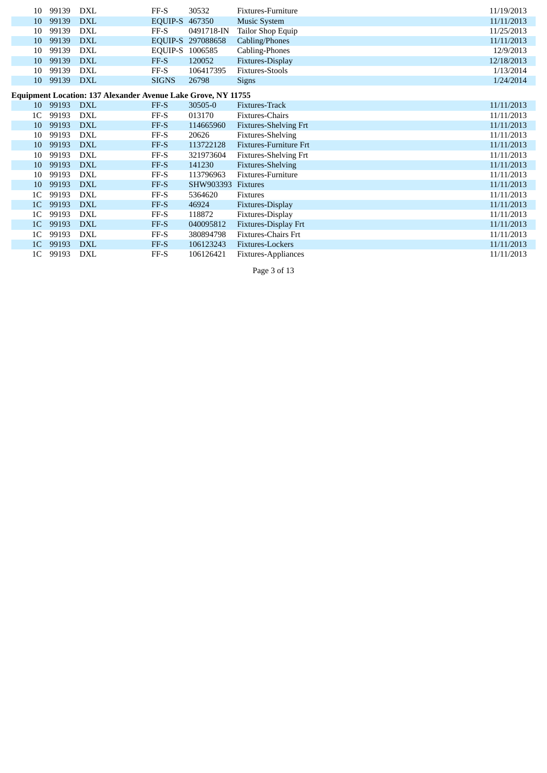| 10                                                            | 99139    | DXL        | FF-S         | 30532      | <b>Fixtures-Furniture</b>     | 11/19/2013 |  |  |  |  |
|---------------------------------------------------------------|----------|------------|--------------|------------|-------------------------------|------------|--|--|--|--|
| 10                                                            | 99139    | <b>DXL</b> | EQUIP-S      | 467350     | <b>Music System</b>           | 11/11/2013 |  |  |  |  |
| 10                                                            | 99139    | DXL        | $FF-S$       | 0491718-IN | Tailor Shop Equip             | 11/25/2013 |  |  |  |  |
| 10                                                            | 99139    | <b>DXL</b> | EQUIP-S      | 297088658  | Cabling/Phones                | 11/11/2013 |  |  |  |  |
| 10                                                            | 99139    | <b>DXL</b> | EQUIP-S      | 1006585    | Cabling-Phones                | 12/9/2013  |  |  |  |  |
| 10                                                            | 99139    | <b>DXL</b> | FF-S         | 120052     | Fixtures-Display              | 12/18/2013 |  |  |  |  |
| 10                                                            | 99139    | DXL        | FF-S         | 106417395  | <b>Fixtures-Stools</b>        | 1/13/2014  |  |  |  |  |
| 10                                                            | 99139    | <b>DXL</b> | <b>SIGNS</b> | 26798      | <b>Signs</b>                  | 1/24/2014  |  |  |  |  |
| Equipment Location: 137 Alexander Avenue Lake Grove, NY 11755 |          |            |              |            |                               |            |  |  |  |  |
|                                                               | 10 99193 | <b>DXL</b> | FF-S         | 30505-0    | Fixtures-Track                | 11/11/2013 |  |  |  |  |
| 1 <sup>C</sup>                                                | 99193    | DXL        | FF-S         | 013170     | Fixtures-Chairs               | 11/11/2013 |  |  |  |  |
| 10                                                            | 99193    | <b>DXL</b> | FF-S         | 114665960  | <b>Fixtures-Shelving Frt</b>  | 11/11/2013 |  |  |  |  |
| 10                                                            | 99193    | <b>DXL</b> | FF-S         | 20626      | Fixtures-Shelving             | 11/11/2013 |  |  |  |  |
| 10                                                            | 99193    | <b>DXL</b> | FF-S         | 113722128  | <b>Fixtures-Furniture Frt</b> | 11/11/2013 |  |  |  |  |
| 10                                                            | 99193    | DXL        | FF-S         | 321973604  | <b>Fixtures-Shelving Frt</b>  | 11/11/2013 |  |  |  |  |
| 10                                                            | 99193    | <b>DXL</b> | FF-S         | 141230     | <b>Fixtures-Shelving</b>      | 11/11/2013 |  |  |  |  |
| 10                                                            | 99193    | <b>DXL</b> | $FF-S$       | 113796963  | <b>Fixtures-Furniture</b>     | 11/11/2013 |  |  |  |  |
| 10                                                            | 99193    | <b>DXL</b> | FF-S         | SHW903393  | <b>Fixtures</b>               | 11/11/2013 |  |  |  |  |
| 1 <sup>C</sup>                                                | 99193    | <b>DXL</b> | FF-S         | 5364620    | Fixtures                      | 11/11/2013 |  |  |  |  |
| 1 <sup>C</sup>                                                | 99193    | <b>DXL</b> | FF-S         | 46924      | Fixtures-Display              | 11/11/2013 |  |  |  |  |
| 1 <sup>C</sup>                                                | 99193    | <b>DXL</b> | FF-S         | 118872     | Fixtures-Display              | 11/11/2013 |  |  |  |  |
| 1 <sup>C</sup>                                                | 99193    | <b>DXL</b> | FF-S         | 040095812  | <b>Fixtures-Display Frt</b>   | 11/11/2013 |  |  |  |  |
| 1 <sup>C</sup>                                                | 99193    | <b>DXL</b> | FF-S         | 380894798  | <b>Fixtures-Chairs Frt</b>    | 11/11/2013 |  |  |  |  |
| 1 <sub>C</sub>                                                | 99193    | <b>DXL</b> | FF-S         | 106123243  | Fixtures-Lockers              | 11/11/2013 |  |  |  |  |
| 1 <sup>C</sup>                                                | 99193    | <b>DXL</b> | FF-S         | 106126421  | Fixtures-Appliances           | 11/11/2013 |  |  |  |  |

Page 3 of 13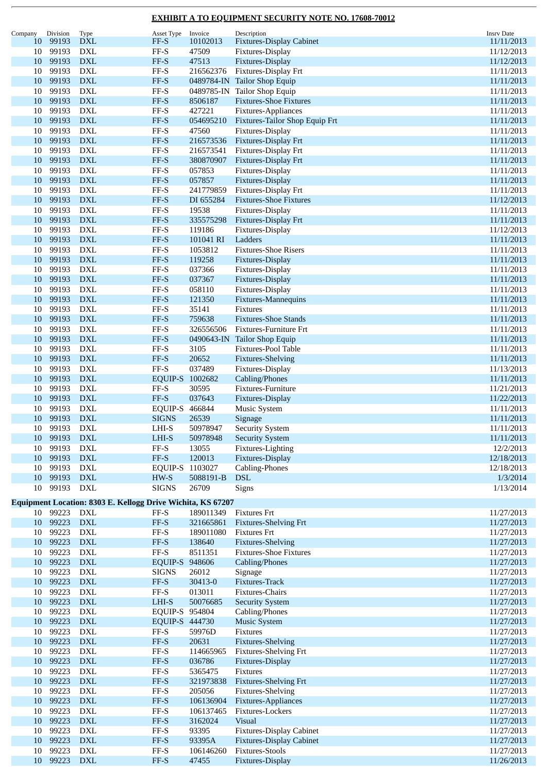| Company  | Division          | <b>Type</b>                                                 | Asset Type                             | Invoice                | Description                                         | <b>Insrv Date</b>        |
|----------|-------------------|-------------------------------------------------------------|----------------------------------------|------------------------|-----------------------------------------------------|--------------------------|
| 10       | 99193             | <b>DXL</b>                                                  | FF-S                                   | 10102013               | <b>Fixtures-Display Cabinet</b>                     | 11/11/2013               |
| 10       | 99193             | <b>DXL</b>                                                  | $\rm FF\text{-}S$                      | 47509                  | Fixtures-Display                                    | 11/12/2013               |
| 10       | 99193             | <b>DXL</b>                                                  | $FF-S$                                 | 47513                  | Fixtures-Display                                    | 11/12/2013               |
| 10       | 99193             | <b>DXL</b>                                                  | $\ensuremath{\mathsf{FF-S}}$           | 216562376              | Fixtures-Display Frt                                | 11/11/2013               |
| 10       | 99193             | <b>DXL</b>                                                  | FF-S                                   |                        | 0489784-IN Tailor Shop Equip                        | 11/11/2013               |
| 10       | 99193             | <b>DXL</b>                                                  | $\rm FF\text{-}S$                      |                        | 0489785-IN Tailor Shop Equip                        | 11/11/2013               |
| 10       | 99193             | <b>DXL</b>                                                  | $FF-S$                                 | 8506187                | <b>Fixtures-Shoe Fixtures</b>                       | 11/11/2013               |
| 10       | 99193             | <b>DXL</b>                                                  | $\rm FF\text{-}S$                      | 427221                 | Fixtures-Appliances                                 | 11/11/2013               |
| 10       | 99193             | <b>DXL</b>                                                  | $FF-S$                                 | 054695210              | Fixtures-Tailor Shop Equip Frt                      | 11/11/2013               |
| 10       | 99193             | <b>DXL</b>                                                  | FF-S                                   | 47560                  | Fixtures-Display                                    | 11/11/2013               |
| 10       | 99193             | <b>DXL</b>                                                  | $FF-S$                                 | 216573536              | Fixtures-Display Frt                                | 11/11/2013               |
| 10       | 99193             | <b>DXL</b>                                                  | $\rm FF\text{-}S$                      | 216573541              | Fixtures-Display Frt                                | 11/11/2013               |
| 10       | 99193             | <b>DXL</b>                                                  | $FF-S$                                 | 380870907              | Fixtures-Display Frt                                | 11/11/2013               |
| 10       | 99193             | <b>DXL</b>                                                  | $\ensuremath{\mathsf{FF-S}}$           | 057853                 | Fixtures-Display                                    | 11/11/2013               |
| 10       | 99193             | <b>DXL</b>                                                  | $FF-S$                                 | 057857                 | Fixtures-Display                                    | 11/11/2013               |
| 10       | 99193             | <b>DXL</b>                                                  | $\rm FF\text{-}S$                      | 241779859              | Fixtures-Display Frt                                | 11/11/2013               |
| 10       | 99193             | <b>DXL</b>                                                  | $FF-S$                                 | DI 655284              | <b>Fixtures-Shoe Fixtures</b>                       | 11/12/2013               |
| 10       | 99193             | <b>DXL</b>                                                  | FF-S                                   | 19538                  | Fixtures-Display                                    | 11/11/2013               |
| 10       | 99193             | <b>DXL</b>                                                  | $FF-S$                                 | 335575298              | Fixtures-Display Frt                                | 11/11/2013               |
| 10       | 99193             | <b>DXL</b>                                                  | $FF-S$                                 | 119186                 | Fixtures-Display                                    | 11/12/2013               |
| 10       | 99193             | <b>DXL</b>                                                  | $FF-S$                                 | 101041 RI              | Ladders                                             | 11/11/2013               |
| 10       | 99193             | <b>DXL</b>                                                  | FF-S                                   | 1053812                | <b>Fixtures-Shoe Risers</b>                         | 11/11/2013               |
| 10       | 99193             | <b>DXL</b>                                                  | $FF-S$                                 | 119258                 | Fixtures-Display                                    | 11/11/2013               |
| 10       | 99193             | <b>DXL</b>                                                  | $\rm FF\text{-}S$                      | 037366                 | Fixtures-Display                                    | 11/11/2013               |
| 10       | 99193<br>99193    | <b>DXL</b>                                                  | $FF-S$                                 | 037367                 | Fixtures-Display                                    | 11/11/2013               |
| 10<br>10 | 99193             | <b>DXL</b><br><b>DXL</b>                                    | $\rm FF\text{-}S$<br>$FF-S$            | 058110                 | Fixtures-Display                                    | 11/11/2013               |
|          | 99193             | <b>DXL</b>                                                  | FF-S                                   | 121350<br>35141        | Fixtures-Mannequins<br><b>Fixtures</b>              | 11/11/2013<br>11/11/2013 |
| 10<br>10 | 99193             | <b>DXL</b>                                                  | FF-S                                   | 759638                 | <b>Fixtures-Shoe Stands</b>                         | 11/11/2013               |
| 10       | 99193             | <b>DXL</b>                                                  | $\ensuremath{\mathsf{FF-S}}$           | 326556506              | Fixtures-Furniture Frt                              | 11/11/2013               |
| 10       | 99193             | <b>DXL</b>                                                  | $FF-S$                                 |                        | 0490643-IN Tailor Shop Equip                        | 11/11/2013               |
| 10       | 99193             | <b>DXL</b>                                                  | $FF-S$                                 | 3105                   | Fixtures-Pool Table                                 | 11/11/2013               |
| 10       | 99193             | <b>DXL</b>                                                  | $FF-S$                                 | 20652                  | <b>Fixtures-Shelving</b>                            | 11/11/2013               |
| 10       | 99193             | <b>DXL</b>                                                  | $\rm FF\text{-}S$                      | 037489                 | Fixtures-Display                                    | 11/13/2013               |
| 10       | 99193             | <b>DXL</b>                                                  | EQUIP-S                                | 1002682                | Cabling/Phones                                      | 11/11/2013               |
| 10       | 99193             | <b>DXL</b>                                                  | $FF-S$                                 | 30595                  | Fixtures-Furniture                                  | 11/21/2013               |
| 10       | 99193             | <b>DXL</b>                                                  | $FF-S$                                 | 037643                 | Fixtures-Display                                    | 11/22/2013               |
| 10       | 99193             | <b>DXL</b>                                                  | EQUIP-S 466844                         |                        | Music System                                        | 11/11/2013               |
| 10       | 99193             | <b>DXL</b>                                                  | <b>SIGNS</b>                           | 26539                  | Signage                                             | 11/11/2013               |
| 10       | 99193             | DXL                                                         | LHI-S                                  | 50978947               | <b>Security System</b>                              | 11/11/2013               |
|          | 10 99193 DXL      |                                                             | $_{\rm LHI-S}$                         | 50978948               | <b>Security System</b>                              | 11/11/2013               |
| 10       | 99193             | <b>DXL</b>                                                  | $\rm FF\text{-}S$                      | 13055                  | Fixtures-Lighting                                   | 12/2/2013                |
| 10       | 99193             | $\mathbf{D}\mathbf{X}\mathbf{L}$                            | $FF-S$                                 | 120013                 | Fixtures-Display                                    | 12/18/2013               |
| 10       | 99193             | <b>DXL</b>                                                  | EQUIP-S 1103027                        |                        | Cabling-Phones                                      | 12/18/2013               |
| 10       | 99193             | <b>DXL</b>                                                  | HW-S                                   | 5088191-B              | <b>DSL</b>                                          | 1/3/2014                 |
| 10       | 99193             | DXL                                                         | <b>SIGNS</b>                           | 26709                  | Signs                                               | 1/13/2014                |
|          |                   |                                                             |                                        |                        |                                                     |                          |
|          |                   | Equipment Location: 8303 E. Kellogg Drive Wichita, KS 67207 |                                        |                        |                                                     |                          |
| 10       | 10 99223<br>99223 | DXL                                                         | $\rm FF\text{-}S$                      | 189011349              | <b>Fixtures Frt</b>                                 | 11/27/2013               |
| 10       | 99223             | <b>DXL</b><br><b>DXL</b>                                    | $\ensuremath{\mathsf{FF-S}}$<br>$FF-S$ | 321665861<br>189011080 | <b>Fixtures-Shelving Frt</b><br><b>Fixtures Frt</b> | 11/27/2013<br>11/27/2013 |
| 10       | 99223             | <b>DXL</b>                                                  | $\ensuremath{\mathsf{FF-S}}$           | 138640                 | <b>Fixtures-Shelving</b>                            | 11/27/2013               |
| 10       | 99223             | <b>DXL</b>                                                  | $\rm FF\text{-}S$                      | 8511351                | <b>Fixtures-Shoe Fixtures</b>                       | 11/27/2013               |
| 10       | 99223             | <b>DXL</b>                                                  | EQUIP-S 948606                         |                        | Cabling/Phones                                      | 11/27/2013               |
| 10       | 99223             | <b>DXL</b>                                                  | <b>SIGNS</b>                           | 26012                  | Signage                                             | 11/27/2013               |
| 10       | 99223             | <b>DXL</b>                                                  | $\ensuremath{\mathsf{FF-S}}$           | 30413-0                | Fixtures-Track                                      | 11/27/2013               |
| 10       | 99223             | <b>DXL</b>                                                  | $\rm FF\text{-}S$                      | 013011                 | Fixtures-Chairs                                     | 11/27/2013               |
| 10       | 99223             | <b>DXL</b>                                                  | $LHI-S$                                | 50076685               | <b>Security System</b>                              | 11/27/2013               |
| 10       | 99223             | <b>DXL</b>                                                  | EQUIP-S 954804                         |                        | Cabling/Phones                                      | 11/27/2013               |
| 10       | 99223             | <b>DXL</b>                                                  | EQUIP-S 444730                         |                        | <b>Music System</b>                                 | 11/27/2013               |
| 10       | 99223             | <b>DXL</b>                                                  | $FF-S$                                 | 59976D                 | Fixtures                                            | 11/27/2013               |
| 10       | 99223             | <b>DXL</b>                                                  | $\ensuremath{\mathsf{FF-S}}$           | 20631                  | Fixtures-Shelving                                   | 11/27/2013               |
| 10       | 99223             | <b>DXL</b>                                                  | $\rm FF\text{-}S$                      | 114665965              | <b>Fixtures-Shelving Frt</b>                        | 11/27/2013               |
| 10       | 99223             | <b>DXL</b>                                                  | $FF-S$                                 | 036786                 | Fixtures-Display                                    | 11/27/2013               |
| 10       | 99223             | <b>DXL</b>                                                  | $\ensuremath{\mathsf{FF-S}}$           | 5365475                | Fixtures                                            | 11/27/2013               |
| 10       | 99223             | <b>DXL</b>                                                  | $\ensuremath{\mathsf{FF-S}}$           | 321973838              | <b>Fixtures-Shelving Frt</b>                        | 11/27/2013               |
| 10       | 99223             | <b>DXL</b>                                                  | $FF-S$                                 | 205056                 | Fixtures-Shelving                                   | 11/27/2013               |
| 10       | 99223             | <b>DXL</b>                                                  | $FF-S$                                 | 106136904              | Fixtures-Appliances                                 | 11/27/2013               |
| 10       | 99223             | <b>DXL</b>                                                  | $\rm FF\text{-}S$                      | 106137465              | Fixtures-Lockers                                    | 11/27/2013               |
| 10       | 99223             | <b>DXL</b>                                                  | $\ensuremath{\mathsf{FF-S}}$           | 3162024                | <b>Visual</b>                                       | 11/27/2013               |
| 10       | 99223             | <b>DXL</b>                                                  | $FF-S$                                 | 93395                  | <b>Fixtures-Display Cabinet</b>                     | 11/27/2013               |
| 10       | 99223             | <b>DXL</b>                                                  | $FF-S$                                 | 93395A                 | <b>Fixtures-Display Cabinet</b>                     | 11/27/2013               |
| 10       | 99223             | <b>DXL</b>                                                  | $\rm FF\text{-}S$                      | 106146260              | <b>Fixtures-Stools</b>                              | 11/27/2013               |
| 10       | 99223             | <b>DXL</b>                                                  | FF-S                                   | 47455                  | Fixtures-Display                                    | 11/26/2013               |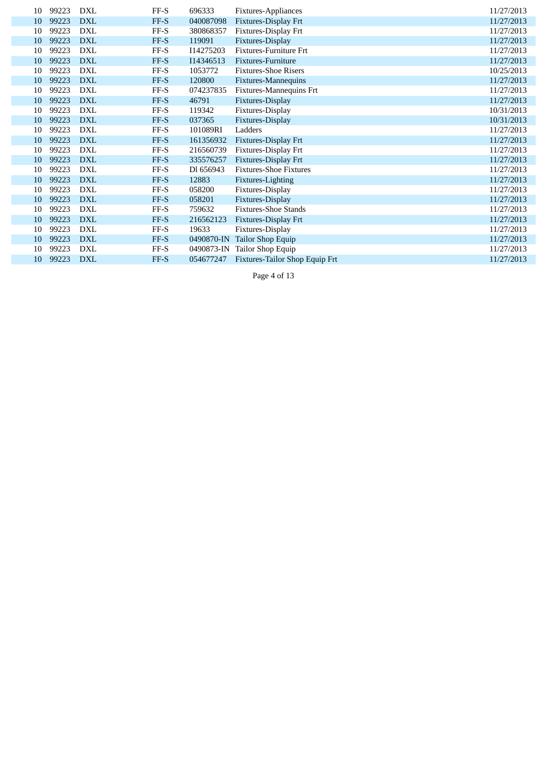| 10 | 99223 | <b>DXL</b> | FF-S   | 696333     | Fixtures-Appliances            | 11/27/2013 |
|----|-------|------------|--------|------------|--------------------------------|------------|
| 10 | 99223 | <b>DXL</b> | FF-S   | 040087098  | Fixtures-Display Frt           | 11/27/2013 |
| 10 | 99223 | <b>DXL</b> | FF-S   | 380868357  | Fixtures-Display Frt           | 11/27/2013 |
| 10 | 99223 | <b>DXL</b> | FF-S   | 119091     | Fixtures-Display               | 11/27/2013 |
| 10 | 99223 | <b>DXL</b> | $FF-S$ | I14275203  | Fixtures-Furniture Frt         | 11/27/2013 |
| 10 | 99223 | <b>DXL</b> | FF-S   | I14346513  | Fixtures-Furniture             | 11/27/2013 |
| 10 | 99223 | <b>DXL</b> | FF-S   | 1053772    | <b>Fixtures-Shoe Risers</b>    | 10/25/2013 |
| 10 | 99223 | <b>DXL</b> | FF-S   | 120800     | <b>Fixtures-Mannequins</b>     | 11/27/2013 |
| 10 | 99223 | <b>DXL</b> | FF-S   | 074237835  | Fixtures-Mannequins Frt        | 11/27/2013 |
| 10 | 99223 | <b>DXL</b> | FF-S   | 46791      | Fixtures-Display               | 11/27/2013 |
| 10 | 99223 | <b>DXL</b> | FF-S   | 119342     | Fixtures-Display               | 10/31/2013 |
| 10 | 99223 | <b>DXL</b> | FF-S   | 037365     | Fixtures-Display               | 10/31/2013 |
| 10 | 99223 | <b>DXL</b> | FF-S   | 101089RI   | Ladders                        | 11/27/2013 |
| 10 | 99223 | <b>DXL</b> | FF-S   | 161356932  | Fixtures-Display Frt           | 11/27/2013 |
| 10 | 99223 | <b>DXL</b> | FF-S   | 216560739  | Fixtures-Display Frt           | 11/27/2013 |
| 10 | 99223 | <b>DXL</b> | FF-S   | 335576257  | Fixtures-Display Frt           | 11/27/2013 |
| 10 | 99223 | <b>DXL</b> | $FF-S$ | Dl 656943  | <b>Fixtures-Shoe Fixtures</b>  | 11/27/2013 |
| 10 | 99223 | <b>DXL</b> | FF-S   | 12883      | Fixtures-Lighting              | 11/27/2013 |
| 10 | 99223 | <b>DXL</b> | FF-S   | 058200     | Fixtures-Display               | 11/27/2013 |
| 10 | 99223 | <b>DXL</b> | FF-S   | 058201     | Fixtures-Display               | 11/27/2013 |
| 10 | 99223 | <b>DXL</b> | FF-S   | 759632     | <b>Fixtures-Shoe Stands</b>    | 11/27/2013 |
| 10 | 99223 | <b>DXL</b> | FF-S   | 216562123  | Fixtures-Display Frt           | 11/27/2013 |
| 10 | 99223 | <b>DXL</b> | FF-S   | 19633      | Fixtures-Display               | 11/27/2013 |
| 10 | 99223 | <b>DXL</b> | FF-S   | 0490870-IN | Tailor Shop Equip              | 11/27/2013 |
| 10 | 99223 | <b>DXL</b> | FF-S   | 0490873-IN | Tailor Shop Equip              | 11/27/2013 |
| 10 | 99223 | <b>DXL</b> | FF-S   | 054677247  | Fixtures-Tailor Shop Equip Frt | 11/27/2013 |
|    |       |            |        |            |                                |            |

Page 4 of 13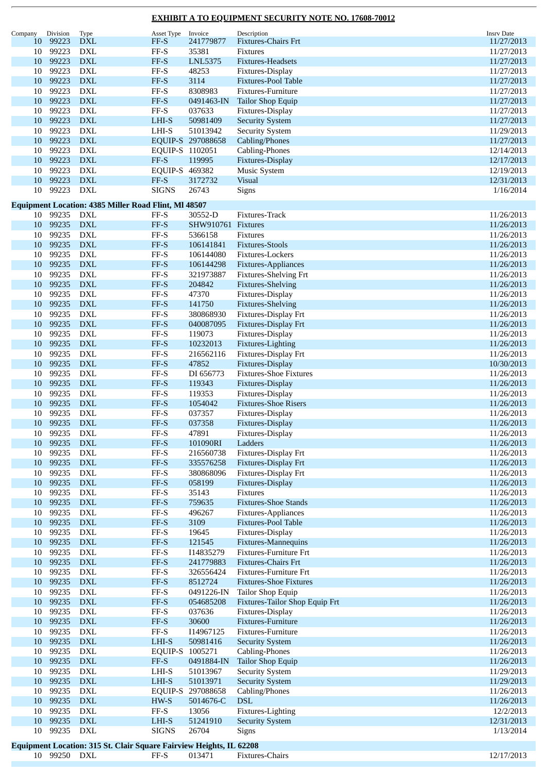| Company         | Division     | Type                                                                | Asset Type                   | Invoice            | Description                    | <b>Insrv Date</b> |
|-----------------|--------------|---------------------------------------------------------------------|------------------------------|--------------------|--------------------------------|-------------------|
| 10              | 99223        | <b>DXL</b>                                                          | FF-S                         | 241779877          | <b>Fixtures-Chairs Frt</b>     | 11/27/2013        |
| 10              | 99223        | <b>DXL</b>                                                          | $FF-S$                       | 35381              | Fixtures                       | 11/27/2013        |
| 10              | 99223        | <b>DXL</b>                                                          | $FF-S$                       | LNL5375            | <b>Fixtures-Headsets</b>       | 11/27/2013        |
| 10              | 99223        | <b>DXL</b>                                                          | $\ensuremath{\mathsf{FF-S}}$ | 48253              | Fixtures-Display               | 11/27/2013        |
| 10              | 99223        | <b>DXL</b>                                                          | FF-S                         | 3114               | <b>Fixtures-Pool Table</b>     | 11/27/2013        |
| 10              | 99223        | <b>DXL</b>                                                          | $FF-S$                       | 8308983            | Fixtures-Furniture             | 11/27/2013        |
| 10              | 99223        | <b>DXL</b>                                                          | $FF-S$                       | 0491463-IN         | <b>Tailor Shop Equip</b>       | 11/27/2013        |
| 10              | 99223        | <b>DXL</b>                                                          | $\rm FF\text{-}S$            | 037633             | Fixtures-Display               | 11/27/2013        |
| 10              | 99223        | <b>DXL</b>                                                          | LHI-S                        | 50981409           | <b>Security System</b>         | 11/27/2013        |
| 10              | 99223        | <b>DXL</b>                                                          | $LHI-S$                      | 51013942           | <b>Security System</b>         | 11/29/2013        |
|                 |              |                                                                     |                              |                    |                                |                   |
| 10              | 99223        | <b>DXL</b>                                                          |                              | EQUIP-S 297088658  | Cabling/Phones                 | 11/27/2013        |
| 10              | 99223        | <b>DXL</b>                                                          | EQUIP-S 1102051              |                    | Cabling-Phones                 | 12/14/2013        |
| 10              | 99223        | <b>DXL</b>                                                          | $FF-S$                       | 119995             | Fixtures-Display               | 12/17/2013        |
| 10              | 99223        | <b>DXL</b>                                                          | EQUIP-S 469382               |                    | <b>Music System</b>            | 12/19/2013        |
| 10              | 99223        | <b>DXL</b>                                                          | FF-S                         | 3172732            | <b>Visual</b>                  | 12/31/2013        |
| 10              | 99223        | <b>DXL</b>                                                          | <b>SIGNS</b>                 | 26743              | Signs                          | 1/16/2014         |
|                 |              |                                                                     |                              |                    |                                |                   |
|                 |              | <b>Equipment Location: 4385 Miller Road Flint, MI 48507</b>         |                              |                    |                                |                   |
| 10              | 99235        | DXL                                                                 | FF-S                         | 30552-D            | Fixtures-Track                 | 11/26/2013        |
| 10              | 99235        | <b>DXL</b>                                                          | $FF-S$                       | SHW910761 Fixtures |                                | 11/26/2013        |
| 10              | 99235        | <b>DXL</b>                                                          | $\ensuremath{\mathsf{FF-S}}$ | 5366158            | <b>Fixtures</b>                | 11/26/2013        |
| 10              | 99235        | <b>DXL</b>                                                          | $FF-S$                       | 106141841          | <b>Fixtures-Stools</b>         | 11/26/2013        |
| 10              | 99235        | <b>DXL</b>                                                          | $\ensuremath{\mathsf{FF-S}}$ | 106144080          | Fixtures-Lockers               | 11/26/2013        |
| 10              | 99235        | <b>DXL</b>                                                          | $FF-S$                       | 106144298          | Fixtures-Appliances            | 11/26/2013        |
| 10              | 99235        | <b>DXL</b>                                                          | $\ensuremath{\mathsf{FF-S}}$ | 321973887          | <b>Fixtures-Shelving Frt</b>   | 11/26/2013        |
|                 |              |                                                                     |                              |                    |                                |                   |
| 10              | 99235        | <b>DXL</b>                                                          | $FF-S$                       | 204842             | <b>Fixtures-Shelving</b>       | 11/26/2013        |
| 10              | 99235        | <b>DXL</b>                                                          | $FF-S$                       | 47370              | Fixtures-Display               | 11/26/2013        |
| 10              | 99235        | <b>DXL</b>                                                          | $FF-S$                       | 141750             | <b>Fixtures-Shelving</b>       | 11/26/2013        |
| 10              | 99235        | <b>DXL</b>                                                          | $FF-S$                       | 380868930          | Fixtures-Display Frt           | 11/26/2013        |
| 10              | 99235        | <b>DXL</b>                                                          | $FF-S$                       | 040087095          | Fixtures-Display Frt           | 11/26/2013        |
| 10              | 99235        | <b>DXL</b>                                                          | $\ensuremath{\mathsf{FF-S}}$ | 119073             | Fixtures-Display               | 11/26/2013        |
| 10              | 99235        | <b>DXL</b>                                                          | $FF-S$                       | 10232013           | Fixtures-Lighting              | 11/26/2013        |
| 10              | 99235        | <b>DXL</b>                                                          | $\ensuremath{\mathsf{FF-S}}$ | 216562116          | Fixtures-Display Frt           | 11/26/2013        |
| 10              | 99235        | <b>DXL</b>                                                          | $FF-S$                       | 47852              | Fixtures-Display               | 10/30/2013        |
| 10              | 99235        | <b>DXL</b>                                                          | $\ensuremath{\mathsf{FF-S}}$ | DI 656773          | <b>Fixtures-Shoe Fixtures</b>  | 11/26/2013        |
|                 |              |                                                                     |                              |                    |                                |                   |
| 10              | 99235        | <b>DXL</b>                                                          | $FF-S$                       | 119343             | Fixtures-Display               | 11/26/2013        |
| 10              | 99235        | <b>DXL</b>                                                          | $FF-S$                       | 119353             | Fixtures-Display               | 11/26/2013        |
| 10              | 99235        | <b>DXL</b>                                                          | $FF-S$                       | 1054042            | <b>Fixtures-Shoe Risers</b>    | 11/26/2013        |
| 10              | 99235        | <b>DXL</b>                                                          | FF-S                         | 037357             | Fixtures-Display               | 11/26/2013        |
| 10              | 99235        | <b>DXL</b>                                                          | $FF-S$                       | 037358             | Fixtures-Display               | 11/26/2013        |
| 10              | 99235        | <b>DXL</b>                                                          | FF-S                         | 47891              | Fixtures-Display               | 11/26/2013        |
| 10              | 99235        | DXL                                                                 | FF-S                         | 101090RI           | Ladders                        | 11/26/2013        |
| 10              | 99235        | DXL                                                                 | $\ensuremath{\mathsf{FF-S}}$ | 216560738          | Fixtures-Display Frt           | 11/26/2013        |
| 10              | 99235        | <b>DXL</b>                                                          | $FF-S$                       | 335576258          | Fixtures-Display Frt           | 11/26/2013        |
| 10              | 99235        | <b>DXL</b>                                                          | $FF-S$                       | 380868096          | Fixtures-Display Frt           | 11/26/2013        |
|                 |              |                                                                     |                              |                    |                                |                   |
| 10              | 99235        | <b>DXL</b>                                                          | $FF-S$                       | 058199             | Fixtures-Display               | 11/26/2013        |
| 10              | 99235        | <b>DXL</b>                                                          | $\ensuremath{\mathsf{FF-S}}$ | 35143              | Fixtures                       | 11/26/2013        |
| 10              | 99235        | $\mathbf{DXL}$                                                      | $FF-S$                       | 759635             | <b>Fixtures-Shoe Stands</b>    | 11/26/2013        |
| 10              | 99235        | <b>DXL</b>                                                          | $\rm FF\text{-}S$            | 496267             | Fixtures-Appliances            | 11/26/2013        |
| 10              | 99235        | $\mathbf{DXL}$                                                      | $\ensuremath{\mathsf{FF-S}}$ | 3109               | Fixtures-Pool Table            | 11/26/2013        |
| 10              | 99235        | <b>DXL</b>                                                          | $FF-S$                       | 19645              | Fixtures-Display               | 11/26/2013        |
| 10              | 99235        | <b>DXL</b>                                                          | $\ensuremath{\mathsf{FF-S}}$ | 121545             | Fixtures-Mannequins            | 11/26/2013        |
| 10              | 99235        | <b>DXL</b>                                                          | $FF-S$                       | I14835279          | Fixtures-Furniture Frt         | 11/26/2013        |
| 10              | 99235        | <b>DXL</b>                                                          | $\ensuremath{\mathsf{FF-S}}$ | 241779883          | Fixtures-Chairs Frt            | 11/26/2013        |
| 10              | 99235        | <b>DXL</b>                                                          | $FF-S$                       | 326556424          | Fixtures-Furniture Frt         | 11/26/2013        |
| 10              | 99235        | <b>DXL</b>                                                          | $FF-S$                       | 8512724            | <b>Fixtures-Shoe Fixtures</b>  | 11/26/2013        |
|                 |              |                                                                     |                              |                    |                                |                   |
| 10              | 99235        | <b>DXL</b>                                                          | $\ensuremath{\mathsf{FF-S}}$ | 0491226-IN         | Tailor Shop Equip              | 11/26/2013        |
| 10 <sup>1</sup> | 99235        | $\mathbf{DXL}$                                                      | $FF-S$                       | 054685208          | Fixtures-Tailor Shop Equip Frt | 11/26/2013        |
| 10              | 99235        | <b>DXL</b>                                                          | $\rm FF\text{-}S$            | 037636             | Fixtures-Display               | 11/26/2013        |
| 10              | 99235        | $\mathbf{DXL}$                                                      | $FF-S$                       | 30600              | Fixtures-Furniture             | 11/26/2013        |
| 10              | 99235        | $\mathop{\rm DXL}\nolimits$                                         | $FF-S$                       | I14967125          | Fixtures-Furniture             | 11/26/2013        |
| 10              | 99235        | ${\rm DXL}$                                                         | LHI-S                        | 50981416           | <b>Security System</b>         | 11/26/2013        |
| 10              | 99235        | DXL                                                                 | EQUIP-S 1005271              |                    | Cabling-Phones                 | 11/26/2013        |
| 10              | 99235        | <b>DXL</b>                                                          | $FF-S$                       | 0491884-IN         | <b>Tailor Shop Equip</b>       | 11/26/2013        |
| 10              | 99235        | <b>DXL</b>                                                          | $LHI-S$                      | 51013967           | <b>Security System</b>         | 11/29/2013        |
|                 |              |                                                                     |                              |                    |                                |                   |
| 10              | 99235        | $\mathbf{DXL}$                                                      | LHI-S                        | 51013971           | <b>Security System</b>         | 11/29/2013        |
| 10              | 99235        | DXL                                                                 |                              | EQUIP-S 297088658  | Cabling/Phones                 | 11/26/2013        |
| 10              | 99235        | $\mathbf{DXL}$                                                      | $HW-S$                       | 5014676-C          | $\operatorname{DSL}$           | 11/26/2013        |
| 10              | 99235        | <b>DXL</b>                                                          | $FF-S$                       | 13056              | Fixtures-Lighting              | 12/2/2013         |
| $10\,$          | 99235        | <b>DXL</b>                                                          | $LHI-S$                      | 51241910           | <b>Security System</b>         | 12/31/2013        |
| 10              | 99235        | <b>DXL</b>                                                          | <b>SIGNS</b>                 | 26704              | Signs                          | 1/13/2014         |
|                 |              |                                                                     |                              |                    |                                |                   |
|                 |              | Equipment Location: 315 St. Clair Square Fairview Heights, IL 62208 |                              |                    |                                |                   |
|                 | 10 99250 DXL |                                                                     | FF-S                         | 013471             | Fixtures-Chairs                | 12/17/2013        |

×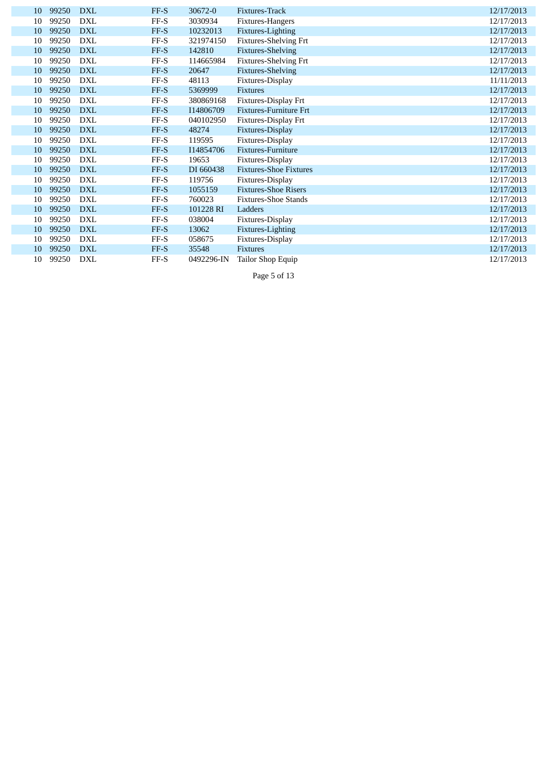| 10 | 99250 | <b>DXL</b> | FF-S   | 30672-0    | Fixtures-Track                | 12/17/2013 |
|----|-------|------------|--------|------------|-------------------------------|------------|
| 10 | 99250 | <b>DXL</b> | $FF-S$ | 3030934    | Fixtures-Hangers              | 12/17/2013 |
| 10 | 99250 | <b>DXL</b> | FF-S   | 10232013   | Fixtures-Lighting             | 12/17/2013 |
| 10 | 99250 | <b>DXL</b> | FF-S   | 321974150  | Fixtures-Shelving Frt         | 12/17/2013 |
| 10 | 99250 | <b>DXL</b> | FF-S   | 142810     | <b>Fixtures-Shelving</b>      | 12/17/2013 |
| 10 | 99250 | <b>DXL</b> | $FF-S$ | 114665984  | <b>Fixtures-Shelving Frt</b>  | 12/17/2013 |
| 10 | 99250 | <b>DXL</b> | FF-S   | 20647      | <b>Fixtures-Shelving</b>      | 12/17/2013 |
| 10 | 99250 | <b>DXL</b> | $FF-S$ | 48113      | Fixtures-Display              | 11/11/2013 |
| 10 | 99250 | <b>DXL</b> | FF-S   | 5369999    | <b>Fixtures</b>               | 12/17/2013 |
| 10 | 99250 | <b>DXL</b> | $FF-S$ | 380869168  | Fixtures-Display Frt          | 12/17/2013 |
| 10 | 99250 | <b>DXL</b> | FF-S   | I14806709  | <b>Fixtures-Furniture Frt</b> | 12/17/2013 |
| 10 | 99250 | <b>DXL</b> | $FF-S$ | 040102950  | Fixtures-Display Frt          | 12/17/2013 |
| 10 | 99250 | <b>DXL</b> | FF-S   | 48274      | Fixtures-Display              | 12/17/2013 |
| 10 | 99250 | <b>DXL</b> | $FF-S$ | 119595     | Fixtures-Display              | 12/17/2013 |
| 10 | 99250 | <b>DXL</b> | FF-S   | I14854706  | Fixtures-Furniture            | 12/17/2013 |
| 10 | 99250 | <b>DXL</b> | FF-S   | 19653      | Fixtures-Display              | 12/17/2013 |
| 10 | 99250 | <b>DXL</b> | FF-S   | DI 660438  | <b>Fixtures-Shoe Fixtures</b> | 12/17/2013 |
| 10 | 99250 | <b>DXL</b> | $FF-S$ | 119756     | Fixtures-Display              | 12/17/2013 |
| 10 | 99250 | <b>DXL</b> | FF-S   | 1055159    | <b>Fixtures-Shoe Risers</b>   | 12/17/2013 |
| 10 | 99250 | <b>DXL</b> | $FF-S$ | 760023     | <b>Fixtures-Shoe Stands</b>   | 12/17/2013 |
| 10 | 99250 | <b>DXL</b> | FF-S   | 101228 RI  | Ladders                       | 12/17/2013 |
| 10 | 99250 | <b>DXL</b> | $FF-S$ | 038004     | Fixtures-Display              | 12/17/2013 |
| 10 | 99250 | <b>DXL</b> | FF-S   | 13062      | Fixtures-Lighting             | 12/17/2013 |
| 10 | 99250 | <b>DXL</b> | FF-S   | 058675     | Fixtures-Display              | 12/17/2013 |
| 10 | 99250 | <b>DXL</b> | FF-S   | 35548      | <b>Fixtures</b>               | 12/17/2013 |
| 10 | 99250 | <b>DXL</b> | FF-S   | 0492296-IN | Tailor Shop Equip             | 12/17/2013 |
|    |       |            |        |            |                               |            |

Page 5 of 13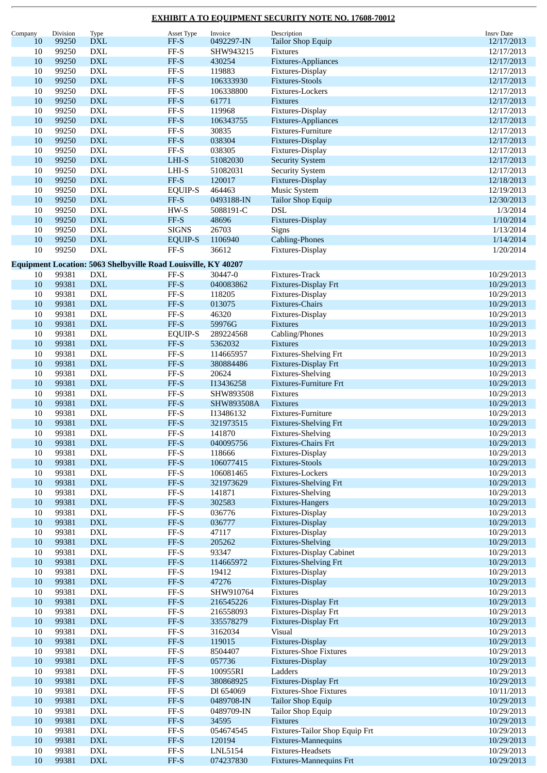| Company | Division | Type                             | Asset Type                                                     | Invoice    | Description                     | <b>Insrv Date</b> |
|---------|----------|----------------------------------|----------------------------------------------------------------|------------|---------------------------------|-------------------|
| 10      | 99250    | <b>DXL</b>                       | $FF-S$                                                         | 0492297-IN | <b>Tailor Shop Equip</b>        | 12/17/2013        |
| 10      | 99250    | DXL                              | $\rm FF\text{-}S$                                              | SHW943215  | Fixtures                        | 12/17/2013        |
| 10      | 99250    | $\mathbf{DXL}$                   | $FF-S$                                                         | 430254     |                                 | 12/17/2013        |
|         |          |                                  |                                                                |            | Fixtures-Appliances             |                   |
| 10      | 99250    | <b>DXL</b>                       | $\rm FF\text{-}S$                                              | 119883     | Fixtures-Display                | 12/17/2013        |
| 10      | 99250    | <b>DXL</b>                       | $FF-S$                                                         | 106333930  | <b>Fixtures-Stools</b>          | 12/17/2013        |
| 10      | 99250    | <b>DXL</b>                       | $\rm FF\text{-}S$                                              | 106338800  | Fixtures-Lockers                | 12/17/2013        |
| 10      | 99250    | <b>DXL</b>                       | $FF-S$                                                         | 61771      | <b>Fixtures</b>                 | 12/17/2013        |
| 10      | 99250    | <b>DXL</b>                       | $\rm FF\text{-}S$                                              | 119968     | Fixtures-Display                | 12/17/2013        |
| 10      | 99250    | <b>DXL</b>                       | $FF-S$                                                         | 106343755  | Fixtures-Appliances             | 12/17/2013        |
| 10      | 99250    | <b>DXL</b>                       | $\rm FF\text{-}S$                                              | 30835      |                                 |                   |
|         |          |                                  |                                                                |            | Fixtures-Furniture              | 12/17/2013        |
| 10      | 99250    | $\mathbf{DXL}$                   | $FF-S$                                                         | 038304     | Fixtures-Display                | 12/17/2013        |
| 10      | 99250    | <b>DXL</b>                       | $\rm FF\text{-}S$                                              | 038305     | Fixtures-Display                | 12/17/2013        |
| 10      | 99250    | $\mathop{\rm DXL}\nolimits$      | $LHI-S$                                                        | 51082030   | <b>Security System</b>          | 12/17/2013        |
| 10      | 99250    | $\mathop{\rm DXL}\nolimits$      | $LHI-S$                                                        | 51082031   | <b>Security System</b>          | 12/17/2013        |
| 10      | 99250    | <b>DXL</b>                       | FF-S                                                           | 120017     | Fixtures-Display                | 12/18/2013        |
| 10      | 99250    | <b>DXL</b>                       | <b>EQUIP-S</b>                                                 | 464463     | Music System                    | 12/19/2013        |
| 10      | 99250    | <b>DXL</b>                       | $FF-S$                                                         | 0493188-IN | <b>Tailor Shop Equip</b>        | 12/30/2013        |
| 10      | 99250    | <b>DXL</b>                       | $HW-S$                                                         | 5088191-C  | <b>DSL</b>                      | 1/3/2014          |
|         |          |                                  |                                                                |            |                                 |                   |
| 10      | 99250    | $\mathbf{DXL}$                   | $FF-S$                                                         | 48696      | Fixtures-Display                | 1/10/2014         |
| 10      | 99250    | <b>DXL</b>                       | <b>SIGNS</b>                                                   | 26703      | Signs                           | 1/13/2014         |
| 10      | 99250    | $\mathbf{DXL}$                   | <b>EQUIP-S</b>                                                 | 1106940    | <b>Cabling-Phones</b>           | 1/14/2014         |
| 10      | 99250    | <b>DXL</b>                       | $\rm FF\text{-}S$                                              | 36612      | Fixtures-Display                | 1/20/2014         |
|         |          |                                  |                                                                |            |                                 |                   |
|         |          |                                  | Equipment Location: 5063 Shelbyville Road Louisville, KY 40207 |            |                                 |                   |
| 10      | 99381    | DXL                              | FF-S                                                           | 30447-0    | Fixtures-Track                  | 10/29/2013        |
| 10      | 99381    | $\mathbf{DXL}$                   | $FF-S$                                                         | 040083862  | Fixtures-Display Frt            | 10/29/2013        |
| 10      | 99381    | $\mathop{\rm DXL}\nolimits$      | $\rm FF\text{-}S$                                              | 118205     | Fixtures-Display                | 10/29/2013        |
| 10      | 99381    | $\mathop{\rm DXL}\nolimits$      | $FF-S$                                                         | 013075     | Fixtures-Chairs                 | 10/29/2013        |
| 10      | 99381    | <b>DXL</b>                       | $\rm FF\text{-}S$                                              | 46320      | Fixtures-Display                | 10/29/2013        |
| 10      | 99381    | <b>DXL</b>                       | FF-S                                                           | 59976G     | <b>Fixtures</b>                 | 10/29/2013        |
| 10      | 99381    | <b>DXL</b>                       | <b>EQUIP-S</b>                                                 | 289224568  | Cabling/Phones                  | 10/29/2013        |
|         |          |                                  |                                                                |            |                                 |                   |
| 10      | 99381    | <b>DXL</b>                       | $FF-S$                                                         | 5362032    | <b>Fixtures</b>                 | 10/29/2013        |
| 10      | 99381    | DXL                              | $FF-S$                                                         | 114665957  | Fixtures-Shelving Frt           | 10/29/2013        |
| 10      | 99381    | $\mathbf{DXL}$                   | $FF-S$                                                         | 380884486  | Fixtures-Display Frt            | 10/29/2013        |
| 10      | 99381    | <b>DXL</b>                       | $FF-S$                                                         | 20624      | Fixtures-Shelving               | 10/29/2013        |
| 10      | 99381    | $\mathbf{DXL}$                   | $FF-S$                                                         | I13436258  | Fixtures-Furniture Frt          | 10/29/2013        |
| 10      | 99381    | $\mathop{\rm DXL}\nolimits$      | FF-S                                                           | SHW893508  | Fixtures                        | 10/29/2013        |
| 10      | 99381    | <b>DXL</b>                       | $FF-S$                                                         | SHW893508A | <b>Fixtures</b>                 | 10/29/2013        |
| 10      | 99381    | DXL                              | $FF-S$                                                         | I13486132  | Fixtures-Furniture              | 10/29/2013        |
| 10      | 99381    | <b>DXL</b>                       | $FF-S$                                                         | 321973515  | <b>Fixtures-Shelving Frt</b>    | 10/29/2013        |
|         |          |                                  |                                                                |            |                                 |                   |
| 10      | 99381    | <b>DXL</b>                       | FF-S                                                           | 141870     | <b>Fixtures-Shelving</b>        | 10/29/2013        |
| $10\,$  | 99381    | $\mathop{\rm DXL}\nolimits$      | $\ensuremath{\mathsf{FF-S}}$                                   | 040095756  | Fixtures-Chairs Frt             | 10/29/2013        |
| 10      | 99381    | $\mathop{\rm DXL}\nolimits$      | $FF-S$                                                         | 118666     | Fixtures-Display                | 10/29/2013        |
| 10      | 99381    | $\mathop{\rm DXL}\nolimits$      | $FF-S$                                                         | 106077415  | <b>Fixtures-Stools</b>          | 10/29/2013        |
| 10      | 99381    | $\mathop{\rm DXL}\nolimits$      | $FF-S$                                                         | 106081465  | Fixtures-Lockers                | 10/29/2013        |
| 10      | 99381    | $\mathbf{DXL}$                   | $FF-S$                                                         | 321973629  | <b>Fixtures-Shelving Frt</b>    | 10/29/2013        |
| 10      | 99381    | $\mathop{\rm DXL}\nolimits$      | $\ensuremath{\mathsf{FF-S}}$                                   | 141871     | Fixtures-Shelving               | 10/29/2013        |
| 10      | 99381    | $\mathbf{D}\mathbf{X}\mathbf{L}$ | $FF-S$                                                         | 302583     | Fixtures-Hangers                | 10/29/2013        |
| 10      | 99381    | $\mathop{\rm DXL}\nolimits$      | $\ensuremath{\mathsf{FF-S}}$                                   | 036776     | Fixtures-Display                | 10/29/2013        |
| 10      | 99381    | $\mathbf{DXL}$                   | $FF-S$                                                         | 036777     | Fixtures-Display                | 10/29/2013        |
|         |          |                                  |                                                                |            |                                 |                   |
| 10      | 99381    | $\mathop{\rm DXL}\nolimits$      | $\ensuremath{\mathsf{FF-S}}$                                   | 47117      | Fixtures-Display                | 10/29/2013        |
| 10      | 99381    | $\mathbf{DXL}$                   | FF-S                                                           | 205262     | <b>Fixtures-Shelving</b>        | 10/29/2013        |
| 10      | 99381    | $\mathop{\rm DXL}\nolimits$      | $FF-S$                                                         | 93347      | <b>Fixtures-Display Cabinet</b> | 10/29/2013        |
| 10      | 99381    | $\mathop{\rm DXL}\nolimits$      | $FF-S$                                                         | 114665972  | <b>Fixtures-Shelving Frt</b>    | 10/29/2013        |
| 10      | 99381    | $\mathop{\rm DXL}\nolimits$      | $\ensuremath{\mathsf{FF-S}}$                                   | 19412      | Fixtures-Display                | 10/29/2013        |
| 10      | 99381    | $\mathbf{DXL}$                   | $FF-S$                                                         | 47276      | Fixtures-Display                | 10/29/2013        |
| 10      | 99381    | $\mathop{\rm DXL}\nolimits$      | $\ensuremath{\mathsf{FF-S}}$                                   | SHW910764  | Fixtures                        | 10/29/2013        |
| 10      | 99381    | $\mathbf{D}\mathbf{X}\mathbf{L}$ | $FF-S$                                                         | 216545226  | Fixtures-Display Frt            | 10/29/2013        |
| 10      | 99381    | $\mathop{\rm DXL}\nolimits$      | $\ensuremath{\mathsf{FF-S}}$                                   | 216558093  | Fixtures-Display Frt            | 10/29/2013        |
|         |          |                                  |                                                                |            |                                 |                   |
| 10      | 99381    | $\mathbf{DXL}$                   | $FF-S$                                                         | 335578279  | Fixtures-Display Frt            | 10/29/2013        |
| 10      | 99381    | $\mathop{\rm DXL}\nolimits$      | $FF-S$                                                         | 3162034    | Visual                          | 10/29/2013        |
| 10      | 99381    | $\mathbf{DXL}$                   | $FF-S$                                                         | 119015     | Fixtures-Display                | 10/29/2013        |
| 10      | 99381    | $\mathop{\rm DXL}\nolimits$      | $FF-S$                                                         | 8504407    | <b>Fixtures-Shoe Fixtures</b>   | 10/29/2013        |
| 10      | 99381    | $\mathop{\rm DXL}\nolimits$      | $\ensuremath{\mathsf{FF-S}}$                                   | 057736     | Fixtures-Display                | 10/29/2013        |
| 10      | 99381    | $\mathop{\rm DXL}\nolimits$      | FF-S                                                           | 100955RI   | Ladders                         | 10/29/2013        |
| 10      | 99381    | $\mathbf{DXL}$                   | $FF-S$                                                         | 380868925  | Fixtures-Display Frt            | 10/29/2013        |
| 10      | 99381    | $\mathop{\rm DXL}\nolimits$      | $\ensuremath{\mathsf{FF-S}}$                                   | Dl 654069  | <b>Fixtures-Shoe Fixtures</b>   | 10/11/2013        |
| 10      | 99381    | $\mathbf{D}\mathbf{X}\mathbf{L}$ | $FF-S$                                                         | 0489708-IN | <b>Tailor Shop Equip</b>        | 10/29/2013        |
|         |          |                                  |                                                                |            |                                 |                   |
| 10      | 99381    | $\mathop{\rm DXL}\nolimits$      | $FF-S$                                                         | 0489709-IN | Tailor Shop Equip               | 10/29/2013        |
| 10      | 99381    | $\mathbf{DXL}$                   | FF-S                                                           | 34595      | Fixtures                        | 10/29/2013        |
| 10      | 99381    | $\mathop{\rm DXL}\nolimits$      | $FF-S$                                                         | 054674545  | Fixtures-Tailor Shop Equip Frt  | 10/29/2013        |
| 10      | 99381    | <b>DXL</b>                       | $FF-S$                                                         | 120194     | Fixtures-Mannequins             | 10/29/2013        |
| 10      | 99381    | $\mathop{\rm DXL}\nolimits$      | $FF-S$                                                         | LNL5154    | <b>Fixtures-Headsets</b>        | 10/29/2013        |
| $10\,$  | 99381    | $\mathbf{D}\mathbf{X}\mathbf{L}$ | $FF-S$                                                         | 074237830  | <b>Fixtures-Mannequins Frt</b>  | 10/29/2013        |
|         |          |                                  |                                                                |            |                                 |                   |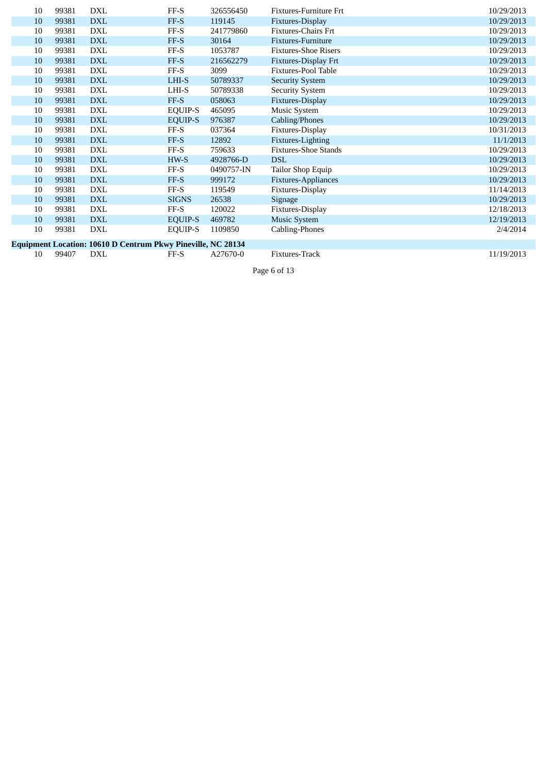| 10 | 99381 | <b>DXL</b>                                                   | FF-S           | 326556450  | Fixtures-Furniture Frt      | 10/29/2013 |
|----|-------|--------------------------------------------------------------|----------------|------------|-----------------------------|------------|
| 10 | 99381 | <b>DXL</b>                                                   | FF-S           | 119145     | Fixtures-Display            | 10/29/2013 |
| 10 | 99381 | DXL                                                          | FF-S           | 241779860  | <b>Fixtures-Chairs Frt</b>  | 10/29/2013 |
| 10 | 99381 | <b>DXL</b>                                                   | FF-S           | 30164      | Fixtures-Furniture          | 10/29/2013 |
| 10 | 99381 | DXL                                                          | FF-S           | 1053787    | <b>Fixtures-Shoe Risers</b> | 10/29/2013 |
| 10 | 99381 | <b>DXL</b>                                                   | FF-S           | 216562279  | Fixtures-Display Frt        | 10/29/2013 |
| 10 | 99381 | DXL                                                          | $FF-S$         | 3099       | Fixtures-Pool Table         | 10/29/2013 |
| 10 | 99381 | <b>DXL</b>                                                   | LHI-S          | 50789337   | <b>Security System</b>      | 10/29/2013 |
| 10 | 99381 | DXL                                                          | LHI-S          | 50789338   | <b>Security System</b>      | 10/29/2013 |
| 10 | 99381 | <b>DXL</b>                                                   | FF-S           | 058063     | Fixtures-Display            | 10/29/2013 |
| 10 | 99381 | <b>DXL</b>                                                   | <b>EQUIP-S</b> | 465095     | <b>Music System</b>         | 10/29/2013 |
| 10 | 99381 | <b>DXL</b>                                                   | <b>EQUIP-S</b> | 976387     | Cabling/Phones              | 10/29/2013 |
| 10 | 99381 | <b>DXL</b>                                                   | FF-S           | 037364     | Fixtures-Display            | 10/31/2013 |
| 10 | 99381 | <b>DXL</b>                                                   | FF-S           | 12892      | Fixtures-Lighting           | 11/1/2013  |
| 10 | 99381 | <b>DXL</b>                                                   | FF-S           | 759633     | <b>Fixtures-Shoe Stands</b> | 10/29/2013 |
| 10 | 99381 | <b>DXL</b>                                                   | HW-S           | 4928766-D  | <b>DSL</b>                  | 10/29/2013 |
| 10 | 99381 | <b>DXL</b>                                                   | FF-S           | 0490757-IN | Tailor Shop Equip           | 10/29/2013 |
| 10 | 99381 | <b>DXL</b>                                                   | FF-S           | 999172     | Fixtures-Appliances         | 10/29/2013 |
| 10 | 99381 | <b>DXL</b>                                                   | FF-S           | 119549     | Fixtures-Display            | 11/14/2013 |
| 10 | 99381 | <b>DXL</b>                                                   | <b>SIGNS</b>   | 26538      | Signage                     | 10/29/2013 |
| 10 | 99381 | <b>DXL</b>                                                   | $FF-S$         | 120022     | Fixtures-Display            | 12/18/2013 |
| 10 | 99381 | <b>DXL</b>                                                   | EQUIP-S        | 469782     | <b>Music System</b>         | 12/19/2013 |
| 10 | 99381 | DXL                                                          | EQUIP-S        | 1109850    | Cabling-Phones              | 2/4/2014   |
|    |       | Equipment Location: 10610 D Centrum Pkwy Pineville, NC 28134 |                |            |                             |            |

10 99407 D X L

A27670-0 Fixtures-Track

F F - S

11/19/2013

Page 6 of 13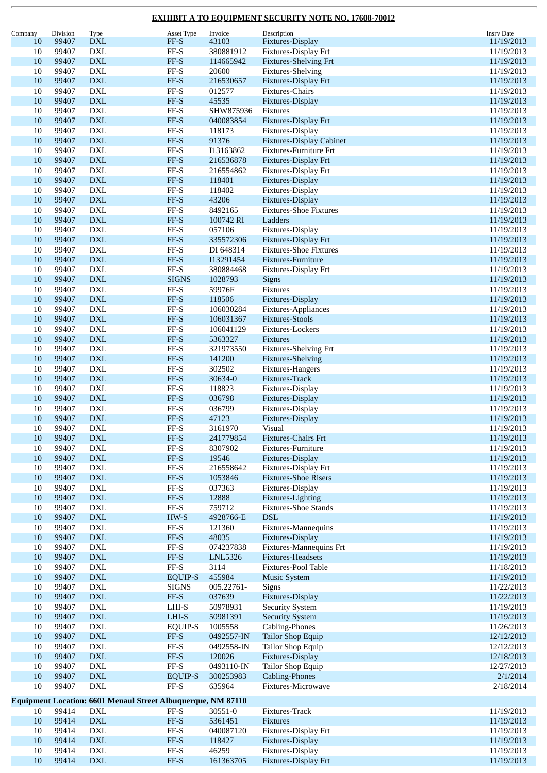| Company | Division | Type                        | Asset Type                                                          | Invoice        | Description                     | <b>Insrv Date</b> |
|---------|----------|-----------------------------|---------------------------------------------------------------------|----------------|---------------------------------|-------------------|
| 10      | 99407    | <b>DXL</b>                  | FF-S                                                                | 43103          | Fixtures-Display                | 11/19/2013        |
| 10      | 99407    | <b>DXL</b>                  | $\ensuremath{\mathsf{FF-S}}$                                        | 380881912      | Fixtures-Display Frt            | 11/19/2013        |
| 10      | 99407    | <b>DXL</b>                  | $FF-S$                                                              | 114665942      | <b>Fixtures-Shelving Frt</b>    | 11/19/2013        |
| 10      | 99407    | <b>DXL</b>                  | $\ensuremath{\mathsf{FF-S}}$                                        | 20600          | Fixtures-Shelving               | 11/19/2013        |
|         |          |                             |                                                                     |                |                                 |                   |
| 10      | 99407    | <b>DXL</b>                  | $FF-S$                                                              | 216530657      | Fixtures-Display Frt            | 11/19/2013        |
| 10      | 99407    | <b>DXL</b>                  | $\ensuremath{\mathsf{FF-S}}$                                        | 012577         | Fixtures-Chairs                 | 11/19/2013        |
| 10      | 99407    | <b>DXL</b>                  | $FF-S$                                                              | 45535          | Fixtures-Display                | 11/19/2013        |
| 10      | 99407    | <b>DXL</b>                  | $FF-S$                                                              | SHW875936      | Fixtures                        | 11/19/2013        |
| 10      | 99407    | <b>DXL</b>                  | $FF-S$                                                              | 040083854      | Fixtures-Display Frt            | 11/19/2013        |
| 10      | 99407    | <b>DXL</b>                  | $\ensuremath{\mathsf{FF-S}}$                                        | 118173         |                                 |                   |
|         |          |                             |                                                                     |                | Fixtures-Display                | 11/19/2013        |
| 10      | 99407    | <b>DXL</b>                  | $FF-S$                                                              | 91376          | <b>Fixtures-Display Cabinet</b> | 11/19/2013        |
| 10      | 99407    | <b>DXL</b>                  | $\ensuremath{\mathsf{FF-S}}$                                        | I13163862      | Fixtures-Furniture Frt          | 11/19/2013        |
| 10      | 99407    | <b>DXL</b>                  | $FF-S$                                                              | 216536878      | Fixtures-Display Frt            | 11/19/2013        |
| 10      | 99407    | <b>DXL</b>                  | $\ensuremath{\mathsf{FF-S}}$                                        | 216554862      | Fixtures-Display Frt            | 11/19/2013        |
| 10      | 99407    | <b>DXL</b>                  | $FF-S$                                                              | 118401         | Fixtures-Display                | 11/19/2013        |
| 10      | 99407    | <b>DXL</b>                  | $\ensuremath{\mathsf{FF-S}}$                                        | 118402         | Fixtures-Display                |                   |
|         |          |                             |                                                                     |                |                                 | 11/19/2013        |
| 10      | 99407    | <b>DXL</b>                  | $FF-S$                                                              | 43206          | Fixtures-Display                | 11/19/2013        |
| 10      | 99407    | <b>DXL</b>                  | $\ensuremath{\mathsf{FF-S}}$                                        | 8492165        | <b>Fixtures-Shoe Fixtures</b>   | 11/19/2013        |
| 10      | 99407    | <b>DXL</b>                  | $FF-S$                                                              | 100742 RI      | Ladders                         | 11/19/2013        |
| 10      | 99407    | <b>DXL</b>                  | $\ensuremath{\mathsf{FF-S}}$                                        | 057106         | Fixtures-Display                | 11/19/2013        |
| 10      | 99407    | <b>DXL</b>                  | $FF-S$                                                              | 335572306      | Fixtures-Display Frt            | 11/19/2013        |
| 10      | 99407    | <b>DXL</b>                  | $\ensuremath{\mathsf{FF-S}}$                                        | DI 648314      | <b>Fixtures-Shoe Fixtures</b>   | 11/19/2013        |
|         |          |                             |                                                                     |                |                                 |                   |
| 10      | 99407    | <b>DXL</b>                  | $FF-S$                                                              | I13291454      | Fixtures-Furniture              | 11/19/2013        |
| 10      | 99407    | <b>DXL</b>                  | $\ensuremath{\mathsf{FF-S}}$                                        | 380884468      | Fixtures-Display Frt            | 11/19/2013        |
| 10      | 99407    | <b>DXL</b>                  | <b>SIGNS</b>                                                        | 1028793        | Signs                           | 11/19/2013        |
| 10      | 99407    | <b>DXL</b>                  | $\ensuremath{\mathsf{FF-S}}$                                        | 59976F         | Fixtures                        | 11/19/2013        |
| 10      | 99407    | <b>DXL</b>                  | $FF-S$                                                              | 118506         | Fixtures-Display                | 11/19/2013        |
| 10      | 99407    | <b>DXL</b>                  | $\ensuremath{\mathsf{FF-S}}$                                        | 106030284      | Fixtures-Appliances             | 11/19/2013        |
|         |          |                             |                                                                     |                |                                 |                   |
| 10      | 99407    | <b>DXL</b>                  | $FF-S$                                                              | 106031367      | <b>Fixtures-Stools</b>          | 11/19/2013        |
| 10      | 99407    | <b>DXL</b>                  | $\ensuremath{\mathsf{FF-S}}$                                        | 106041129      | Fixtures-Lockers                | 11/19/2013        |
| 10      | 99407    | <b>DXL</b>                  | $FF-S$                                                              | 5363327        | Fixtures                        | 11/19/2013        |
| 10      | 99407    | <b>DXL</b>                  | $\ensuremath{\mathsf{FF-S}}$                                        | 321973550      | Fixtures-Shelving Frt           | 11/19/2013        |
| 10      | 99407    | <b>DXL</b>                  | $FF-S$                                                              | 141200         | Fixtures-Shelving               | 11/19/2013        |
| 10      | 99407    | <b>DXL</b>                  | $\ensuremath{\mathsf{FF-S}}$                                        | 302502         | Fixtures-Hangers                | 11/19/2013        |
|         |          |                             |                                                                     |                |                                 |                   |
| 10      | 99407    | <b>DXL</b>                  | $FF-S$                                                              | 30634-0        | Fixtures-Track                  | 11/19/2013        |
| 10      | 99407    | <b>DXL</b>                  | $\ensuremath{\mathsf{FF-S}}$                                        | 118823         | Fixtures-Display                | 11/19/2013        |
| 10      | 99407    | <b>DXL</b>                  | $FF-S$                                                              | 036798         | Fixtures-Display                | 11/19/2013        |
| 10      | 99407    | <b>DXL</b>                  | $\ensuremath{\mathsf{FF-S}}$                                        | 036799         | Fixtures-Display                | 11/19/2013        |
| 10      | 99407    | <b>DXL</b>                  | $FF-S$                                                              | 47123          | Fixtures-Display                | 11/19/2013        |
| 10      | 99407    | <b>DXL</b>                  | $\rm FF\text{-}S$                                                   | 3161970        | Visual                          | 11/19/2013        |
|         | 99407    |                             | FF-S                                                                |                |                                 |                   |
| 10      |          | <b>DXL</b>                  |                                                                     | 241779854      | <b>Fixtures-Chairs Frt</b>      | 11/19/2013        |
| $10\,$  | 99407    | <b>DXL</b>                  | $\ensuremath{\mathsf{FF-S}}$                                        | 8307902        | Fixtures-Furniture              | 11/19/2013        |
| $10\,$  | 99407    | <b>DXL</b>                  | $\ensuremath{\mathsf{FF-S}}$                                        | 19546          | Fixtures-Display                | 11/19/2013        |
| 10      | 99407    | ${\rm DXL}$                 | $\ensuremath{\mathsf{FF-S}}$                                        | 216558642      | Fixtures-Display Frt            | 11/19/2013        |
| 10      | 99407    | <b>DXL</b>                  | $FF-S$                                                              | 1053846        | <b>Fixtures-Shoe Risers</b>     | 11/19/2013        |
| 10      | 99407    | <b>DXL</b>                  | $\ensuremath{\mathsf{FF-S}}$                                        | 037363         | Fixtures-Display                | 11/19/2013        |
| 10      | 99407    | ${\rm DXL}$                 | $\ensuremath{\mathsf{FF-S}}$                                        | 12888          | Fixtures-Lighting               | 11/19/2013        |
|         |          |                             |                                                                     |                |                                 |                   |
| $10\,$  | 99407    | ${\rm DXL}$                 | $FF-S$                                                              | 759712         | <b>Fixtures-Shoe Stands</b>     | 11/19/2013        |
| 10      | 99407    | <b>DXL</b>                  | $HW-S$                                                              | 4928766-E      | <b>DSL</b>                      | 11/19/2013        |
| 10      | 99407    | <b>DXL</b>                  | $\operatorname{FF-S}$                                               | 121360         | Fixtures-Mannequins             | 11/19/2013        |
| 10      | 99407    | ${\rm DXL}$                 | $FF-S$                                                              | 48035          | Fixtures-Display                | 11/19/2013        |
| $10\,$  | 99407    | <b>DXL</b>                  | $\ensuremath{\mathsf{FF-S}}$                                        | 074237838      | Fixtures-Mannequins Frt         | 11/19/2013        |
| $10\,$  | 99407    | ${\rm DXL}$                 | $\ensuremath{\mathsf{FF-S}}$                                        | <b>LNL5326</b> | Fixtures-Headsets               | 11/19/2013        |
| $10\,$  | 99407    | ${\rm DXL}$                 | $FF-S$                                                              | 3114           | Fixtures-Pool Table             | 11/18/2013        |
|         |          |                             |                                                                     |                |                                 |                   |
| 10      | 99407    | <b>DXL</b>                  | <b>EQUIP-S</b>                                                      | 455984         | <b>Music System</b>             | 11/19/2013        |
| 10      | 99407    | <b>DXL</b>                  | <b>SIGNS</b>                                                        | 005.22761-     | Signs                           | 11/22/2013        |
| 10      | 99407    | ${\rm DXL}$                 | $\ensuremath{\mathsf{FF-S}}$                                        | 037639         | Fixtures-Display                | 11/22/2013        |
| $10\,$  | 99407    | ${\rm DXL}$                 | $LHI-S$                                                             | 50978931       | <b>Security System</b>          | 11/19/2013        |
| 10      | 99407    | <b>DXL</b>                  | $LHI-S$                                                             | 50981391       | <b>Security System</b>          | 11/19/2013        |
| 10      | 99407    | <b>DXL</b>                  | <b>EQUIP-S</b>                                                      | 1005558        | Cabling-Phones                  | 11/26/2013        |
|         |          |                             |                                                                     |                |                                 |                   |
| 10      | 99407    | ${\rm DXL}$                 | $FF-S$                                                              | 0492557-IN     | <b>Tailor Shop Equip</b>        | 12/12/2013        |
| $10\,$  | 99407    | <b>DXL</b>                  | $\ensuremath{\mathsf{FF-S}}$                                        | 0492558-IN     | Tailor Shop Equip               | 12/12/2013        |
| $10\,$  | 99407    | ${\rm DXL}$                 | $FF-S$                                                              | 120026         | Fixtures-Display                | 12/18/2013        |
| 10      | 99407    | DXL                         | $FF-S$                                                              | 0493110-IN     | Tailor Shop Equip               | 12/27/2013        |
| 10      | 99407    | ${\rm DXL}$                 | <b>EQUIP-S</b>                                                      | 300253983      | Cabling-Phones                  | 2/1/2014          |
| $10\,$  | 99407    | $\mathop{\rm DXL}\nolimits$ | $\ensuremath{\mathsf{FF-S}}$                                        | 635964         | Fixtures-Microwave              | 2/18/2014         |
|         |          |                             |                                                                     |                |                                 |                   |
|         |          |                             | <b>Equipment Location: 6601 Menaul Street Albuquerque, NM 87110</b> |                |                                 |                   |
| 10      | 99414    | ${\rm DXL}$                 | $\rm FF\text{-}S$                                                   | 30551-0        | Fixtures-Track                  | 11/19/2013        |
|         | 99414    |                             | $FF-S$                                                              |                |                                 |                   |
| 10      |          | <b>DXL</b>                  |                                                                     | 5361451        | Fixtures                        | 11/19/2013        |
| $10\,$  | 99414    | <b>DXL</b>                  | $\ensuremath{\mathsf{FF-S}}$                                        | 040087120      | Fixtures-Display Frt            | 11/19/2013        |
| 10      | 99414    | $\mathbf{DXL}$              | $FF-S$                                                              | 118427         | Fixtures-Display                | 11/19/2013        |
| $10\,$  | 99414    | <b>DXL</b>                  | $\operatorname{FF-S}$                                               | 46259          | Fixtures-Display                | 11/19/2013        |
| $10\,$  | 99414    | <b>DXL</b>                  | $FF-S$                                                              | 161363705      | Fixtures-Display Frt            | 11/19/2013        |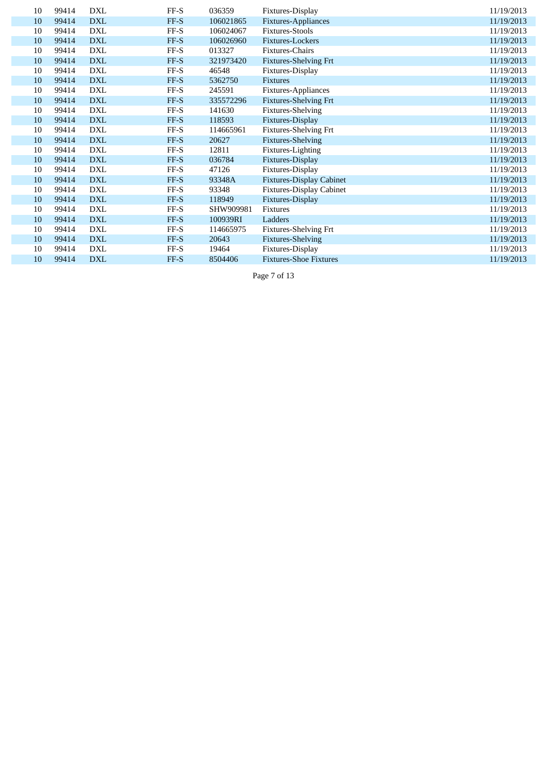| 10 | 99414 | <b>DXL</b> | FF-S   | 036359    | Fixtures-Display                | 11/19/2013 |
|----|-------|------------|--------|-----------|---------------------------------|------------|
| 10 | 99414 | <b>DXL</b> | FF-S   | 106021865 | Fixtures-Appliances             | 11/19/2013 |
| 10 | 99414 | <b>DXL</b> | FF-S   | 106024067 | <b>Fixtures-Stools</b>          | 11/19/2013 |
| 10 | 99414 | <b>DXL</b> | FF-S   | 106026960 | Fixtures-Lockers                | 11/19/2013 |
| 10 | 99414 | <b>DXL</b> | $FF-S$ | 013327    | Fixtures-Chairs                 | 11/19/2013 |
| 10 | 99414 | <b>DXL</b> | FF-S   | 321973420 | <b>Fixtures-Shelving Frt</b>    | 11/19/2013 |
| 10 | 99414 | <b>DXL</b> | FF-S   | 46548     | Fixtures-Display                | 11/19/2013 |
| 10 | 99414 | <b>DXL</b> | FF-S   | 5362750   | <b>Fixtures</b>                 | 11/19/2013 |
| 10 | 99414 | <b>DXL</b> | FF-S   | 245591    | Fixtures-Appliances             | 11/19/2013 |
| 10 | 99414 | <b>DXL</b> | FF-S   | 335572296 | <b>Fixtures-Shelving Frt</b>    | 11/19/2013 |
| 10 | 99414 | <b>DXL</b> | $FF-S$ | 141630    | Fixtures-Shelving               | 11/19/2013 |
| 10 | 99414 | <b>DXL</b> | FF-S   | 118593    | Fixtures-Display                | 11/19/2013 |
| 10 | 99414 | <b>DXL</b> | FF-S   | 114665961 | <b>Fixtures-Shelving Frt</b>    | 11/19/2013 |
| 10 | 99414 | <b>DXL</b> | FF-S   | 20627     | <b>Fixtures-Shelving</b>        | 11/19/2013 |
| 10 | 99414 | <b>DXL</b> | $FF-S$ | 12811     | Fixtures-Lighting               | 11/19/2013 |
| 10 | 99414 | <b>DXL</b> | FF-S   | 036784    | Fixtures-Display                | 11/19/2013 |
| 10 | 99414 | <b>DXL</b> | $FF-S$ | 47126     | Fixtures-Display                | 11/19/2013 |
| 10 | 99414 | <b>DXL</b> | FF-S   | 93348A    | <b>Fixtures-Display Cabinet</b> | 11/19/2013 |
| 10 | 99414 | <b>DXL</b> | FF-S   | 93348     | <b>Fixtures-Display Cabinet</b> | 11/19/2013 |
| 10 | 99414 | <b>DXL</b> | FF-S   | 118949    | Fixtures-Display                | 11/19/2013 |
| 10 | 99414 | <b>DXL</b> | FF-S   | SHW909981 | Fixtures                        | 11/19/2013 |
| 10 | 99414 | <b>DXL</b> | FF-S   | 100939RI  | Ladders                         | 11/19/2013 |
| 10 | 99414 | <b>DXL</b> | $FF-S$ | 114665975 | <b>Fixtures-Shelving Frt</b>    | 11/19/2013 |
| 10 | 99414 | <b>DXL</b> | FF-S   | 20643     | <b>Fixtures-Shelving</b>        | 11/19/2013 |
| 10 | 99414 | <b>DXL</b> | FF-S   | 19464     | Fixtures-Display                | 11/19/2013 |
| 10 | 99414 | <b>DXL</b> | FF-S   | 8504406   | <b>Fixtures-Shoe Fixtures</b>   | 11/19/2013 |

Page 7 of 13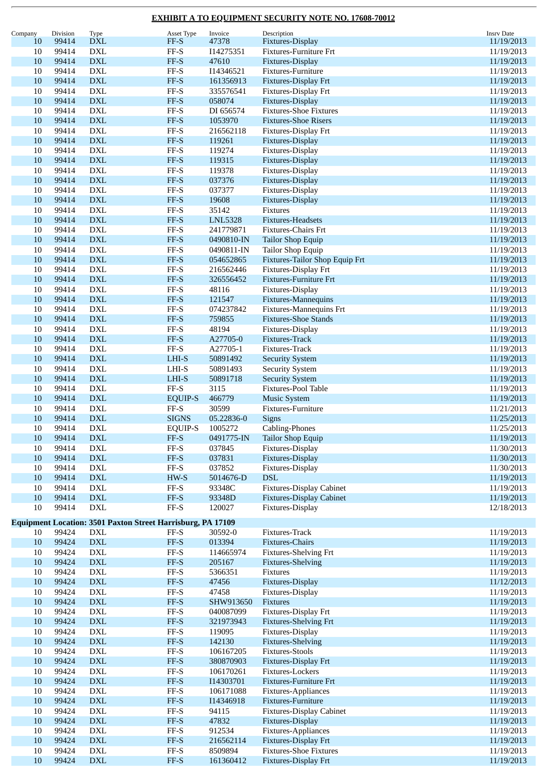| Company | Division | Type                             | Asset Type                                                         | Invoice               | Description                         | <b>Insrv Date</b>        |
|---------|----------|----------------------------------|--------------------------------------------------------------------|-----------------------|-------------------------------------|--------------------------|
| 10      | 99414    | <b>DXL</b>                       | FF-S                                                               | 47378                 | Fixtures-Display                    | 11/19/2013               |
| 10      | 99414    | <b>DXL</b>                       | $\ensuremath{\mathsf{FF-S}}$                                       | I14275351             | Fixtures-Furniture Frt              | 11/19/2013               |
| 10      | 99414    | <b>DXL</b>                       | $FF-S$                                                             | 47610                 | Fixtures-Display                    | 11/19/2013               |
| 10      | 99414    | $\mathbf{DXL}$                   | $\rm FF\text{-}S$                                                  | I14346521             | Fixtures-Furniture                  | 11/19/2013               |
| 10      | 99414    | $\mathbf{DXL}$                   | FF-S                                                               | 161356913             | Fixtures-Display Frt                | 11/19/2013               |
| 10      | 99414    | <b>DXL</b>                       | $\ensuremath{\mathsf{FF-S}}$                                       | 335576541             | Fixtures-Display Frt                | 11/19/2013               |
| 10      | 99414    | <b>DXL</b>                       | $FF-S$                                                             | 058074                | Fixtures-Display                    | 11/19/2013               |
| 10      | 99414    | <b>DXL</b>                       | $FF-S$                                                             | DI 656574             | <b>Fixtures-Shoe Fixtures</b>       | 11/19/2013               |
| 10      | 99414    | $\mathbf{DXL}$                   | $FF-S$                                                             | 1053970               | <b>Fixtures-Shoe Risers</b>         | 11/19/2013               |
| 10      | 99414    | $\mathbf{DXL}$                   | $\operatorname{FF-S}$                                              | 216562118             | Fixtures-Display Frt                | 11/19/2013               |
| 10      | 99414    | $\mathbf{DXL}$                   | $FF-S$                                                             | 119261                | Fixtures-Display                    | 11/19/2013               |
| 10      | 99414    | <b>DXL</b>                       | $\rm FF\text{-}S$                                                  | 119274                | Fixtures-Display                    | 11/19/2013               |
| 10      | 99414    | $\mathbf{DXL}$                   | $FF-S$                                                             | 119315                | Fixtures-Display                    | 11/19/2013               |
| 10      | 99414    | $\mathbf{DXL}$                   | $\rm FF\text{-}S$                                                  | 119378                | Fixtures-Display                    | 11/19/2013               |
| 10      | 99414    | $\mathbf{DXL}$                   | $FF-S$                                                             | 037376                | <b>Fixtures-Display</b>             | 11/19/2013               |
| 10      | 99414    | <b>DXL</b>                       | $\rm FF\text{-}S$                                                  | 037377                | Fixtures-Display                    | 11/19/2013               |
| 10      | 99414    | <b>DXL</b>                       | $FF-S$                                                             | 19608                 | Fixtures-Display                    | 11/19/2013               |
| 10      | 99414    | <b>DXL</b>                       | $\rm FF\text{-}S$                                                  | 35142                 | Fixtures                            | 11/19/2013               |
| 10      | 99414    | $\mathbf{DXL}$                   | $FF-S$                                                             | <b>LNL5328</b>        | Fixtures-Headsets                   | 11/19/2013               |
| 10      | 99414    | <b>DXL</b>                       | $\operatorname{FF-S}$                                              | 241779871             | Fixtures-Chairs Frt                 | 11/19/2013               |
| 10      | 99414    | $\mathbf{DXL}$                   | $FF-S$                                                             | 0490810-IN            | <b>Tailor Shop Equip</b>            | 11/19/2013               |
| 10      | 99414    | <b>DXL</b>                       | $\ensuremath{\mathsf{FF-S}}$                                       | 0490811-IN            | Tailor Shop Equip                   | 11/19/2013               |
| 10      | 99414    | $\mathbf{DXL}$                   | $FF-S$                                                             | 054652865             | Fixtures-Tailor Shop Equip Frt      | 11/19/2013               |
| 10      | 99414    | <b>DXL</b>                       | $FF-S$                                                             | 216562446             | Fixtures-Display Frt                | 11/19/2013               |
| 10      | 99414    | $\mathop{\rm DXL}\nolimits$      | $FF-S$                                                             | 326556452             | Fixtures-Furniture Frt              | 11/19/2013               |
| 10      | 99414    | <b>DXL</b>                       | $\rm FF\text{-}S$                                                  | 48116                 | Fixtures-Display                    | 11/19/2013               |
| 10      | 99414    | <b>DXL</b>                       | $FF-S$                                                             | 121547                | Fixtures-Mannequins                 | 11/19/2013               |
| 10      | 99414    | <b>DXL</b>                       | $\rm FF\text{-}S$                                                  | 074237842             | Fixtures-Mannequins Frt             | 11/19/2013               |
| 10      | 99414    | $\mathbf{DXL}$                   | $FF-S$                                                             | 759855                | <b>Fixtures-Shoe Stands</b>         | 11/19/2013               |
| 10      | 99414    | $\mathbf{DXL}$                   | $\ensuremath{\mathsf{FF-S}}$                                       | 48194                 | Fixtures-Display                    | 11/19/2013               |
| 10      | 99414    | <b>DXL</b>                       | $FF-S$                                                             | A27705-0              | Fixtures-Track                      | 11/19/2013               |
| 10      | 99414    | <b>DXL</b>                       | $FF-S$                                                             | A27705-1              | Fixtures-Track                      | 11/19/2013               |
| 10      | 99414    | $\mathbf{DXL}$                   | $LHI-S$                                                            | 50891492              | <b>Security System</b>              | 11/19/2013               |
| 10      | 99414    | $\mathop{\rm DXL}\nolimits$      | $LHI-S$                                                            | 50891493              | <b>Security System</b>              | 11/19/2013               |
| 10      | 99414    | $\mathbf{DXL}$                   | LHI-S                                                              | 50891718              | <b>Security System</b>              | 11/19/2013               |
| 10      | 99414    | <b>DXL</b>                       | $FF-S$                                                             | 3115                  | Fixtures-Pool Table                 | 11/19/2013               |
| 10      | 99414    | <b>DXL</b>                       | <b>EQUIP-S</b>                                                     | 466779                | <b>Music System</b>                 | 11/19/2013               |
| 10      | 99414    | <b>DXL</b>                       | $\ensuremath{\mathsf{FF-S}}$                                       | 30599                 | Fixtures-Furniture                  | 11/21/2013               |
| 10      | 99414    | <b>DXL</b>                       | <b>SIGNS</b>                                                       | 05.22836-0            | <b>Signs</b>                        | 11/25/2013               |
| 10      | 99414    | <b>DXL</b>                       |                                                                    |                       |                                     | 11/25/2013               |
| $10\,$  | 99414    | <b>DXL</b>                       | <b>EQUIP-S</b><br>$\ensuremath{\mathsf{FF-S}}$                     | 1005272<br>0491775-IN | Cabling-Phones<br>Tailor Shop Equip | 11/19/2013               |
| 10      | 99414    | DXL                              | $FF-S$                                                             | 037845                | Fixtures-Display                    | 11/30/2013               |
| 10      | 99414    | $\mathbf{DXL}$                   | $FF-S$                                                             | 037831                | Fixtures-Display                    | 11/30/2013               |
| $10\,$  | 99414    | <b>DXL</b>                       | $FF-S$                                                             | 037852                | Fixtures-Display                    | 11/30/2013               |
| 10      | 99414    | $\mathbf{D}\mathbf{X}\mathbf{L}$ | HW-S                                                               | 5014676-D             | <b>DSL</b>                          | 11/19/2013               |
| $10\,$  | 99414    | <b>DXL</b>                       | $\ensuremath{\mathsf{FF-S}}$                                       | 93348C                | <b>Fixtures-Display Cabinet</b>     |                          |
| 10      | 99414    | <b>DXL</b>                       | $\ensuremath{\mathsf{FF-S}}$                                       | 93348D                | <b>Fixtures-Display Cabinet</b>     | 11/19/2013<br>11/19/2013 |
| $10\,$  | 99414    | <b>DXL</b>                       | $\ensuremath{\mathsf{FF-S}}$                                       | 120027                | Fixtures-Display                    | 12/18/2013               |
|         |          |                                  |                                                                    |                       |                                     |                          |
|         |          |                                  | <b>Equipment Location: 3501 Paxton Street Harrisburg, PA 17109</b> |                       |                                     |                          |
| 10      | 99424    | <b>DXL</b>                       | $FF-S$                                                             | 30592-0               | Fixtures-Track                      | 11/19/2013               |
| 10      | 99424    | $\mathbf{DXL}$                   | $FF-S$                                                             | 013394                | Fixtures-Chairs                     | 11/19/2013               |
| 10      | 99424    | <b>DXL</b>                       | $\ensuremath{\mathsf{FF-S}}$                                       | 114665974             | Fixtures-Shelving Frt               | 11/19/2013               |
| 10      | 99424    | <b>DXL</b>                       | $FF-S$                                                             | 205167                | <b>Fixtures-Shelving</b>            | 11/19/2013               |
| $10\,$  | 99424    | $\mathop{\rm DXL}\nolimits$      | $\rm FF\text{-}S$                                                  | 5366351               | Fixtures                            | 11/19/2013               |
| 10      | 99424    | $\mathbf{D}\mathbf{X}\mathbf{L}$ | $\ensuremath{\mathsf{FF-S}}$                                       | 47456                 | Fixtures-Display                    | 11/12/2013               |
| $10\,$  | 99424    | <b>DXL</b>                       | $FF-S$                                                             | 47458                 | Fixtures-Display                    | 11/19/2013               |
| 10      | 99424    | $\mathop{\rm DXL}\nolimits$      | $FF-S$                                                             | SHW913650             | Fixtures                            | 11/19/2013               |
| $10\,$  | 99424    | <b>DXL</b>                       | $FF-S$                                                             | 040087099             | Fixtures-Display Frt                | 11/19/2013               |
| 10      | 99424    | $\mathbf{DXL}$                   | $FF-S$                                                             | 321973943             | <b>Fixtures-Shelving Frt</b>        | 11/19/2013               |
| $10\,$  | 99424    | $\mathop{\rm DXL}\nolimits$      | $\operatorname{FF-S}$                                              | 119095                | Fixtures-Display                    | 11/19/2013               |
| $10\,$  | 99424    | $\mathop{\rm DXL}\nolimits$      | $FF-S$                                                             | 142130                | <b>Fixtures-Shelving</b>            | 11/19/2013               |
| 10      | 99424    | <b>DXL</b>                       | $\rm FF\text{-}S$                                                  | 106167205             | <b>Fixtures-Stools</b>              | 11/19/2013               |
| 10      | 99424    | $\mathbf{DXL}$                   | $\ensuremath{\mathsf{FF-S}}$                                       | 380870903             | Fixtures-Display Frt                | 11/19/2013               |
| $10\,$  | 99424    | $\mathbf{DXL}$                   | $FF-S$                                                             | 106170261             | Fixtures-Lockers                    | 11/19/2013               |
| 10      | 99424    | $\mathop{\rm DXL}\nolimits$      | $FF-S$                                                             | I14303701             | <b>Fixtures-Furniture Frt</b>       | 11/19/2013               |
| $10\,$  | 99424    | <b>DXL</b>                       | $_{\rm FF-S}$                                                      | 106171088             | Fixtures-Appliances                 | 11/19/2013               |
| 10      | 99424    | $\mathop{\rm DXL}\nolimits$      | $FF-S$                                                             | I14346918             | Fixtures-Furniture                  | 11/19/2013               |
| $10\,$  | 99424    | <b>DXL</b>                       | $\rm FF\text{-}S$                                                  | 94115                 | <b>Fixtures-Display Cabinet</b>     | 11/19/2013               |
| 10      | 99424    | $\mathbf{DXL}$                   | $FF-S$                                                             | 47832                 | Fixtures-Display                    | 11/19/2013               |
| 10      | 99424    | $\mathop{\rm DXL}\nolimits$      | $\operatorname{FF-S}$                                              | 912534                | Fixtures-Appliances                 | 11/19/2013               |
| $10\,$  | 99424    | $\mathop{\rm DXL}\nolimits$      | $\ensuremath{\mathsf{FF-S}}$                                       | 216562114             | Fixtures-Display Frt                | 11/19/2013               |
| 10      | 99424    | DXL                              | $\rm FF\text{-}S$                                                  | 8509894               | <b>Fixtures-Shoe Fixtures</b>       | 11/19/2013               |
| 10      | 99424    | $\mathop{\rm DXL}\nolimits$      | $FF-S$                                                             | 161360412             | Fixtures-Display Frt                | 11/19/2013               |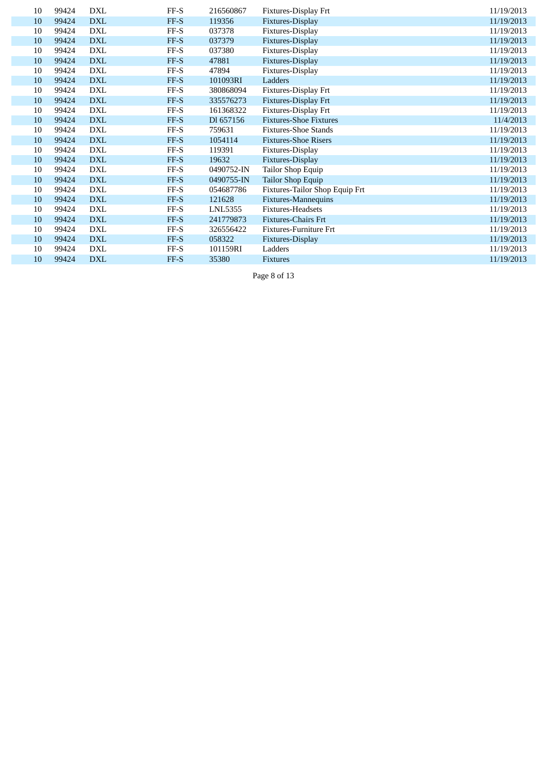| 10 | 99424 | DXL        | $FF-S$ | 216560867  | Fixtures-Display Frt           | 11/19/2013 |
|----|-------|------------|--------|------------|--------------------------------|------------|
| 10 | 99424 | <b>DXL</b> | FF-S   | 119356     | Fixtures-Display               | 11/19/2013 |
| 10 | 99424 | <b>DXL</b> | FF-S   | 037378     | Fixtures-Display               | 11/19/2013 |
| 10 | 99424 | <b>DXL</b> | FF-S   | 037379     | Fixtures-Display               | 11/19/2013 |
| 10 | 99424 | DXL        | $FF-S$ | 037380     | Fixtures-Display               | 11/19/2013 |
| 10 | 99424 | <b>DXL</b> | FF-S   | 47881      | Fixtures-Display               | 11/19/2013 |
| 10 | 99424 | <b>DXL</b> | FF-S   | 47894      | Fixtures-Display               | 11/19/2013 |
| 10 | 99424 | <b>DXL</b> | FF-S   | 101093RI   | Ladders                        | 11/19/2013 |
| 10 | 99424 | <b>DXL</b> | FF-S   | 380868094  | Fixtures-Display Frt           | 11/19/2013 |
| 10 | 99424 | <b>DXL</b> | FF-S   | 335576273  | Fixtures-Display Frt           | 11/19/2013 |
| 10 | 99424 | <b>DXL</b> | $FF-S$ | 161368322  | Fixtures-Display Frt           | 11/19/2013 |
| 10 | 99424 | <b>DXL</b> | FF-S   | DI 657156  | <b>Fixtures-Shoe Fixtures</b>  | 11/4/2013  |
| 10 | 99424 | <b>DXL</b> | $FF-S$ | 759631     | <b>Fixtures-Shoe Stands</b>    | 11/19/2013 |
| 10 | 99424 | <b>DXL</b> | FF-S   | 1054114    | <b>Fixtures-Shoe Risers</b>    | 11/19/2013 |
| 10 | 99424 | <b>DXL</b> | FF-S   | 119391     | Fixtures-Display               | 11/19/2013 |
| 10 | 99424 | <b>DXL</b> | FF-S   | 19632      | Fixtures-Display               | 11/19/2013 |
| 10 | 99424 | DXL        | $FF-S$ | 0490752-IN | Tailor Shop Equip              | 11/19/2013 |
| 10 | 99424 | <b>DXL</b> | FF-S   | 0490755-IN | Tailor Shop Equip              | 11/19/2013 |
| 10 | 99424 | <b>DXL</b> | FF-S   | 054687786  | Fixtures-Tailor Shop Equip Frt | 11/19/2013 |
| 10 | 99424 | <b>DXL</b> | FF-S   | 121628     | Fixtures-Mannequins            | 11/19/2013 |
| 10 | 99424 | <b>DXL</b> | FF-S   | LNL5355    | Fixtures-Headsets              | 11/19/2013 |
| 10 | 99424 | <b>DXL</b> | FF-S   | 241779873  | <b>Fixtures-Chairs Frt</b>     | 11/19/2013 |
| 10 | 99424 | <b>DXL</b> | $FF-S$ | 326556422  | Fixtures-Furniture Frt         | 11/19/2013 |
| 10 | 99424 | <b>DXL</b> | FF-S   | 058322     | Fixtures-Display               | 11/19/2013 |
| 10 | 99424 | <b>DXL</b> | FF-S   | 101159RI   | Ladders                        | 11/19/2013 |
| 10 | 99424 | <b>DXL</b> | FF-S   | 35380      | <b>Fixtures</b>                | 11/19/2013 |

Page 8 of 13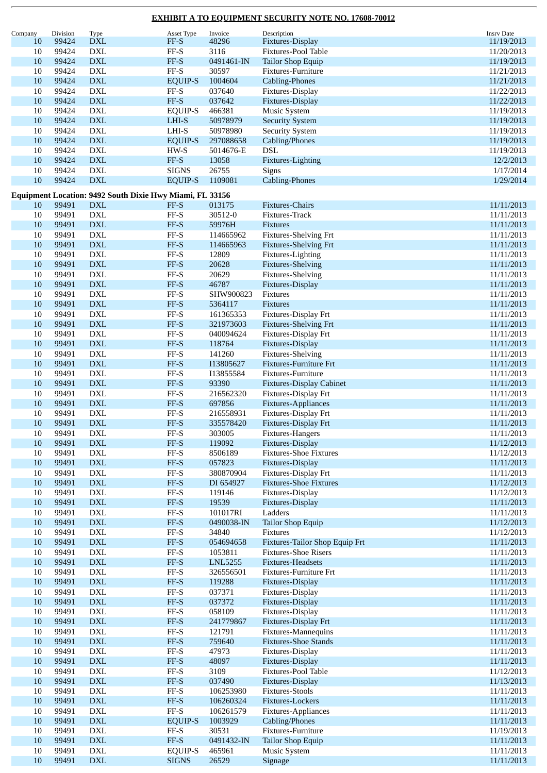| Company | Division | Type                             | Asset Type                                               | Invoice    | Description                     | <b>Insrv Date</b> |
|---------|----------|----------------------------------|----------------------------------------------------------|------------|---------------------------------|-------------------|
| 10      | 99424    | <b>DXL</b>                       | $FF-S$                                                   | 48296      | Fixtures-Display                | 11/19/2013        |
| 10      | 99424    | <b>DXL</b>                       | $\rm FF\text{-}S$                                        | 3116       | Fixtures-Pool Table             | 11/20/2013        |
|         |          |                                  |                                                          |            |                                 |                   |
| 10      | 99424    | $\mathbf{DXL}$                   | $FF-S$                                                   | 0491461-IN | <b>Tailor Shop Equip</b>        | 11/19/2013        |
| $10\,$  | 99424    | <b>DXL</b>                       | $FF-S$                                                   | 30597      | Fixtures-Furniture              | 11/21/2013        |
| 10      | 99424    | <b>DXL</b>                       | <b>EQUIP-S</b>                                           | 1004604    | <b>Cabling-Phones</b>           | 11/21/2013        |
| 10      | 99424    | <b>DXL</b>                       | $\ensuremath{\mathsf{FF-S}}$                             | 037640     | Fixtures-Display                | 11/22/2013        |
| 10      | 99424    | $\mathbf{DXL}$                   | FF-S                                                     | 037642     | Fixtures-Display                | 11/22/2013        |
| 10      | 99424    |                                  |                                                          |            |                                 |                   |
|         |          | $\mathop{\rm DXL}\nolimits$      | EQUIP-S                                                  | 466381     | Music System                    | 11/19/2013        |
| 10      | 99424    | $\mathbf{DXL}$                   | $LHI-S$                                                  | 50978979   | <b>Security System</b>          | 11/19/2013        |
| 10      | 99424    | <b>DXL</b>                       | LHI-S                                                    | 50978980   | <b>Security System</b>          | 11/19/2013        |
| 10      | 99424    | $\mathbf{DXL}$                   | <b>EQUIP-S</b>                                           | 297088658  | Cabling/Phones                  | 11/19/2013        |
| 10      | 99424    | $\mathbf{DXL}$                   | HW-S                                                     | 5014676-E  | DSL                             | 11/19/2013        |
| 10      | 99424    | $\mathbf{DXL}$                   | $FF-S$                                                   | 13058      | Fixtures-Lighting               | 12/2/2013         |
|         |          |                                  |                                                          |            |                                 |                   |
| 10      | 99424    | <b>DXL</b>                       | <b>SIGNS</b>                                             | 26755      | Signs                           | 1/17/2014         |
| 10      | 99424    | $\mathbf{DXL}$                   | <b>EQUIP-S</b>                                           | 1109081    | <b>Cabling-Phones</b>           | 1/29/2014         |
|         |          |                                  |                                                          |            |                                 |                   |
|         |          |                                  | Equipment Location: 9492 South Dixie Hwy Miami, FL 33156 |            |                                 |                   |
| 10      | 99491    | <b>DXL</b>                       | FF-S                                                     | 013175     | Fixtures-Chairs                 | 11/11/2013        |
| 10      | 99491    | DXL                              | $\rm FF\text{-}S$                                        | 30512-0    | Fixtures-Track                  | 11/11/2013        |
| 10      | 99491    | $\mathbf{DXL}$                   | $FF-S$                                                   | 59976H     | Fixtures                        | 11/11/2013        |
| 10      | 99491    | <b>DXL</b>                       | $\ensuremath{\mathsf{FF-S}}$                             | 114665962  | Fixtures-Shelving Frt           | 11/11/2013        |
|         |          |                                  |                                                          |            |                                 |                   |
| 10      | 99491    | <b>DXL</b>                       | $FF-S$                                                   | 114665963  | <b>Fixtures-Shelving Frt</b>    | 11/11/2013        |
| 10      | 99491    | <b>DXL</b>                       | $\ensuremath{\mathsf{FF-S}}$                             | 12809      | Fixtures-Lighting               | 11/11/2013        |
| 10      | 99491    | $\mathbf{DXL}$                   | $\ensuremath{\mathsf{FF-S}}$                             | 20628      | Fixtures-Shelving               | 11/11/2013        |
| 10      | 99491    | <b>DXL</b>                       | $\rm FF\text{-}S$                                        | 20629      | Fixtures-Shelving               | 11/11/2013        |
| 10      | 99491    | $\mathbf{DXL}$                   | $FF-S$                                                   | 46787      | Fixtures-Display                | 11/11/2013        |
|         |          |                                  |                                                          |            |                                 | 11/11/2013        |
| 10      | 99491    | <b>DXL</b>                       | $\ensuremath{\mathsf{FF-S}}$                             | SHW900823  | Fixtures                        |                   |
| 10      | 99491    | $\mathbf{D}\mathbf{X}\mathbf{L}$ | $FF-S$                                                   | 5364117    | Fixtures                        | 11/11/2013        |
| 10      | 99491    | <b>DXL</b>                       | $FF-S$                                                   | 161365353  | Fixtures-Display Frt            | 11/11/2013        |
| 10      | 99491    | $\mathbf{DXL}$                   | $FF-S$                                                   | 321973603  | <b>Fixtures-Shelving Frt</b>    | 11/11/2013        |
| 10      | 99491    | <b>DXL</b>                       | $\ensuremath{\mathsf{FF-S}}$                             | 040094624  | Fixtures-Display Frt            | 11/11/2013        |
|         |          |                                  |                                                          |            |                                 |                   |
| 10      | 99491    | $\mathbf{DXL}$                   | $FF-S$                                                   | 118764     | Fixtures-Display                | 11/11/2013        |
| 10      | 99491    | <b>DXL</b>                       | $FF-S$                                                   | 141260     | Fixtures-Shelving               | 11/11/2013        |
| 10      | 99491    | $\mathbf{DXL}$                   | $FF-S$                                                   | I13805627  | <b>Fixtures-Furniture Frt</b>   | 11/11/2013        |
| 10      | 99491    | <b>DXL</b>                       | $\rm FF\text{-}S$                                        | I13855584  | Fixtures-Furniture              | 11/11/2013        |
| 10      | 99491    | $\mathbf{DXL}$                   | $FF-S$                                                   | 93390      | <b>Fixtures-Display Cabinet</b> | 11/11/2013        |
| 10      | 99491    | <b>DXL</b>                       | $\ensuremath{\mathsf{FF-S}}$                             | 216562320  |                                 |                   |
|         |          |                                  |                                                          |            | Fixtures-Display Frt            | 11/11/2013        |
| 10      | 99491    | $\mathbf{DXL}$                   | $FF-S$                                                   | 697856     | Fixtures-Appliances             | 11/11/2013        |
| 10      | 99491    | <b>DXL</b>                       | $\rm FF\text{-}S$                                        | 216558931  | Fixtures-Display Frt            | 11/11/2013        |
| 10      | 99491    | $\mathbf{DXL}$                   | $FF-S$                                                   | 335578420  | Fixtures-Display Frt            | 11/11/2013        |
| 10      | 99491    | DXL                              | FF-S                                                     | 303005     | Fixtures-Hangers                | 11/11/2013        |
|         | 99491    | <b>DXL</b>                       | $\ensuremath{\mathsf{FF-S}}$                             | 119092     | Fixtures-Display                | 11/12/2013        |
| 10      |          |                                  |                                                          |            |                                 |                   |
| 10      | 99491    | $\mathop{\rm DXL}\nolimits$      | $\operatorname{FF-S}$                                    | 8506189    | <b>Fixtures-Shoe Fixtures</b>   | 11/12/2013        |
| 10      | 99491    | $\mathbf{DXL}$                   | $\ensuremath{\mathsf{FF-S}}$                             | 057823     | Fixtures-Display                | 11/11/2013        |
| $10\,$  | 99491    | <b>DXL</b>                       | $FF-S$                                                   | 380870904  | Fixtures-Display Frt            | 11/11/2013        |
| 10      | 99491    | <b>DXL</b>                       | $FF-S$                                                   | DI 654927  | <b>Fixtures-Shoe Fixtures</b>   | 11/12/2013        |
| $10\,$  | 99491    | <b>DXL</b>                       | $\rm FF\text{-}S$                                        | 119146     | Fixtures-Display                | 11/12/2013        |
|         |          |                                  |                                                          |            |                                 |                   |
| 10      | 99491    | $\mathbf{DXL}$                   | $FF-S$                                                   | 19539      | Fixtures-Display                | 11/11/2013        |
| $10\,$  | 99491    | <b>DXL</b>                       | $\operatorname{FF-S}$                                    | 101017RI   | Ladders                         | 11/11/2013        |
| 10      | 99491    | <b>DXL</b>                       | $FF-S$                                                   | 0490038-IN | Tailor Shop Equip               | 11/12/2013        |
| 10      | 99491    | <b>DXL</b>                       | $FF-S$                                                   | 34840      | Fixtures                        | 11/12/2013        |
| 10      | 99491    | <b>DXL</b>                       | $FF-S$                                                   | 054694658  | Fixtures-Tailor Shop Equip Frt  | 11/11/2013        |
| $10\,$  | 99491    | <b>DXL</b>                       | $\ensuremath{\mathsf{FF-S}}$                             | 1053811    | <b>Fixtures-Shoe Risers</b>     |                   |
|         |          |                                  |                                                          |            |                                 | 11/11/2013        |
| 10      | 99491    | $\mathop{\rm DXL}\nolimits$      | $\ensuremath{\mathsf{FF-S}}$                             | LNL5255    | Fixtures-Headsets               | 11/11/2013        |
| $10\,$  | 99491    | <b>DXL</b>                       | $\rm FF\text{-}S$                                        | 326556501  | Fixtures-Furniture Frt          | 11/11/2013        |
| 10      | 99491    | <b>DXL</b>                       | $FF-S$                                                   | 119288     | Fixtures-Display                | 11/11/2013        |
| $10\,$  | 99491    | <b>DXL</b>                       | $\rm FF\text{-}S$                                        | 037371     | Fixtures-Display                | 11/11/2013        |
| 10      | 99491    | <b>DXL</b>                       | $\ensuremath{\mathsf{FF-S}}$                             | 037372     | Fixtures-Display                | 11/11/2013        |
| $10\,$  | 99491    |                                  |                                                          |            |                                 | 11/11/2013        |
|         |          | $\mathop{\rm DXL}\nolimits$      | $\operatorname{FF-S}$                                    | 058109     | Fixtures-Display                |                   |
| 10      | 99491    | <b>DXL</b>                       | $\ensuremath{\mathsf{FF-S}}$                             | 241779867  | Fixtures-Display Frt            | 11/11/2013        |
| 10      | 99491    | <b>DXL</b>                       | $\ensuremath{\mathsf{FF-S}}$                             | 121791     | Fixtures-Mannequins             | 11/11/2013        |
| 10      | 99491    | <b>DXL</b>                       | $\ensuremath{\mathsf{FF-S}}$                             | 759640     | <b>Fixtures-Shoe Stands</b>     | 11/11/2013        |
| $10\,$  | 99491    | <b>DXL</b>                       | $\operatorname{FF-S}$                                    | 47973      | Fixtures-Display                | 11/11/2013        |
| 10      | 99491    | $\mathop{\rm DXL}\nolimits$      | $\ensuremath{\mathsf{FF-S}}$                             | 48097      | Fixtures-Display                |                   |
|         |          |                                  |                                                          |            |                                 | 11/11/2013        |
| $10\,$  | 99491    | <b>DXL</b>                       | $\ensuremath{\mathsf{FF-S}}$                             | 3109       | Fixtures-Pool Table             | 11/12/2013        |
| 10      | 99491    | <b>DXL</b>                       | $FF-S$                                                   | 037490     | Fixtures-Display                | 11/13/2013        |
| $10\,$  | 99491    | <b>DXL</b>                       | $\rm FF\text{-}S$                                        | 106253980  | <b>Fixtures-Stools</b>          | 11/11/2013        |
| 10      | 99491    | <b>DXL</b>                       | $\ensuremath{\mathsf{FF-S}}$                             | 106260324  | Fixtures-Lockers                | 11/11/2013        |
| $10\,$  | 99491    | <b>DXL</b>                       | $\ensuremath{\mathsf{FF-S}}$                             |            |                                 |                   |
|         |          |                                  |                                                          | 106261579  | Fixtures-Appliances             | 11/11/2013        |
| $10\,$  | 99491    | <b>DXL</b>                       | <b>EQUIP-S</b>                                           | 1003929    | Cabling/Phones                  | 11/11/2013        |
| 10      | 99491    | <b>DXL</b>                       | $\rm FF\text{-}S$                                        | 30531      | Fixtures-Furniture              | 11/19/2013        |
| 10      | 99491    | <b>DXL</b>                       | $FF-S$                                                   | 0491432-IN | <b>Tailor Shop Equip</b>        | 11/11/2013        |
| 10      | 99491    | <b>DXL</b>                       | <b>EQUIP-S</b>                                           | 465961     | Music System                    | 11/11/2013        |
| 10      | 99491    | $\mathop{\rm DXL}\nolimits$      | <b>SIGNS</b>                                             | 26529      | Signage                         | 11/11/2013        |
|         |          |                                  |                                                          |            |                                 |                   |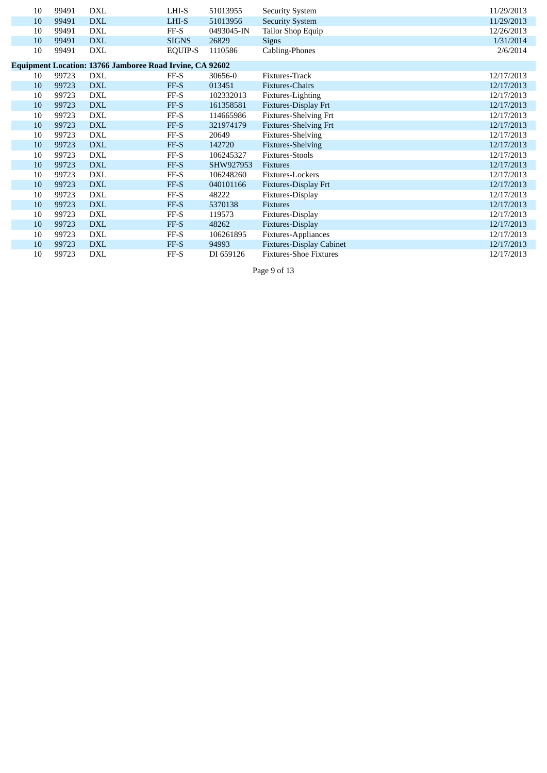| 10                                                              | 99491 | <b>DXL</b> | LHI-S          | 51013955   | <b>Security System</b>          | 11/29/2013 |  |  |  |  |
|-----------------------------------------------------------------|-------|------------|----------------|------------|---------------------------------|------------|--|--|--|--|
| 10                                                              | 99491 | <b>DXL</b> | LHI-S          | 51013956   | <b>Security System</b>          | 11/29/2013 |  |  |  |  |
| 10                                                              | 99491 | <b>DXL</b> | $FF-S$         | 0493045-IN | Tailor Shop Equip               | 12/26/2013 |  |  |  |  |
| 10                                                              | 99491 | <b>DXL</b> | <b>SIGNS</b>   | 26829      | <b>Signs</b>                    | 1/31/2014  |  |  |  |  |
| 10                                                              | 99491 | <b>DXL</b> | <b>EQUIP-S</b> | 1110586    | Cabling-Phones                  | 2/6/2014   |  |  |  |  |
|                                                                 |       |            |                |            |                                 |            |  |  |  |  |
| <b>Equipment Location: 13766 Jamboree Road Irvine, CA 92602</b> |       |            |                |            |                                 |            |  |  |  |  |
| 10                                                              | 99723 | <b>DXL</b> | FF-S           | 30656-0    | Fixtures-Track                  | 12/17/2013 |  |  |  |  |
| 10                                                              | 99723 | <b>DXL</b> | FF-S           | 013451     | <b>Fixtures-Chairs</b>          | 12/17/2013 |  |  |  |  |
| 10                                                              | 99723 | <b>DXL</b> | FF-S           | 102332013  | Fixtures-Lighting               | 12/17/2013 |  |  |  |  |
| 10                                                              | 99723 | <b>DXL</b> | FF-S           | 161358581  | Fixtures-Display Frt            | 12/17/2013 |  |  |  |  |
| 10                                                              | 99723 | <b>DXL</b> | $FF-S$         | 114665986  | Fixtures-Shelving Frt           | 12/17/2013 |  |  |  |  |
| 10                                                              | 99723 | <b>DXL</b> | FF-S           | 321974179  | <b>Fixtures-Shelving Frt</b>    | 12/17/2013 |  |  |  |  |
| 10                                                              | 99723 | <b>DXL</b> | $FF-S$         | 20649      | <b>Fixtures-Shelving</b>        | 12/17/2013 |  |  |  |  |
| 10                                                              | 99723 | <b>DXL</b> | FF-S           | 142720     | Fixtures-Shelving               | 12/17/2013 |  |  |  |  |
| 10                                                              | 99723 | <b>DXL</b> | FF-S           | 106245327  | <b>Fixtures-Stools</b>          | 12/17/2013 |  |  |  |  |
| 10                                                              | 99723 | <b>DXL</b> | FF-S           | SHW927953  | <b>Fixtures</b>                 | 12/17/2013 |  |  |  |  |
| 10                                                              | 99723 | <b>DXL</b> | $FF-S$         | 106248260  | Fixtures-Lockers                | 12/17/2013 |  |  |  |  |
| 10                                                              | 99723 | <b>DXL</b> | FF-S           | 040101166  | Fixtures-Display Frt            | 12/17/2013 |  |  |  |  |
| 10                                                              | 99723 | <b>DXL</b> | $FF-S$         | 48222      | Fixtures-Display                | 12/17/2013 |  |  |  |  |
| 10                                                              | 99723 | <b>DXL</b> | FF-S           | 5370138    | <b>Fixtures</b>                 | 12/17/2013 |  |  |  |  |
| 10                                                              | 99723 | <b>DXL</b> | $FF-S$         | 119573     | Fixtures-Display                | 12/17/2013 |  |  |  |  |
| 10                                                              | 99723 | <b>DXL</b> | FF-S           | 48262      | Fixtures-Display                | 12/17/2013 |  |  |  |  |
| 10                                                              | 99723 | <b>DXL</b> | $FF-S$         | 106261895  | Fixtures-Appliances             | 12/17/2013 |  |  |  |  |
| 10                                                              | 99723 | <b>DXL</b> | FF-S           | 94993      | <b>Fixtures-Display Cabinet</b> | 12/17/2013 |  |  |  |  |
| 10                                                              | 99723 | <b>DXL</b> | FF-S           | DI 659126  | <b>Fixtures-Shoe Fixtures</b>   | 12/17/2013 |  |  |  |  |

Page 9 of 13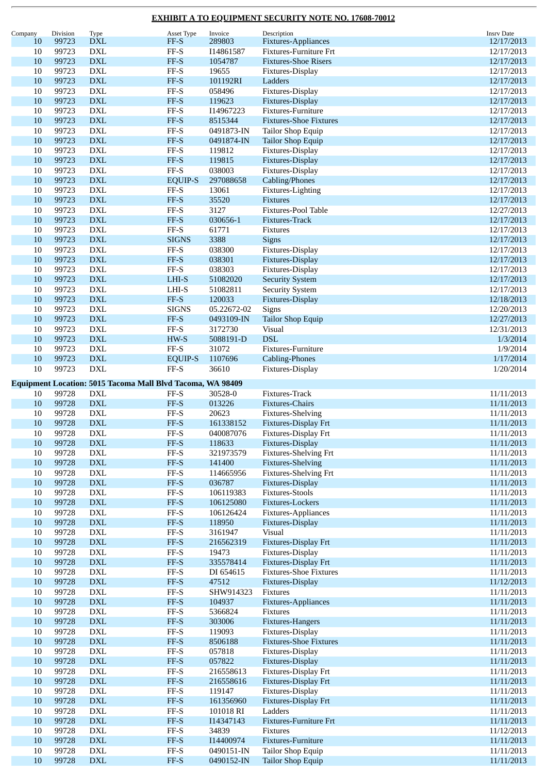| Company          | Division       | Type                          | Asset Type                                                 | Invoice             | Description                                       | <b>Insrv Date</b>        |
|------------------|----------------|-------------------------------|------------------------------------------------------------|---------------------|---------------------------------------------------|--------------------------|
| 10               | 99723          | <b>DXL</b>                    | $FF-S$                                                     | 289803              | Fixtures-Appliances                               | 12/17/2013               |
| 10               | 99723          | <b>DXL</b>                    | $FF-S$                                                     | I14861587           | Fixtures-Furniture Frt                            | 12/17/2013               |
| 10               | 99723          | ${\rm DXL}$                   | $FF-S$                                                     | 1054787             | <b>Fixtures-Shoe Risers</b>                       | 12/17/2013               |
| 10               | 99723          | <b>DXL</b>                    | $\rm FF\text{-}S$                                          | 19655               | Fixtures-Display                                  | 12/17/2013               |
| 10               | 99723          | ${\rm DXL}$                   | $FF-S$                                                     | 101192RI            | Ladders                                           | 12/17/2013               |
| 10               | 99723          | <b>DXL</b>                    | $\rm FF\text{-}S$                                          | 058496              | Fixtures-Display                                  | 12/17/2013               |
| 10               | 99723          | ${\rm DXL}$                   | $FF-S$                                                     | 119623              | Fixtures-Display                                  | 12/17/2013               |
| 10               | 99723          | ${\rm DXL}$                   | $\ensuremath{\mathsf{FF-S}}$                               | I14967223           | Fixtures-Furniture                                | 12/17/2013               |
| 10               | 99723          | ${\rm DXL}$                   | $\ensuremath{\mathsf{FF-S}}$                               | 8515344             | <b>Fixtures-Shoe Fixtures</b>                     | 12/17/2013               |
| 10               | 99723          | <b>DXL</b>                    | $\rm FF\text{-}S$                                          | 0491873-IN          | <b>Tailor Shop Equip</b>                          | 12/17/2013               |
| 10               | 99723          | $\mathbf{DXL}$                | $FF-S$                                                     | 0491874-IN          | Tailor Shop Equip                                 | 12/17/2013               |
| 10               | 99723          | <b>DXL</b>                    | FF-S                                                       | 119812              | Fixtures-Display                                  | 12/17/2013               |
| 10               | 99723          | <b>DXL</b>                    | $FF-S$                                                     | 119815              | Fixtures-Display                                  | 12/17/2013               |
| 10               | 99723          | DXL                           | $\rm FF\text{-}S$                                          | 038003              | Fixtures-Display                                  | 12/17/2013               |
| 10               | 99723          | ${\rm DXL}$                   | <b>EQUIP-S</b>                                             | 297088658           | Cabling/Phones                                    | 12/17/2013               |
| 10               | 99723          | <b>DXL</b>                    | $\ensuremath{\mathsf{FF-S}}$                               | 13061               | Fixtures-Lighting                                 | 12/17/2013               |
| 10               | 99723          | ${\rm DXL}$                   | $FF-S$                                                     | 35520               | <b>Fixtures</b>                                   | 12/17/2013               |
| 10               | 99723          | <b>DXL</b>                    | $\ensuremath{\mathsf{FF-S}}$                               | 3127                | Fixtures-Pool Table                               | 12/27/2013               |
| 10               | 99723          | ${\rm DXL}$                   | $FF-S$                                                     | 030656-1            | Fixtures-Track                                    | 12/17/2013               |
| 10               | 99723          | <b>DXL</b>                    | $\rm FF\text{-}S$                                          | 61771               | Fixtures                                          | 12/17/2013               |
| 10               | 99723          | ${\rm DXL}$                   | <b>SIGNS</b>                                               | 3388                | Signs                                             | 12/17/2013               |
| 10               | 99723          | ${\rm DXL}$                   | $\ensuremath{\mathsf{FF-S}}$                               | 038300              | Fixtures-Display                                  | 12/17/2013               |
| 10               | 99723          | ${\rm DXL}$                   | $FF-S$                                                     | 038301              | Fixtures-Display                                  | 12/17/2013               |
| 10               | 99723          | <b>DXL</b>                    | $\rm FF\text{-}S$                                          | 038303              | Fixtures-Display                                  | 12/17/2013               |
| 10               | 99723          | ${\rm DXL}$                   | LHI-S                                                      | 51082020            | <b>Security System</b>                            | 12/17/2013               |
| 10               | 99723          | <b>DXL</b>                    | $LHI-S$                                                    | 51082811            | <b>Security System</b>                            | 12/17/2013               |
| 10               | 99723          | ${\rm DXL}$                   | $FF-S$                                                     | 120033              | Fixtures-Display                                  | 12/18/2013               |
| 10               | 99723          | <b>DXL</b>                    | <b>SIGNS</b>                                               | 05.22672-02         | Signs                                             | 12/20/2013               |
| 10               | 99723          | ${\rm DXL}$                   | $FF-S$                                                     | 0493109-IN          | <b>Tailor Shop Equip</b>                          | 12/27/2013               |
| 10               | 99723          | <b>DXL</b>                    | $\rm FF\text{-}S$                                          | 3172730             | Visual                                            | 12/31/2013               |
| 10               | 99723          | $\mathbf{DXL}$                | $HW-S$                                                     | 5088191-D           | <b>DSL</b>                                        | 1/3/2014                 |
| 10               | 99723          | <b>DXL</b>                    | FF-S                                                       | 31072               | Fixtures-Furniture                                | 1/9/2014                 |
| 10               | 99723          | ${\rm DXL}$                   | <b>EQUIP-S</b>                                             | 1107696             | <b>Cabling-Phones</b>                             | 1/17/2014                |
| 10               | 99723          | ${\rm DXL}$                   | $\rm FF\text{-}S$                                          | 36610               | Fixtures-Display                                  | 1/20/2014                |
|                  |                |                               |                                                            |                     |                                                   |                          |
|                  |                |                               | Equipment Location: 5015 Tacoma Mall Blvd Tacoma, WA 98409 |                     |                                                   |                          |
| 10               | 99728<br>99728 | <b>DXL</b><br><b>DXL</b>      | FF-S                                                       | 30528-0             | Fixtures-Track                                    | 11/11/2013               |
| 10               | 99728          |                               | $FF-S$                                                     | 013226              | Fixtures-Chairs                                   | 11/11/2013               |
| 10               | 99728          | DXL<br>${\rm DXL}$            | $\operatorname{FF-S}$<br>$FF-S$                            | 20623<br>161338152  | Fixtures-Shelving<br>Fixtures-Display Frt         | 11/11/2013               |
| 10<br>10         | 99728          |                               | FF-S                                                       | 040087076           |                                                   | 11/11/2013<br>11/11/2013 |
|                  | 99728          | DXL<br>${\rm DXL}$            | $\ensuremath{\mathsf{FF-S}}$                               | 118633              | Fixtures-Display Frt<br>Fixtures-Display          | 11/11/2013               |
| 10               | 99728          | ${\rm DXL}$                   | $FF-S$                                                     | 321973579           |                                                   | 11/11/2013               |
| 10               | 99728          |                               | $\ensuremath{\mathsf{FF-S}}$                               |                     | Fixtures-Shelving Frt<br><b>Fixtures-Shelving</b> |                          |
| 10<br>$10\,$     | 99728          | ${\rm DXL}$<br>${\rm DXL}$    | $FF-S$                                                     | 141400<br>114665956 | <b>Fixtures-Shelving Frt</b>                      | 11/11/2013<br>11/11/2013 |
|                  | 99728          | ${\rm DXL}$                   | $\ensuremath{\mathsf{FF-S}}$                               | 036787              |                                                   | 11/11/2013               |
| 10<br>10         | 99728          | <b>DXL</b>                    | $\rm FF\text{-}S$                                          | 106119383           | Fixtures-Display<br><b>Fixtures-Stools</b>        |                          |
| 10               | 99728          | ${\rm DXL}$                   | $FF-S$                                                     | 106125080           |                                                   | 11/11/2013               |
|                  |                |                               |                                                            |                     | Fixtures-Lockers<br>Fixtures-Appliances           | 11/11/2013               |
| $10\,$<br>$10\,$ | 99728          | ${\rm DXL}$<br>${\rm DXL}$    | $\rm FF\text{-}S$<br>$FF-S$                                | 106126424<br>118950 | Fixtures-Display                                  | 11/11/2013               |
| $10\,$           | 99728<br>99728 |                               | $FF-S$                                                     | 3161947             | <b>Visual</b>                                     | 11/11/2013               |
| 10               | 99728          | ${\rm DXL}$<br>$\mathbf{DXL}$ | $\ensuremath{\mathsf{FF-S}}$                               | 216562319           | Fixtures-Display Frt                              | 11/11/2013<br>11/11/2013 |
| 10               | 99728          | <b>DXL</b>                    | $\rm FF\text{-}S$                                          | 19473               | Fixtures-Display                                  | 11/11/2013               |
| 10               | 99728          | ${\rm DXL}$                   | $\ensuremath{\mathsf{FF-S}}$                               | 335578414           | Fixtures-Display Frt                              | 11/11/2013               |
| $10\,$           | 99728          | ${\rm DXL}$                   | $_{\rm FF-S}$                                              | DI 654615           | <b>Fixtures-Shoe Fixtures</b>                     | 11/11/2013               |
| 10               | 99728          | ${\rm DXL}$                   | $FF-S$                                                     | 47512               | Fixtures-Display                                  | 11/12/2013               |
| 10               | 99728          | <b>DXL</b>                    | $\rm FF\text{-}S$                                          | SHW914323           | Fixtures                                          | 11/11/2013               |
| 10               | 99728          | ${\rm DXL}$                   | $FF-S$                                                     | 104937              | Fixtures-Appliances                               | 11/11/2013               |
| $10\,$           | 99728          | ${\rm DXL}$                   | $\rm FF\text{-}S$                                          | 5366824             | Fixtures                                          | 11/11/2013               |
| $10\,$           | 99728          | ${\rm DXL}$                   | $\ensuremath{\mathsf{FF-S}}$                               | 303006              | Fixtures-Hangers                                  | 11/11/2013               |
| 10               | 99728          | <b>DXL</b>                    | $\rm FF\text{-}S$                                          | 119093              | Fixtures-Display                                  | 11/11/2013               |
| 10               | 99728          | ${\rm DXL}$                   | $\ensuremath{\mathsf{FF-S}}$                               | 8506188             | <b>Fixtures-Shoe Fixtures</b>                     | 11/11/2013               |
| 10               | 99728          | <b>DXL</b>                    | $FF-S$                                                     | 057818              | Fixtures-Display                                  | 11/11/2013               |
| 10               | 99728          | ${\rm DXL}$                   | $\ensuremath{\mathsf{FF-S}}$                               | 057822              | Fixtures-Display                                  | 11/11/2013               |
| $10\,$           | 99728          | ${\rm DXL}$                   | $\rm FF\text{-}S$                                          | 216558613           | Fixtures-Display Frt                              | 11/11/2013               |
| $10\,$           | 99728          | ${\rm DXL}$                   | $FF-S$                                                     | 216558616           | Fixtures-Display Frt                              | 11/11/2013               |
| 10               | 99728          | $\mathop{\rm DXL}\nolimits$   | $FF-S$                                                     | 119147              | Fixtures-Display                                  | 11/11/2013               |
| 10               | 99728          | $\mathbf{DXL}$                | $\ensuremath{\mathsf{FF-S}}$                               | 161356960           | Fixtures-Display Frt                              | 11/11/2013               |
| $10\,$           | 99728          | ${\rm DXL}$                   | $\rm FF\text{-}S$                                          | 101018 RI           | Ladders                                           | 11/11/2013               |
| 10               | 99728          | ${\rm DXL}$                   | $\ensuremath{\mathsf{FF-S}}$                               | I14347143           | Fixtures-Furniture Frt                            | 11/11/2013               |
| 10               | 99728          | ${\rm DXL}$                   | $\ensuremath{\mathsf{FF-S}}$                               | 34839               | Fixtures                                          | 11/12/2013               |
| 10               | 99728          | $\mathbf{DXL}$                | $\ensuremath{\mathsf{FF-S}}$                               | I14400974           | Fixtures-Furniture                                | 11/11/2013               |
| 10               | 99728          | ${\rm DXL}$                   | $FF-S$                                                     | 0490151-IN          | Tailor Shop Equip                                 | 11/11/2013               |
| $10\,$           | 99728          | $\mathop{\rm DXL}\nolimits$   | $\ensuremath{\mathsf{FF-S}}$                               | 0490152-IN          | Tailor Shop Equip                                 | 11/11/2013               |
|                  |                |                               |                                                            |                     |                                                   |                          |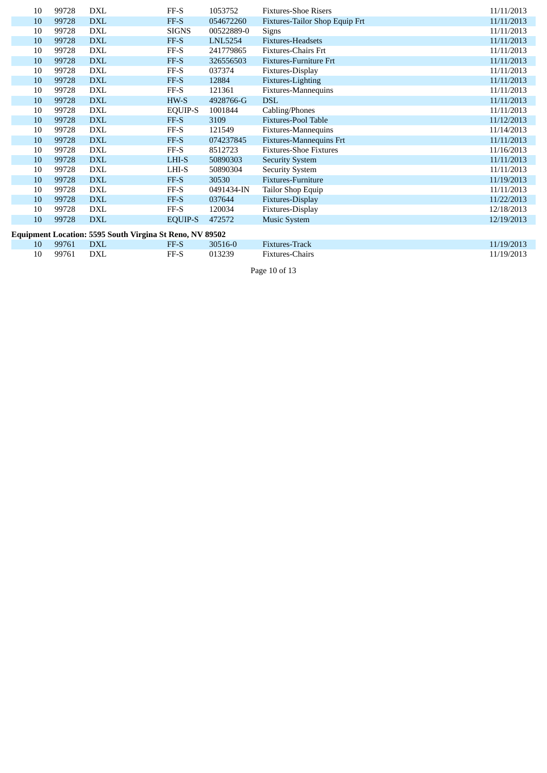| 10 | 99728 | DXL                                                      | $FF-S$         | 1053752        | <b>Fixtures-Shoe Risers</b>    | 11/11/2013 |
|----|-------|----------------------------------------------------------|----------------|----------------|--------------------------------|------------|
| 10 | 99728 | <b>DXL</b>                                               | FF-S           | 054672260      | Fixtures-Tailor Shop Equip Frt | 11/11/2013 |
| 10 | 99728 | <b>DXL</b>                                               | <b>SIGNS</b>   | 00522889-0     | Signs                          | 11/11/2013 |
| 10 | 99728 | <b>DXL</b>                                               | FF-S           | <b>LNL5254</b> | Fixtures-Headsets              | 11/11/2013 |
| 10 | 99728 | DXL                                                      | $FF-S$         | 241779865      | <b>Fixtures-Chairs Frt</b>     | 11/11/2013 |
| 10 | 99728 | <b>DXL</b>                                               | FF-S           | 326556503      | <b>Fixtures-Furniture Frt</b>  | 11/11/2013 |
| 10 | 99728 | DXL                                                      | FF-S           | 037374         | Fixtures-Display               | 11/11/2013 |
| 10 | 99728 | <b>DXL</b>                                               | FF-S           | 12884          | Fixtures-Lighting              | 11/11/2013 |
| 10 | 99728 | <b>DXL</b>                                               | $FF-S$         | 121361         | Fixtures-Mannequins            | 11/11/2013 |
| 10 | 99728 | <b>DXL</b>                                               | HW-S           | 4928766-G      | <b>DSL</b>                     | 11/11/2013 |
| 10 | 99728 | DXL                                                      | <b>EQUIP-S</b> | 1001844        | Cabling/Phones                 | 11/11/2013 |
| 10 | 99728 | <b>DXL</b>                                               | FF-S           | 3109           | <b>Fixtures-Pool Table</b>     | 11/12/2013 |
| 10 | 99728 | DXL                                                      | $FF-S$         | 121549         | Fixtures-Mannequins            | 11/14/2013 |
| 10 | 99728 | <b>DXL</b>                                               | FF-S           | 074237845      | Fixtures-Mannequins Frt        | 11/11/2013 |
| 10 | 99728 | <b>DXL</b>                                               | $FF-S$         | 8512723        | <b>Fixtures-Shoe Fixtures</b>  | 11/16/2013 |
| 10 | 99728 | <b>DXL</b>                                               | LHI-S          | 50890303       | <b>Security System</b>         | 11/11/2013 |
| 10 | 99728 | DXL                                                      | LHI-S          | 50890304       | <b>Security System</b>         | 11/11/2013 |
| 10 | 99728 | <b>DXL</b>                                               | FF-S           | 30530          | Fixtures-Furniture             | 11/19/2013 |
| 10 | 99728 | DXL                                                      | $FF-S$         | 0491434-IN     | Tailor Shop Equip              | 11/11/2013 |
| 10 | 99728 | <b>DXL</b>                                               | FF-S           | 037644         | Fixtures-Display               | 11/22/2013 |
| 10 | 99728 | DXL                                                      | $FF-S$         | 120034         | Fixtures-Display               | 12/18/2013 |
| 10 | 99728 | <b>DXL</b>                                               | <b>EQUIP-S</b> | 472572         | <b>Music System</b>            | 12/19/2013 |
|    |       | Equipment Location: 5595 South Virgina St Reno, NV 89502 |                |                |                                |            |
| 10 | 99761 | <b>DXL</b>                                               | FF-S           | 30516-0        | Fixtures-Track                 | 11/19/2013 |
| 10 | 99761 | <b>DXL</b>                                               | $FF-S$         | 013239         | Fixtures-Chairs                | 11/19/2013 |

Page 10 of 13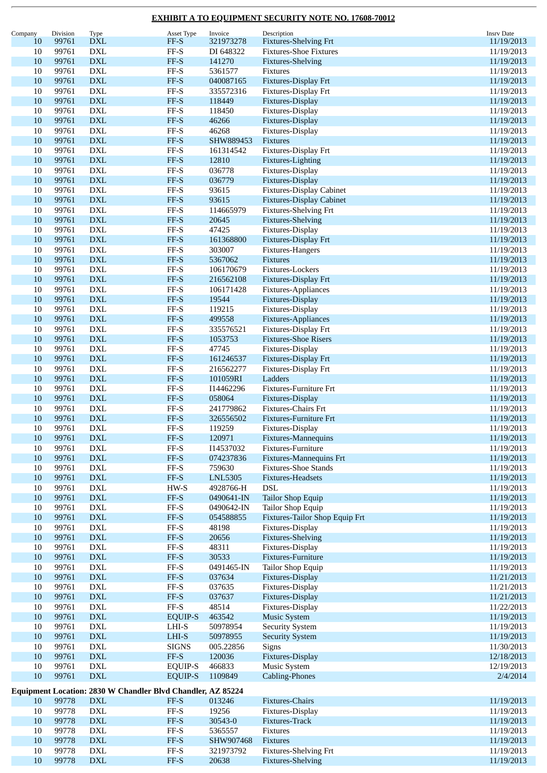| Company | Division | Type                                                        | Asset Type                   | Invoice        | Description                     | <b>Insrv Date</b> |
|---------|----------|-------------------------------------------------------------|------------------------------|----------------|---------------------------------|-------------------|
| 10      | 99761    | <b>DXL</b>                                                  | FF-S                         | 321973278      | <b>Fixtures-Shelving Frt</b>    | 11/19/2013        |
| 10      | 99761    | <b>DXL</b>                                                  | $\rm FF\text{-}S$            | DI 648322      | <b>Fixtures-Shoe Fixtures</b>   | 11/19/2013        |
|         |          |                                                             |                              |                |                                 |                   |
| 10      | 99761    | $\mathbf{DXL}$                                              | FF-S                         | 141270         | Fixtures-Shelving               | 11/19/2013        |
| 10      | 99761    | DXL                                                         | $FF-S$                       | 5361577        | Fixtures                        | 11/19/2013        |
| 10      | 99761    | $\mathbf{DXL}$                                              | $FF-S$                       | 040087165      | Fixtures-Display Frt            | 11/19/2013        |
| 10      | 99761    | <b>DXL</b>                                                  | $FF-S$                       | 335572316      | Fixtures-Display Frt            | 11/19/2013        |
|         |          |                                                             |                              |                |                                 |                   |
| 10      | 99761    | $\mathbf{DXL}$                                              | FF-S                         | 118449         | Fixtures-Display                | 11/19/2013        |
| 10      | 99761    | <b>DXL</b>                                                  | $FF-S$                       | 118450         | Fixtures-Display                | 11/19/2013        |
| 10      | 99761    | <b>DXL</b>                                                  | FF-S                         | 46266          | Fixtures-Display                | 11/19/2013        |
| 10      | 99761    | <b>DXL</b>                                                  | $FF-S$                       | 46268          | Fixtures-Display                | 11/19/2013        |
|         |          |                                                             |                              |                |                                 |                   |
| 10      | 99761    | $\mathbf{DXL}$                                              | $FF-S$                       | SHW889453      | Fixtures                        | 11/19/2013        |
| 10      | 99761    | <b>DXL</b>                                                  | $FF-S$                       | 161314542      | Fixtures-Display Frt            | 11/19/2013        |
| 10      | 99761    | $\mathbf{DXL}$                                              | FF-S                         | 12810          | Fixtures-Lighting               | 11/19/2013        |
| 10      | 99761    | DXL                                                         | $FF-S$                       | 036778         | Fixtures-Display                | 11/19/2013        |
|         |          |                                                             |                              |                |                                 |                   |
| 10      | 99761    | $\mathbf{DXL}$                                              | FF-S                         | 036779         | Fixtures-Display                | 11/19/2013        |
| 10      | 99761    | <b>DXL</b>                                                  | $FF-S$                       | 93615          | <b>Fixtures-Display Cabinet</b> | 11/19/2013        |
| 10      | 99761    | $\mathbf{DXL}$                                              | FF-S                         | 93615          | <b>Fixtures-Display Cabinet</b> | 11/19/2013        |
| 10      | 99761    | <b>DXL</b>                                                  | FF-S                         | 114665979      | Fixtures-Shelving Frt           | 11/19/2013        |
| 10      | 99761    | <b>DXL</b>                                                  | FF-S                         | 20645          | <b>Fixtures-Shelving</b>        | 11/19/2013        |
|         |          |                                                             |                              |                |                                 |                   |
| 10      | 99761    | <b>DXL</b>                                                  | $FF-S$                       | 47425          | Fixtures-Display                | 11/19/2013        |
| 10      | 99761    | $\mathbf{DXL}$                                              | FF-S                         | 161368800      | Fixtures-Display Frt            | 11/19/2013        |
| 10      | 99761    | <b>DXL</b>                                                  | $FF-S$                       | 303007         | Fixtures-Hangers                | 11/19/2013        |
| 10      | 99761    | $\mathbf{DXL}$                                              | FF-S                         | 5367062        | Fixtures                        | 11/19/2013        |
|         |          |                                                             |                              |                |                                 |                   |
| 10      | 99761    | DXL                                                         | $FF-S$                       | 106170679      | Fixtures-Lockers                | 11/19/2013        |
| 10      | 99761    | $\mathbf{DXL}$                                              | FF-S                         | 216562108      | Fixtures-Display Frt            | 11/19/2013        |
| 10      | 99761    | <b>DXL</b>                                                  | $FF-S$                       | 106171428      | Fixtures-Appliances             | 11/19/2013        |
| 10      | 99761    | $\mathbf{DXL}$                                              | FF-S                         | 19544          | Fixtures-Display                | 11/19/2013        |
|         |          |                                                             |                              |                |                                 |                   |
| 10      | 99761    | <b>DXL</b>                                                  | FF-S                         | 119215         | Fixtures-Display                | 11/19/2013        |
| 10      | 99761    | $\mathbf{DXL}$                                              | FF-S                         | 499558         | Fixtures-Appliances             | 11/19/2013        |
| 10      | 99761    | <b>DXL</b>                                                  | $FF-S$                       | 335576521      | Fixtures-Display Frt            | 11/19/2013        |
| 10      | 99761    | $\mathbf{DXL}$                                              | FF-S                         | 1053753        | <b>Fixtures-Shoe Risers</b>     | 11/19/2013        |
|         |          |                                                             |                              |                |                                 |                   |
| 10      | 99761    | <b>DXL</b>                                                  | $FF-S$                       | 47745          | Fixtures-Display                | 11/19/2013        |
| 10      | 99761    | $\mathbf{DXL}$                                              | FF-S                         | 161246537      | Fixtures-Display Frt            | 11/19/2013        |
| 10      | 99761    | <b>DXL</b>                                                  | $FF-S$                       | 216562277      | Fixtures-Display Frt            | 11/19/2013        |
| 10      | 99761    | <b>DXL</b>                                                  | $FF-S$                       | 101059RI       | Ladders                         | 11/19/2013        |
|         |          |                                                             |                              |                |                                 |                   |
| 10      | 99761    | <b>DXL</b>                                                  | $FF-S$                       | I14462296      | Fixtures-Furniture Frt          | 11/19/2013        |
| 10      | 99761    | $\mathbf{DXL}$                                              | $FF-S$                       | 058064         | Fixtures-Display                | 11/19/2013        |
| 10      | 99761    | <b>DXL</b>                                                  | FF-S                         | 241779862      | <b>Fixtures-Chairs Frt</b>      | 11/19/2013        |
| 10      | 99761    | <b>DXL</b>                                                  | $FF-S$                       | 326556502      | <b>Fixtures-Furniture Frt</b>   | 11/19/2013        |
|         |          |                                                             |                              |                |                                 |                   |
| 10      | 99761    | <b>DXL</b>                                                  | FF-S                         | 119259         | Fixtures-Display                | 11/19/2013        |
| 10      | 99761    | <b>DXL</b>                                                  | FF-S                         | 120971         | Fixtures-Mannequins             | 11/19/2013        |
| 10      | 99761    | <b>DXL</b>                                                  | $\rm FF\text{-}S$            | I14537032      | Fixtures-Furniture              | 11/19/2013        |
| 10      | 99761    | ${\rm DXL}$                                                 | FF-S                         | 074237836      | <b>Fixtures-Mannequins Frt</b>  | 11/19/2013        |
|         |          |                                                             |                              |                |                                 |                   |
| 10      | 99761    | ${\rm DXL}$                                                 | $FF-S$                       | 759630         | <b>Fixtures-Shoe Stands</b>     | 11/19/2013        |
| 10      | 99761    | $\mathbf{DXL}$                                              | $FF-S$                       | <b>LNL5305</b> | Fixtures-Headsets               | 11/19/2013        |
| 10      | 99761    | $\mathop{\rm DXL}\nolimits$                                 | $HW-S$                       | 4928766-H      | <b>DSL</b>                      | 11/19/2013        |
| 10      | 99761    | ${\rm DXL}$                                                 | $\ensuremath{\mathsf{FF-S}}$ | 0490641-IN     | <b>Tailor Shop Equip</b>        | 11/19/2013        |
|         |          |                                                             |                              |                |                                 |                   |
| $10\,$  | 99761    | ${\rm DXL}$                                                 | $\rm FF\text{-}S$            | 0490642-IN     | Tailor Shop Equip               | 11/19/2013        |
| 10      | 99761    | ${\rm DXL}$                                                 | FF-S                         | 054588855      | Fixtures-Tailor Shop Equip Frt  | 11/19/2013        |
| 10      | 99761    | <b>DXL</b>                                                  | FF-S                         | 48198          | Fixtures-Display                | 11/19/2013        |
| 10      | 99761    | $\mathbf{DXL}$                                              | $FF-S$                       | 20656          | <b>Fixtures-Shelving</b>        | 11/19/2013        |
| 10      | 99761    | ${\rm DXL}$                                                 | FF-S                         | 48311          | Fixtures-Display                | 11/19/2013        |
|         |          |                                                             |                              |                |                                 |                   |
| $10\,$  | 99761    | ${\rm DXL}$                                                 | FF-S                         | 30533          | Fixtures-Furniture              | 11/19/2013        |
| 10      | 99761    | ${\rm DXL}$                                                 | FF-S                         | 0491465-IN     | Tailor Shop Equip               | 11/19/2013        |
| 10      | 99761    | $\mathbf{DXL}$                                              | FF-S                         | 037634         | Fixtures-Display                | 11/21/2013        |
| 10      | 99761    | $\mathop{\rm DXL}\nolimits$                                 | $\rm FF\text{-}S$            | 037635         | Fixtures-Display                | 11/21/2013        |
|         |          |                                                             |                              |                |                                 |                   |
| 10      | 99761    | ${\rm DXL}$                                                 | FF-S                         | 037637         | <b>Fixtures-Display</b>         | 11/21/2013        |
| $10\,$  | 99761    | ${\rm DXL}$                                                 | FF-S                         | 48514          | Fixtures-Display                | 11/22/2013        |
| 10      | 99761    | <b>DXL</b>                                                  | <b>EQUIP-S</b>               | 463542         | <b>Music System</b>             | 11/19/2013        |
| 10      | 99761    | ${\rm DXL}$                                                 | LHI-S                        | 50978954       | <b>Security System</b>          | 11/19/2013        |
|         |          |                                                             |                              |                |                                 |                   |
| 10      | 99761    | $\mathbf{DXL}$                                              | $LHI-S$                      | 50978955       | <b>Security System</b>          | 11/19/2013        |
| $10\,$  | 99761    | ${\rm DXL}$                                                 | <b>SIGNS</b>                 | 005.22856      | Signs                           | 11/30/2013        |
| $10\,$  | 99761    | ${\rm DXL}$                                                 | $FF-S$                       | 120036         | Fixtures-Display                | 12/18/2013        |
| 10      | 99761    | DXL                                                         | <b>EQUIP-S</b>               | 466833         | Music System                    | 12/19/2013        |
|         |          |                                                             |                              |                |                                 |                   |
| 10      | 99761    | $\mathbf{DXL}$                                              | <b>EQUIP-S</b>               | 1109849        | <b>Cabling-Phones</b>           | 2/4/2014          |
|         |          | Equipment Location: 2830 W Chandler Blvd Chandler, AZ 85224 |                              |                |                                 |                   |
|         |          |                                                             |                              |                |                                 |                   |
| 10      | 99778    | $\mathbf{D}\mathbf{X}\mathbf{L}$                            | $\ensuremath{\mathsf{FF-S}}$ | 013246         | Fixtures-Chairs                 | 11/19/2013        |
| $10\,$  | 99778    | ${\rm DXL}$                                                 | $\rm FF\text{-}S$            | 19256          | Fixtures-Display                | 11/19/2013        |
| 10      | 99778    | <b>DXL</b>                                                  | FF-S                         | 30543-0        | Fixtures-Track                  | 11/19/2013        |
|         |          |                                                             |                              |                |                                 |                   |
| 10      | 99778    | ${\rm DXL}$                                                 | FF-S                         | 5365557        | Fixtures                        | 11/19/2013        |
| 10      | 99778    | <b>DXL</b>                                                  | FF-S                         | SHW907468      | Fixtures                        | 11/19/2013        |
| 10      | 99778    | ${\rm DXL}$                                                 | FF-S                         | 321973792      | Fixtures-Shelving Frt           | 11/19/2013        |
| 10      | 99778    | ${\rm DXL}$                                                 | FF-S                         | 20638          | <b>Fixtures-Shelving</b>        | 11/19/2013        |
|         |          |                                                             |                              |                |                                 |                   |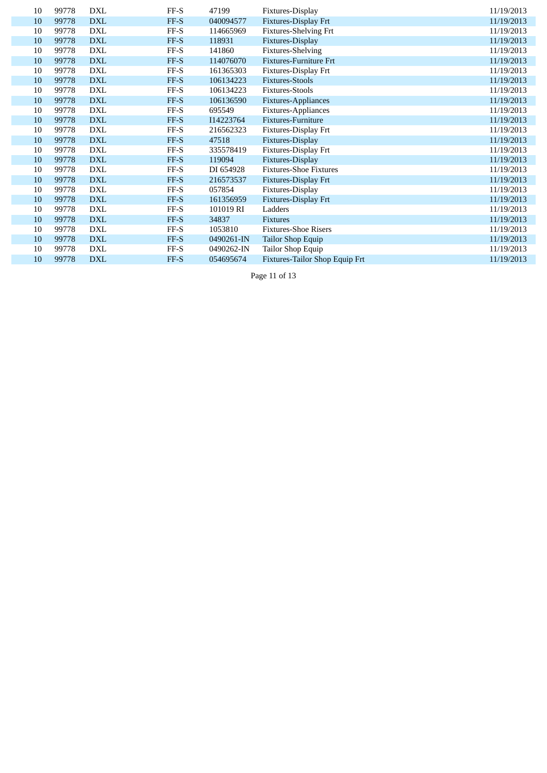| 10 | 99778 | <b>DXL</b> | FF-S | 47199      | Fixtures-Display               | 11/19/2013 |
|----|-------|------------|------|------------|--------------------------------|------------|
| 10 | 99778 | <b>DXL</b> | FF-S | 040094577  | Fixtures-Display Frt           | 11/19/2013 |
| 10 | 99778 | <b>DXL</b> | FF-S | 114665969  | Fixtures-Shelving Frt          | 11/19/2013 |
| 10 | 99778 | <b>DXL</b> | FF-S | 118931     | Fixtures-Display               | 11/19/2013 |
| 10 | 99778 | <b>DXL</b> | FF-S | 141860     | <b>Fixtures-Shelving</b>       | 11/19/2013 |
| 10 | 99778 | <b>DXL</b> | FF-S | 114076070  | <b>Fixtures-Furniture Frt</b>  | 11/19/2013 |
| 10 | 99778 | DXL        | FF-S | 161365303  | Fixtures-Display Frt           | 11/19/2013 |
| 10 | 99778 | <b>DXL</b> | FF-S | 106134223  | <b>Fixtures-Stools</b>         | 11/19/2013 |
| 10 | 99778 | <b>DXL</b> | FF-S | 106134223  | <b>Fixtures-Stools</b>         | 11/19/2013 |
| 10 | 99778 | <b>DXL</b> | FF-S | 106136590  | Fixtures-Appliances            | 11/19/2013 |
| 10 | 99778 | <b>DXL</b> | FF-S | 695549     | Fixtures-Appliances            | 11/19/2013 |
| 10 | 99778 | <b>DXL</b> | FF-S | I14223764  | Fixtures-Furniture             | 11/19/2013 |
| 10 | 99778 | <b>DXL</b> | FF-S | 216562323  | Fixtures-Display Frt           | 11/19/2013 |
| 10 | 99778 | <b>DXL</b> | FF-S | 47518      | Fixtures-Display               | 11/19/2013 |
| 10 | 99778 | <b>DXL</b> | FF-S | 335578419  | Fixtures-Display Frt           | 11/19/2013 |
| 10 | 99778 | <b>DXL</b> | FF-S | 119094     | Fixtures-Display               | 11/19/2013 |
| 10 | 99778 | <b>DXL</b> | FF-S | DI 654928  | <b>Fixtures-Shoe Fixtures</b>  | 11/19/2013 |
| 10 | 99778 | <b>DXL</b> | FF-S | 216573537  | Fixtures-Display Frt           | 11/19/2013 |
| 10 | 99778 | <b>DXL</b> | FF-S | 057854     | Fixtures-Display               | 11/19/2013 |
| 10 | 99778 | <b>DXL</b> | FF-S | 161356959  | Fixtures-Display Frt           | 11/19/2013 |
| 10 | 99778 | <b>DXL</b> | FF-S | 101019 RI  | Ladders                        | 11/19/2013 |
| 10 | 99778 | <b>DXL</b> | FF-S | 34837      | <b>Fixtures</b>                | 11/19/2013 |
| 10 | 99778 | DXL        | FF-S | 1053810    | <b>Fixtures-Shoe Risers</b>    | 11/19/2013 |
| 10 | 99778 | <b>DXL</b> | FF-S | 0490261-IN | Tailor Shop Equip              | 11/19/2013 |
| 10 | 99778 | <b>DXL</b> | FF-S | 0490262-IN | Tailor Shop Equip              | 11/19/2013 |
| 10 | 99778 | <b>DXL</b> | FF-S | 054695674  | Fixtures-Tailor Shop Equip Frt | 11/19/2013 |

Page 11 of 13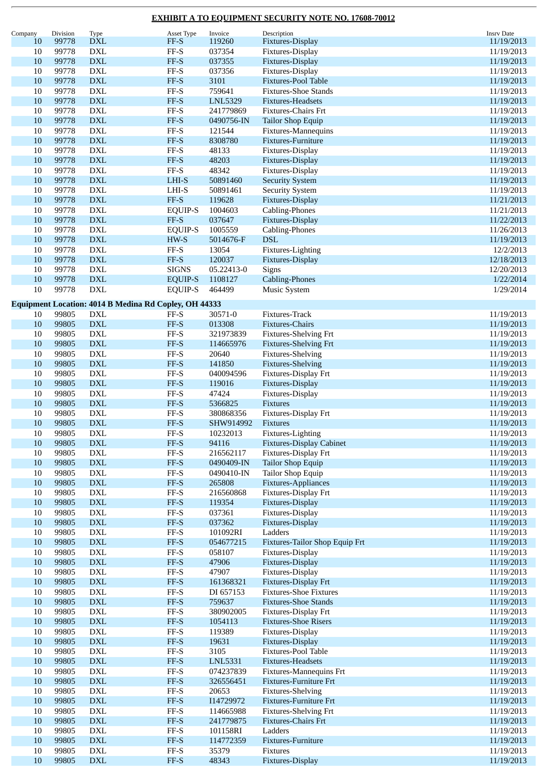| Company | Division | Type                                                         | Asset Type                   | Invoice    | Description                     | <b>Insrv Date</b> |
|---------|----------|--------------------------------------------------------------|------------------------------|------------|---------------------------------|-------------------|
| 10      | 99778    | <b>DXL</b>                                                   | $FF-S$                       | 119260     | Fixtures-Display                | 11/19/2013        |
| 10      | 99778    | <b>DXL</b>                                                   | $\ensuremath{\mathsf{FF-S}}$ | 037354     | Fixtures-Display                | 11/19/2013        |
|         |          |                                                              |                              |            |                                 |                   |
| 10      | 99778    | <b>DXL</b>                                                   | $FF-S$                       | 037355     | Fixtures-Display                | 11/19/2013        |
| 10      | 99778    | <b>DXL</b>                                                   | $FF-S$                       | 037356     | Fixtures-Display                | 11/19/2013        |
| 10      | 99778    | <b>DXL</b>                                                   | $FF-S$                       | 3101       | <b>Fixtures-Pool Table</b>      | 11/19/2013        |
| 10      | 99778    | <b>DXL</b>                                                   | $\ensuremath{\mathsf{FF-S}}$ | 759641     | <b>Fixtures-Shoe Stands</b>     | 11/19/2013        |
| 10      | 99778    | <b>DXL</b>                                                   | $FF-S$                       | LNL5329    | <b>Fixtures-Headsets</b>        | 11/19/2013        |
| 10      | 99778    | <b>DXL</b>                                                   | $\operatorname{FF-S}$        | 241779869  | Fixtures-Chairs Frt             |                   |
|         |          |                                                              |                              |            |                                 | 11/19/2013        |
| 10      | 99778    | <b>DXL</b>                                                   | $FF-S$                       | 0490756-IN | <b>Tailor Shop Equip</b>        | 11/19/2013        |
| $10\,$  | 99778    | <b>DXL</b>                                                   | $\ensuremath{\mathsf{FF-S}}$ | 121544     | Fixtures-Mannequins             | 11/19/2013        |
| 10      | 99778    | <b>DXL</b>                                                   | $FF-S$                       | 8308780    | Fixtures-Furniture              | 11/19/2013        |
| 10      | 99778    | <b>DXL</b>                                                   | $\ensuremath{\mathsf{FF-S}}$ | 48133      | Fixtures-Display                | 11/19/2013        |
| 10      | 99778    | ${\rm DXL}$                                                  | $FF-S$                       | 48203      | Fixtures-Display                | 11/19/2013        |
|         |          |                                                              |                              |            |                                 |                   |
| 10      | 99778    | <b>DXL</b>                                                   | $\ensuremath{\mathsf{FF-S}}$ | 48342      | Fixtures-Display                | 11/19/2013        |
| 10      | 99778    | <b>DXL</b>                                                   | $LHI-S$                      | 50891460   | <b>Security System</b>          | 11/19/2013        |
| 10      | 99778    | <b>DXL</b>                                                   | LHI-S                        | 50891461   | <b>Security System</b>          | 11/19/2013        |
| 10      | 99778    | <b>DXL</b>                                                   | FF-S                         | 119628     | Fixtures-Display                | 11/21/2013        |
| 10      | 99778    | <b>DXL</b>                                                   | <b>EQUIP-S</b>               | 1004603    | Cabling-Phones                  | 11/21/2013        |
|         |          |                                                              |                              |            |                                 |                   |
| 10      | 99778    | ${\rm DXL}$                                                  | FF-S                         | 037647     | Fixtures-Display                | 11/22/2013        |
| 10      | 99778    | <b>DXL</b>                                                   | <b>EQUIP-S</b>               | 1005559    | Cabling-Phones                  | 11/26/2013        |
| 10      | 99778    | <b>DXL</b>                                                   | $HW-S$                       | 5014676-F  | $\operatorname{DSL}$            | 11/19/2013        |
| 10      | 99778    | <b>DXL</b>                                                   | $\rm FF\text{-}S$            | 13054      | Fixtures-Lighting               | 12/2/2013         |
| 10      | 99778    | <b>DXL</b>                                                   | $FF-S$                       | 120037     | Fixtures-Display                | 12/18/2013        |
| $10\,$  | 99778    | <b>DXL</b>                                                   | <b>SIGNS</b>                 |            |                                 |                   |
|         |          |                                                              |                              | 05.22413-0 | Signs                           | 12/20/2013        |
| 10      | 99778    | <b>DXL</b>                                                   | <b>EQUIP-S</b>               | 1108127    | <b>Cabling-Phones</b>           | 1/22/2014         |
| 10      | 99778    | <b>DXL</b>                                                   | <b>EQUIP-S</b>               | 464499     | <b>Music System</b>             | 1/29/2014         |
|         |          |                                                              |                              |            |                                 |                   |
|         |          | <b>Equipment Location: 4014 B Medina Rd Copley, OH 44333</b> |                              |            |                                 |                   |
| 10      | 99805    | DXL                                                          | FF-S                         | 30571-0    | Fixtures-Track                  | 11/19/2013        |
| 10      | 99805    | <b>DXL</b>                                                   | $FF-S$                       | 013308     | Fixtures-Chairs                 | 11/19/2013        |
| 10      | 99805    | <b>DXL</b>                                                   | $\ensuremath{\mathsf{FF-S}}$ | 321973839  | Fixtures-Shelving Frt           | 11/19/2013        |
| 10      | 99805    | <b>DXL</b>                                                   | $FF-S$                       | 114665976  | <b>Fixtures-Shelving Frt</b>    | 11/19/2013        |
| 10      | 99805    | <b>DXL</b>                                                   | $\ensuremath{\mathsf{FF-S}}$ | 20640      | Fixtures-Shelving               | 11/19/2013        |
|         |          |                                                              |                              |            |                                 |                   |
| 10      | 99805    | <b>DXL</b>                                                   | $FF-S$                       | 141850     | <b>Fixtures-Shelving</b>        | 11/19/2013        |
| $10\,$  | 99805    | <b>DXL</b>                                                   | $FF-S$                       | 040094596  | Fixtures-Display Frt            | 11/19/2013        |
| 10      | 99805    | <b>DXL</b>                                                   | $FF-S$                       | 119016     | Fixtures-Display                | 11/19/2013        |
| 10      | 99805    | <b>DXL</b>                                                   | $\ensuremath{\mathsf{FF-S}}$ | 47424      | Fixtures-Display                | 11/19/2013        |
| 10      | 99805    | <b>DXL</b>                                                   | $FF-S$                       | 5366825    | Fixtures                        | 11/19/2013        |
| 10      | 99805    |                                                              |                              | 380868356  |                                 |                   |
|         |          | <b>DXL</b>                                                   | $FF-S$                       |            | Fixtures-Display Frt            | 11/19/2013        |
| 10      | 99805    | <b>DXL</b>                                                   | $FF-S$                       | SHW914992  | Fixtures                        | 11/19/2013        |
| 10      | 99805    | DXL                                                          | FF-S                         | 10232013   | Fixtures-Lighting               | 11/19/2013        |
| $10\,$  | 99805    | <b>DXL</b>                                                   | $FF-S$                       | 94116      | <b>Fixtures-Display Cabinet</b> | 11/19/2013        |
| 10      | 99805    | ${\rm DXL}$                                                  | $\ensuremath{\mathsf{FF-S}}$ | 216562117  | Fixtures-Display Frt            | 11/19/2013        |
| 10      | 99805    | ${\rm DXL}$                                                  | $\ensuremath{\mathsf{FF-S}}$ | 0490409-IN | <b>Tailor Shop Equip</b>        | 11/19/2013        |
|         |          |                                                              |                              |            |                                 |                   |
| $10\,$  | 99805    | $\mathop{\rm DXL}\nolimits$                                  | $FF-S$                       | 0490410-IN | Tailor Shop Equip               | 11/19/2013        |
| 10      | 99805    | <b>DXL</b>                                                   | $FF-S$                       | 265808     | Fixtures-Appliances             | 11/19/2013        |
| $10\,$  | 99805    | $\mathop{\rm DXL}\nolimits$                                  | $\ensuremath{\mathsf{FF-S}}$ | 216560868  | Fixtures-Display Frt            | 11/19/2013        |
| 10      | 99805    | <b>DXL</b>                                                   | $FF-S$                       | 119354     | Fixtures-Display                | 11/19/2013        |
| $10\,$  | 99805    | <b>DXL</b>                                                   | $\ensuremath{\mathsf{FF-S}}$ | 037361     | Fixtures-Display                | 11/19/2013        |
| $10\,$  | 99805    | <b>DXL</b>                                                   | $FF-S$                       | 037362     | Fixtures-Display                | 11/19/2013        |
|         |          |                                                              |                              |            |                                 |                   |
| 10      | 99805    | $\mathop{\rm DXL}\nolimits$                                  | $\operatorname{FF-S}$        | 101092RI   | Ladders                         | 11/19/2013        |
| 10      | 99805    | $\mathbf{DXL}$                                               | $\ensuremath{\mathsf{FF-S}}$ | 054677215  | Fixtures-Tailor Shop Equip Frt  | 11/19/2013        |
| 10      | 99805    | <b>DXL</b>                                                   | $\ensuremath{\mathsf{FF-S}}$ | 058107     | Fixtures-Display                | 11/19/2013        |
| 10      | 99805    | ${\rm DXL}$                                                  | $\ensuremath{\mathsf{FF-S}}$ | 47906      | Fixtures-Display                | 11/19/2013        |
| $10\,$  | 99805    | $\mathop{\rm DXL}\nolimits$                                  | $\rm FF\text{-}S$            | 47907      | Fixtures-Display                | 11/19/2013        |
| 10      | 99805    | $\mathbf{DXL}$                                               | $\ensuremath{\mathsf{FF-S}}$ | 161368321  | Fixtures-Display Frt            | 11/19/2013        |
| $10\,$  | 99805    | <b>DXL</b>                                                   | $FF-S$                       | DI 657153  | <b>Fixtures-Shoe Fixtures</b>   | 11/19/2013        |
|         |          |                                                              |                              |            |                                 |                   |
| 10      | 99805    | <b>DXL</b>                                                   | $FF-S$                       | 759637     | <b>Fixtures-Shoe Stands</b>     | 11/19/2013        |
| $10\,$  | 99805    | <b>DXL</b>                                                   | $\ensuremath{\mathsf{FF-S}}$ | 380902005  | Fixtures-Display Frt            | 11/19/2013        |
| $10\,$  | 99805    | ${\rm DXL}$                                                  | $\ensuremath{\mathsf{FF-S}}$ | 1054113    | <b>Fixtures-Shoe Risers</b>     | 11/19/2013        |
| $10\,$  | 99805    | <b>DXL</b>                                                   | $\ensuremath{\mathsf{FF-S}}$ | 119389     | Fixtures-Display                | 11/19/2013        |
| $10\,$  | 99805    | $\mathbf{DXL}$                                               | $\ensuremath{\mathsf{FF-S}}$ | 19631      | Fixtures-Display                | 11/19/2013        |
| 10      | 99805    | <b>DXL</b>                                                   | $FF-S$                       | 3105       | Fixtures-Pool Table             | 11/19/2013        |
|         |          |                                                              |                              |            |                                 |                   |
| 10      | 99805    | ${\rm DXL}$                                                  | $\ensuremath{\mathsf{FF-S}}$ | LNL5331    | Fixtures-Headsets               | 11/19/2013        |
| $10\,$  | 99805    | ${\rm DXL}$                                                  | $\ensuremath{\mathsf{FF-S}}$ | 074237839  | Fixtures-Mannequins Frt         | 11/19/2013        |
| 10      | 99805    | <b>DXL</b>                                                   | $FF-S$                       | 326556451  | Fixtures-Furniture Frt          | 11/19/2013        |
| $10\,$  | 99805    | <b>DXL</b>                                                   | $\ensuremath{\mathsf{FF-S}}$ | 20653      | Fixtures-Shelving               | 11/19/2013        |
| 10      | 99805    | <b>DXL</b>                                                   | $FF-S$                       | I14729972  | Fixtures-Furniture Frt          | 11/19/2013        |
| $10\,$  | 99805    | <b>DXL</b>                                                   | $\operatorname{FF-S}$        | 114665988  | Fixtures-Shelving Frt           | 11/19/2013        |
|         |          |                                                              |                              |            |                                 |                   |
| $10\,$  | 99805    | ${\rm DXL}$                                                  | $\ensuremath{\mathsf{FF-S}}$ | 241779875  | Fixtures-Chairs Frt             | 11/19/2013        |
| $10\,$  | 99805    | <b>DXL</b>                                                   | $\ensuremath{\mathsf{FF-S}}$ | 101158RI   | Ladders                         | 11/19/2013        |
| 10      | 99805    | $\mathbf{DXL}$                                               | $FF-S$                       | 114772359  | Fixtures-Furniture              | 11/19/2013        |
| 10      | 99805    | <b>DXL</b>                                                   | $FF-S$                       | 35379      | <b>Fixtures</b>                 | 11/19/2013        |
| 10      | 99805    | <b>DXL</b>                                                   | $FF-S$                       | 48343      | Fixtures-Display                | 11/19/2013        |
|         |          |                                                              |                              |            |                                 |                   |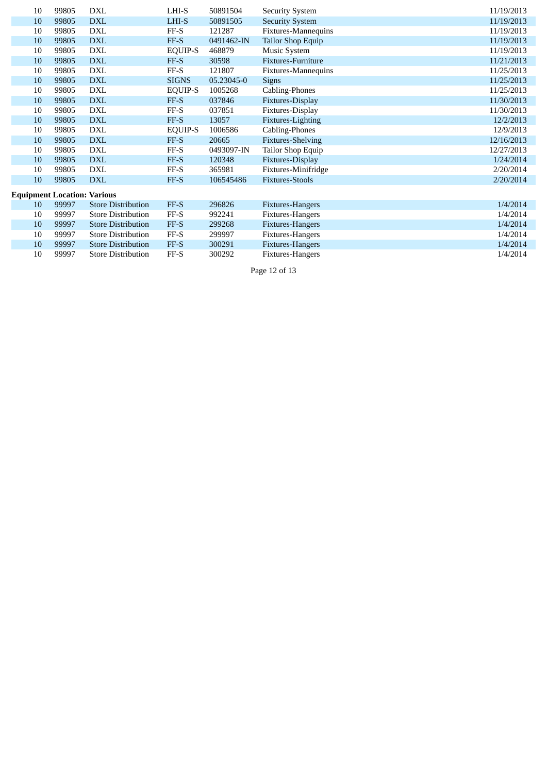|                                    | 10 | 99805 | DXL                       | LHI-S          | 50891504   | <b>Security System</b>   | 11/19/2013 |  |  |
|------------------------------------|----|-------|---------------------------|----------------|------------|--------------------------|------------|--|--|
|                                    | 10 | 99805 | <b>DXL</b>                | LHI-S          | 50891505   | <b>Security System</b>   | 11/19/2013 |  |  |
|                                    | 10 | 99805 | DXL                       | FF-S           | 121287     | Fixtures-Mannequins      | 11/19/2013 |  |  |
|                                    | 10 | 99805 | <b>DXL</b>                | FF-S           | 0491462-IN | Tailor Shop Equip        | 11/19/2013 |  |  |
|                                    | 10 | 99805 | DXL                       | EQUIP-S        | 468879     | Music System             | 11/19/2013 |  |  |
|                                    | 10 | 99805 | <b>DXL</b>                | FF-S           | 30598      | Fixtures-Furniture       | 11/21/2013 |  |  |
|                                    | 10 | 99805 | DXL                       | $FF-S$         | 121807     | Fixtures-Mannequins      | 11/25/2013 |  |  |
|                                    | 10 | 99805 | <b>DXL</b>                | <b>SIGNS</b>   | 05.23045-0 | <b>Signs</b>             | 11/25/2013 |  |  |
|                                    | 10 | 99805 | DXL                       | <b>EQUIP-S</b> | 1005268    | Cabling-Phones           | 11/25/2013 |  |  |
|                                    | 10 | 99805 | <b>DXL</b>                | FF-S           | 037846     | Fixtures-Display         | 11/30/2013 |  |  |
|                                    | 10 | 99805 | <b>DXL</b>                | $FF-S$         | 037851     | Fixtures-Display         | 11/30/2013 |  |  |
|                                    | 10 | 99805 | <b>DXL</b>                | FF-S           | 13057      | Fixtures-Lighting        | 12/2/2013  |  |  |
|                                    | 10 | 99805 | <b>DXL</b>                | <b>EQUIP-S</b> | 1006586    | Cabling-Phones           | 12/9/2013  |  |  |
|                                    | 10 | 99805 | <b>DXL</b>                | FF-S           | 20665      | <b>Fixtures-Shelving</b> | 12/16/2013 |  |  |
|                                    | 10 | 99805 | DXL                       | $FF-S$         | 0493097-IN | Tailor Shop Equip        | 12/27/2013 |  |  |
|                                    | 10 | 99805 | <b>DXL</b>                | FF-S           | 120348     | Fixtures-Display         | 1/24/2014  |  |  |
|                                    | 10 | 99805 | <b>DXL</b>                | $FF-S$         | 365981     | Fixtures-Minifridge      | 2/20/2014  |  |  |
|                                    | 10 | 99805 | <b>DXL</b>                | FF-S           | 106545486  | <b>Fixtures-Stools</b>   | 2/20/2014  |  |  |
| <b>Equipment Location: Various</b> |    |       |                           |                |            |                          |            |  |  |
|                                    | 10 | 99997 | <b>Store Distribution</b> | FF-S           | 296826     | Fixtures-Hangers         | 1/4/2014   |  |  |
|                                    | 10 | 99997 | <b>Store Distribution</b> | $FF-S$         | 992241     | Fixtures-Hangers         | 1/4/2014   |  |  |
|                                    | 10 | 99997 | <b>Store Distribution</b> | FF-S           | 299268     | <b>Fixtures-Hangers</b>  | 1/4/2014   |  |  |
|                                    | 10 | 99997 | <b>Store Distribution</b> | FF-S           | 299997     | Fixtures-Hangers         | 1/4/2014   |  |  |
|                                    | 10 | 99997 | <b>Store Distribution</b> | FF-S           | 300291     | Fixtures-Hangers         | 1/4/2014   |  |  |
|                                    | 10 | 99997 | <b>Store Distribution</b> | FF-S           | 300292     | <b>Fixtures-Hangers</b>  | 1/4/2014   |  |  |

Page 12 of 13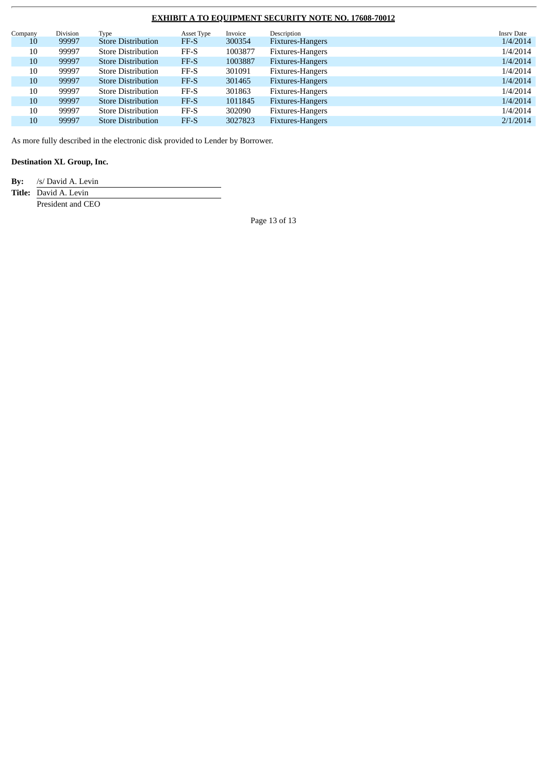|  | Company | Division | Type                      | Asset Type | Invoice | Description      | <b>Insrv Date</b> |
|--|---------|----------|---------------------------|------------|---------|------------------|-------------------|
|  | 10      | 99997    | <b>Store Distribution</b> | FF-S       | 300354  | Fixtures-Hangers | 1/4/2014          |
|  | 10      | 99997    | <b>Store Distribution</b> | $FF-S$     | 1003877 | Fixtures-Hangers | 1/4/2014          |
|  | 10      | 99997    | <b>Store Distribution</b> | FF-S       | 1003887 | Fixtures-Hangers | 1/4/2014          |
|  | 10      | 99997    | <b>Store Distribution</b> | $FF-S$     | 301091  | Fixtures-Hangers | 1/4/2014          |
|  | 10      | 99997    | <b>Store Distribution</b> | FF-S       | 301465  | Fixtures-Hangers | 1/4/2014          |
|  | 10      | 99997    | <b>Store Distribution</b> | $FF-S$     | 301863  | Fixtures-Hangers | 1/4/2014          |
|  | 10      | 99997    | <b>Store Distribution</b> | FF-S       | 1011845 | Fixtures-Hangers | 1/4/2014          |
|  | 10      | 99997    | <b>Store Distribution</b> | $FF-S$     | 302090  | Fixtures-Hangers | 1/4/2014          |
|  | 10      | 99997    | <b>Store Distribution</b> | FF-S       | 3027823 | Fixtures-Hangers | 2/1/2014          |
|  |         |          |                           |            |         |                  |                   |

As more fully described in the electronic disk provided to Lender by Borrower.

# **Destination XL Group, Inc.**

**By:** /s/ David A. Levin

**Title:** David A. Levin

President and CEO

Page 13 of 13